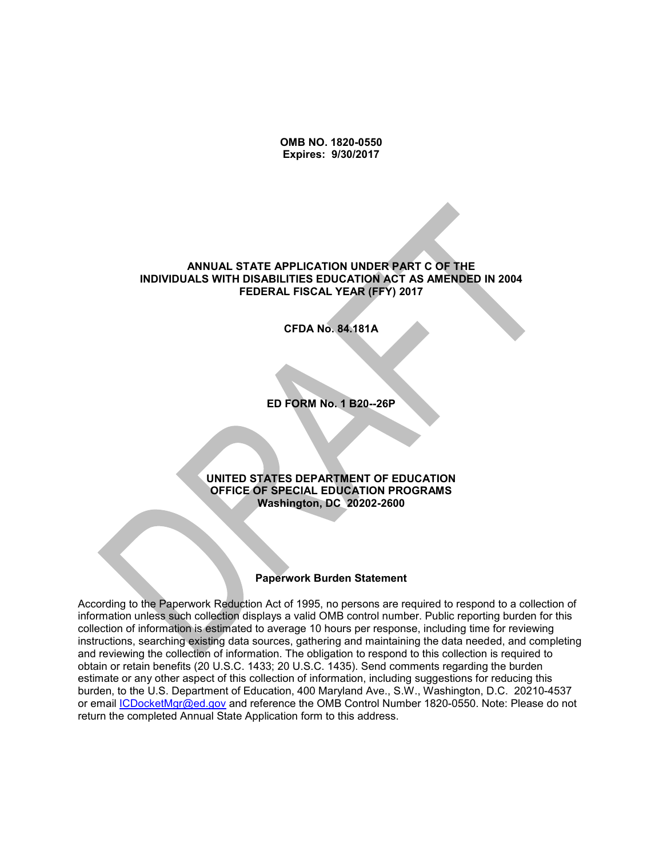**OMB NO. 1820-0550 Expires: 9/30/2017**

#### **ANNUAL STATE APPLICATION UNDER PART C OF THE INDIVIDUALS WITH DISABILITIES EDUCATION ACT AS AMENDED IN 2004 FEDERAL FISCAL YEAR (FFY) 2017**

**CFDA No. 84.181A**

**ED FORM No. 1 B20--26P**

#### **UNITED STATES DEPARTMENT OF EDUCATION OFFICE OF SPECIAL EDUCATION PROGRAMS Washington, DC 20202-2600**

#### **Paperwork Burden Statement**

According to the Paperwork Reduction Act of 1995, no persons are required to respond to a collection of information unless such collection displays a valid OMB control number. Public reporting burden for this collection of information is estimated to average 10 hours per response, including time for reviewing instructions, searching existing data sources, gathering and maintaining the data needed, and completing and reviewing the collection of information. The obligation to respond to this collection is required to obtain or retain benefits (20 U.S.C. 1433; 20 U.S.C. 1435). Send comments regarding the burden estimate or any other aspect of this collection of information, including suggestions for reducing this burden, to the U.S. Department of Education, 400 Maryland Ave., S.W., Washington, D.C. 20210-4537 or email [ICDocketMgr@ed.gov](mailto:ICDocketMgr@ed.gov) and reference the OMB Control Number 1820-0550. Note: Please do not return the completed Annual State Application form to this address.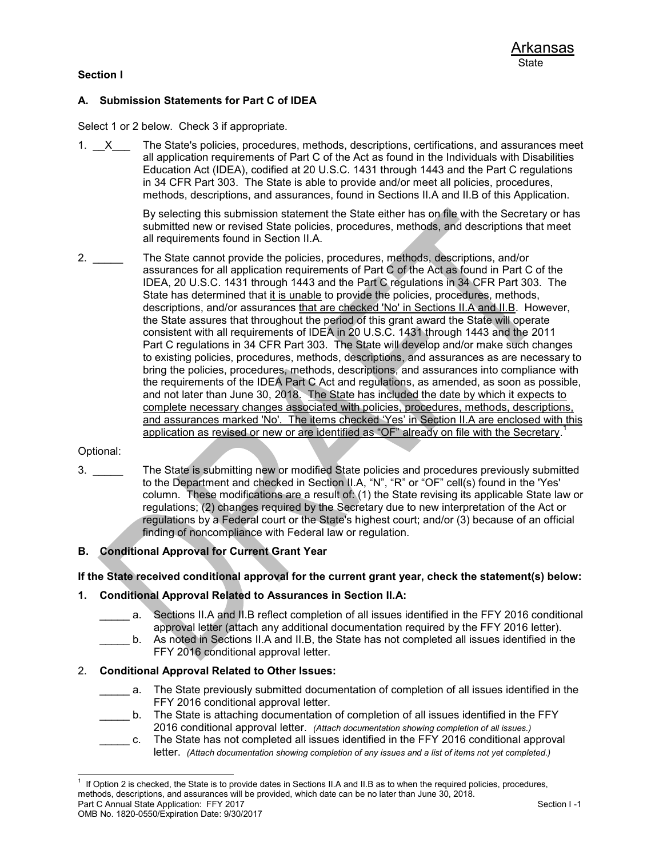# **Section I**

# **A. Submission Statements for Part C of IDEA**

Select 1 or 2 below. Check 3 if appropriate.

1.  $\mathsf{X}$  The State's policies, procedures, methods, descriptions, certifications, and assurances meet all application requirements of Part C of the Act as found in the Individuals with Disabilities Education Act (IDEA), codified at 20 U.S.C. 1431 through 1443 and the Part C regulations in 34 CFR Part 303. The State is able to provide and/or meet all policies, procedures, methods, descriptions, and assurances, found in Sections II.A and II.B of this Application.

> By selecting this submission statement the State either has on file with the Secretary or has submitted new or revised State policies, procedures, methods, and descriptions that meet all requirements found in Section II.A.

2. \_\_\_\_\_ The State cannot provide the policies, procedures, methods, descriptions, and/or assurances for all application requirements of Part C of the Act as found in Part C of the IDEA, 20 U.S.C. 1431 through 1443 and the Part C regulations in 34 CFR Part 303. The State has determined that it is unable to provide the policies, procedures, methods, descriptions, and/or assurances that are checked 'No' in Sections II.A and II.B. However, the State assures that throughout the period of this grant award the State will operate consistent with all requirements of IDEA in 20 U.S.C. 1431 through 1443 and the 2011 Part C regulations in 34 CFR Part 303. The State will develop and/or make such changes to existing policies, procedures, methods, descriptions, and assurances as are necessary to bring the policies, procedures, methods, descriptions, and assurances into compliance with the requirements of the IDEA Part C Act and regulations, as amended, as soon as possible, and not later than June 30, 2018. The State has included the date by which it expects to complete necessary changes associated with policies, procedures, methods, descriptions, and assurances marked 'No'. The items checked 'Yes' in Section II.A are enclosed with this application as revised or new or are identified as "OF" already on file with the Secretary.<sup>1</sup>

#### Optional:

3. \_\_\_\_\_ The State is submitting new or modified State policies and procedures previously submitted to the Department and checked in Section II.A, "N", "R" or "OF" cell(s) found in the 'Yes' column. These modifications are a result of: (1) the State revising its applicable State law or regulations; (2) changes required by the Secretary due to new interpretation of the Act or regulations by a Federal court or the State's highest court; and/or (3) because of an official finding of noncompliance with Federal law or regulation.

### **B. Conditional Approval for Current Grant Year**

**If the State received conditional approval for the current grant year, check the statement(s) below:**

#### **1. Conditional Approval Related to Assurances in Section II.A:**

- \_\_\_\_\_ a. Sections II.A and II.B reflect completion of all issues identified in the FFY 2016 conditional approval letter (attach any additional documentation required by the FFY 2016 letter).
- \_\_\_\_\_ b. As noted in Sections II.A and II.B, the State has not completed all issues identified in the FFY 2016 conditional approval letter.

### 2. **Conditional Approval Related to Other Issues:**

- a. The State previously submitted documentation of completion of all issues identified in the FFY 2016 conditional approval letter.
- b. The State is attaching documentation of completion of all issues identified in the FFY 2016 conditional approval letter. *(Attach documentation showing completion of all issues.)*
- \_\_\_\_\_ c. The State has not completed all issues identified in the FFY 2016 conditional approval letter. *(Attach documentation showing completion of any issues and a list of items not yet completed.)*

Part C Annual State Application: FFY 2017 Section I -1 l 1 If Option 2 is checked, the State is to provide dates in Sections II.A and II.B as to when the required policies, procedures, methods, descriptions, and assurances will be provided, which date can be no later than June 30, 2018.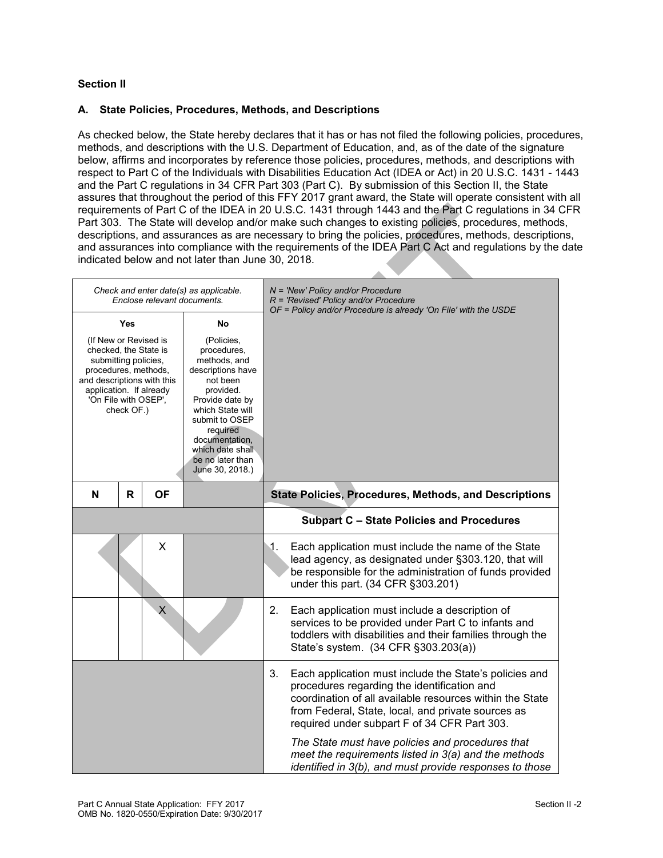# **Section II**

### **A. State Policies, Procedures, Methods, and Descriptions**

As checked below, the State hereby declares that it has or has not filed the following policies, procedures, methods, and descriptions with the U.S. Department of Education, and, as of the date of the signature below, affirms and incorporates by reference those policies, procedures, methods, and descriptions with respect to Part C of the Individuals with Disabilities Education Act (IDEA or Act) in 20 U.S.C. 1431 - 1443 and the Part C regulations in 34 CFR Part 303 (Part C). By submission of this Section II, the State assures that throughout the period of this FFY 2017 grant award, the State will operate consistent with all requirements of Part C of the IDEA in 20 U.S.C. 1431 through 1443 and the Part C regulations in 34 CFR Part 303. The State will develop and/or make such changes to existing policies, procedures, methods, descriptions, and assurances as are necessary to bring the policies, procedures, methods, descriptions, and assurances into compliance with the requirements of the IDEA Part C Act and regulations by the date indicated below and not later than June 30, 2018.

 $\Delta \Delta$ 

|                                                                                                                                                                                 |                          | Enclose relevant documents. | Check and enter date(s) as applicable.                                                                                                                                                                                                                 | $N = 'New' Policy and/or Procedure$<br>R = 'Revised' Policy and/or Procedure<br>OF = Policy and/or Procedure is already 'On File' with the USDE                                                                                                                                                                                                                                                                                                      |
|---------------------------------------------------------------------------------------------------------------------------------------------------------------------------------|--------------------------|-----------------------------|--------------------------------------------------------------------------------------------------------------------------------------------------------------------------------------------------------------------------------------------------------|------------------------------------------------------------------------------------------------------------------------------------------------------------------------------------------------------------------------------------------------------------------------------------------------------------------------------------------------------------------------------------------------------------------------------------------------------|
| (If New or Revised is<br>checked, the State is<br>submitting policies,<br>procedures, methods,<br>and descriptions with this<br>application. If already<br>'On File with OSEP', | <b>Yes</b><br>check OF.) |                             | <b>No</b><br>(Policies,<br>procedures,<br>methods, and<br>descriptions have<br>not been<br>provided.<br>Provide date by<br>which State will<br>submit to OSEP<br>required<br>documentation,<br>which date shall<br>be no later than<br>June 30, 2018.) |                                                                                                                                                                                                                                                                                                                                                                                                                                                      |
| N                                                                                                                                                                               | $\mathsf{R}$             | <b>OF</b>                   |                                                                                                                                                                                                                                                        | <b>State Policies, Procedures, Methods, and Descriptions</b>                                                                                                                                                                                                                                                                                                                                                                                         |
|                                                                                                                                                                                 |                          |                             |                                                                                                                                                                                                                                                        | <b>Subpart C - State Policies and Procedures</b>                                                                                                                                                                                                                                                                                                                                                                                                     |
|                                                                                                                                                                                 |                          | X                           |                                                                                                                                                                                                                                                        | Each application must include the name of the State<br>1.<br>lead agency, as designated under §303.120, that will<br>be responsible for the administration of funds provided<br>under this part. (34 CFR §303.201)                                                                                                                                                                                                                                   |
|                                                                                                                                                                                 |                          | Х                           |                                                                                                                                                                                                                                                        | Each application must include a description of<br>2.<br>services to be provided under Part C to infants and<br>toddlers with disabilities and their families through the<br>State's system. (34 CFR §303.203(a))                                                                                                                                                                                                                                     |
|                                                                                                                                                                                 |                          |                             |                                                                                                                                                                                                                                                        | 3.<br>Each application must include the State's policies and<br>procedures regarding the identification and<br>coordination of all available resources within the State<br>from Federal, State, local, and private sources as<br>required under subpart F of 34 CFR Part 303.<br>The State must have policies and procedures that<br>meet the requirements listed in 3(a) and the methods<br>identified in 3(b), and must provide responses to those |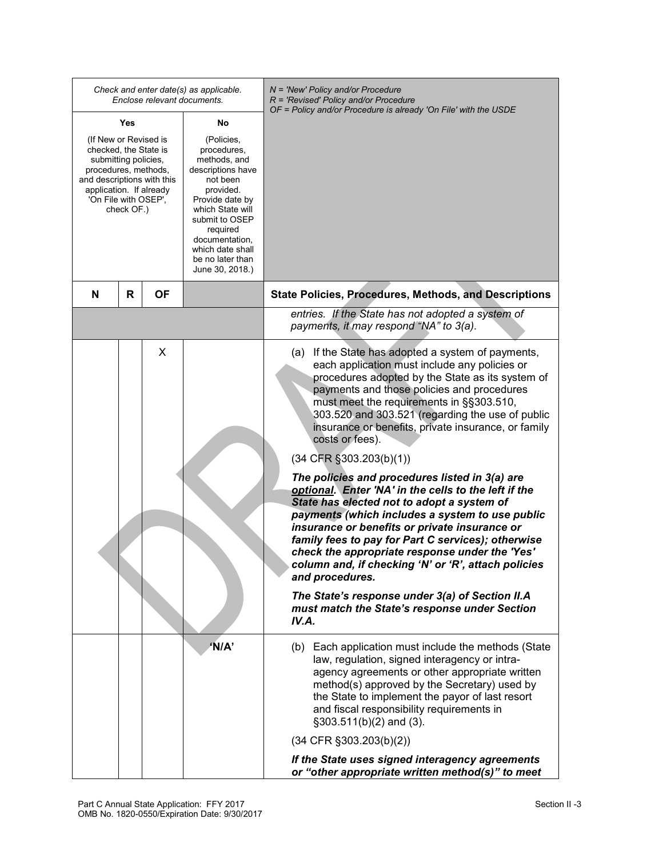| Check and enter date(s) as applicable.<br>Enclose relevant documents.                                                                                                                                                                                                                                                                                                                                                                                   |   |           |       | $N =$ 'New' Policy and/or Procedure<br>$R$ = 'Revised' Policy and/or Procedure<br>OF = Policy and/or Procedure is already 'On File' with the USDE                                                                                                                                                                                                                                                                                                                                                                                                                                                                                                                                                                                                                                                                                                                                                                                                                              |
|---------------------------------------------------------------------------------------------------------------------------------------------------------------------------------------------------------------------------------------------------------------------------------------------------------------------------------------------------------------------------------------------------------------------------------------------------------|---|-----------|-------|--------------------------------------------------------------------------------------------------------------------------------------------------------------------------------------------------------------------------------------------------------------------------------------------------------------------------------------------------------------------------------------------------------------------------------------------------------------------------------------------------------------------------------------------------------------------------------------------------------------------------------------------------------------------------------------------------------------------------------------------------------------------------------------------------------------------------------------------------------------------------------------------------------------------------------------------------------------------------------|
| Yes<br>No<br>(If New or Revised is<br>(Policies,<br>checked, the State is<br>procedures,<br>submitting policies,<br>methods, and<br>procedures, methods,<br>descriptions have<br>and descriptions with this<br>not been<br>application. If already<br>provided.<br>'On File with OSEP',<br>Provide date by<br>check OF.)<br>which State will<br>submit to OSEP<br>required<br>documentation,<br>which date shall<br>be no later than<br>June 30, 2018.) |   |           |       |                                                                                                                                                                                                                                                                                                                                                                                                                                                                                                                                                                                                                                                                                                                                                                                                                                                                                                                                                                                |
| N                                                                                                                                                                                                                                                                                                                                                                                                                                                       | R | <b>OF</b> |       | <b>State Policies, Procedures, Methods, and Descriptions</b>                                                                                                                                                                                                                                                                                                                                                                                                                                                                                                                                                                                                                                                                                                                                                                                                                                                                                                                   |
|                                                                                                                                                                                                                                                                                                                                                                                                                                                         |   |           |       | entries. If the State has not adopted a system of<br>payments, it may respond "NA" to 3(a).                                                                                                                                                                                                                                                                                                                                                                                                                                                                                                                                                                                                                                                                                                                                                                                                                                                                                    |
|                                                                                                                                                                                                                                                                                                                                                                                                                                                         |   | X         |       | If the State has adopted a system of payments,<br>(a)<br>each application must include any policies or<br>procedures adopted by the State as its system of<br>payments and those policies and procedures<br>must meet the requirements in §§303.510,<br>303.520 and 303.521 (regarding the use of public<br>insurance or benefits, private insurance, or family<br>costs or fees).<br>$(34$ CFR $\S$ 303.203(b)(1))<br>The policies and procedures listed in 3(a) are<br>optional. Enter 'NA' in the cells to the left if the<br>State has elected not to adopt a system of<br>payments (which includes a system to use public<br>insurance or benefits or private insurance or<br>family fees to pay for Part C services); otherwise<br>check the appropriate response under the 'Yes'<br>column and, if checking 'N' or 'R', attach policies<br>and procedures.<br>The State's response under 3(a) of Section II.A<br>must match the State's response under Section<br>IV.A. |
|                                                                                                                                                                                                                                                                                                                                                                                                                                                         |   |           | 'N/A' | (b) Each application must include the methods (State<br>law, regulation, signed interagency or intra-<br>agency agreements or other appropriate written<br>method(s) approved by the Secretary) used by<br>the State to implement the payor of last resort<br>and fiscal responsibility requirements in<br>$\S303.511(b)(2)$ and (3).<br>$(34$ CFR $\S 303.203(b)(2))$                                                                                                                                                                                                                                                                                                                                                                                                                                                                                                                                                                                                         |
|                                                                                                                                                                                                                                                                                                                                                                                                                                                         |   |           |       | If the State uses signed interagency agreements<br>or "other appropriate written method(s)" to meet                                                                                                                                                                                                                                                                                                                                                                                                                                                                                                                                                                                                                                                                                                                                                                                                                                                                            |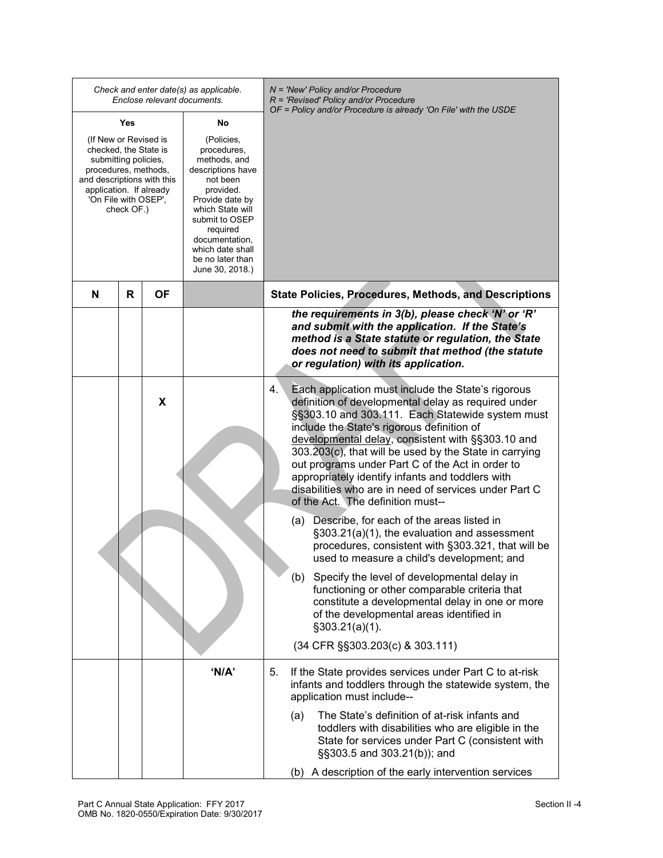|                                                                                                                                                                                               |    | Check and enter date(s) as applicable.<br>Enclose relevant documents.                                                                                                                                                                     |    |     | N = 'New' Policy and/or Procedure<br>$R$ = 'Revised' Policy and/or Procedure<br>OF = Policy and/or Procedure is already 'On File' with the USDE                                                                                                                                                                                                                                                                                                                                                                                  |
|-----------------------------------------------------------------------------------------------------------------------------------------------------------------------------------------------|----|-------------------------------------------------------------------------------------------------------------------------------------------------------------------------------------------------------------------------------------------|----|-----|----------------------------------------------------------------------------------------------------------------------------------------------------------------------------------------------------------------------------------------------------------------------------------------------------------------------------------------------------------------------------------------------------------------------------------------------------------------------------------------------------------------------------------|
| Yes                                                                                                                                                                                           |    | No                                                                                                                                                                                                                                        |    |     |                                                                                                                                                                                                                                                                                                                                                                                                                                                                                                                                  |
| (If New or Revised is<br>checked, the State is<br>submitting policies,<br>procedures, methods,<br>and descriptions with this<br>application. If already<br>'On File with OSEP',<br>check OF.) |    | (Policies,<br>procedures,<br>methods, and<br>descriptions have<br>not been<br>provided.<br>Provide date by<br>which State will<br>submit to OSEP<br>required<br>documentation,<br>which date shall<br>be no later than<br>June 30, 2018.) |    |     |                                                                                                                                                                                                                                                                                                                                                                                                                                                                                                                                  |
| R<br>N                                                                                                                                                                                        | ΟF |                                                                                                                                                                                                                                           |    |     | <b>State Policies, Procedures, Methods, and Descriptions</b>                                                                                                                                                                                                                                                                                                                                                                                                                                                                     |
|                                                                                                                                                                                               |    |                                                                                                                                                                                                                                           |    |     | the requirements in 3(b), please check 'N' or 'R'<br>and submit with the application. If the State's<br>method is a State statute or regulation, the State<br>does not need to submit that method (the statute<br>or regulation) with its application.                                                                                                                                                                                                                                                                           |
|                                                                                                                                                                                               | X  |                                                                                                                                                                                                                                           | 4. |     | Each application must include the State's rigorous<br>definition of developmental delay as required under<br>§§303.10 and 303.111. Each Statewide system must<br>include the State's rigorous definition of<br>developmental delay, consistent with §§303.10 and<br>303.203(c), that will be used by the State in carrying<br>out programs under Part C of the Act in order to<br>appropriately identify infants and toddlers with<br>disabilities who are in need of services under Part C<br>of the Act. The definition must-- |
|                                                                                                                                                                                               |    |                                                                                                                                                                                                                                           |    | (a) | Describe, for each of the areas listed in<br>§303.21(a)(1), the evaluation and assessment<br>procedures, consistent with §303.321, that will be<br>used to measure a child's development; and                                                                                                                                                                                                                                                                                                                                    |
|                                                                                                                                                                                               |    |                                                                                                                                                                                                                                           |    |     | (b) Specify the level of developmental delay in<br>functioning or other comparable criteria that<br>constitute a developmental delay in one or more<br>of the developmental areas identified in<br>$\S$ 303.21(a)(1).                                                                                                                                                                                                                                                                                                            |
|                                                                                                                                                                                               |    |                                                                                                                                                                                                                                           |    |     | (34 CFR §§303.203(c) & 303.111)                                                                                                                                                                                                                                                                                                                                                                                                                                                                                                  |
|                                                                                                                                                                                               |    | 'N/A'                                                                                                                                                                                                                                     | 5. |     | If the State provides services under Part C to at-risk<br>infants and toddlers through the statewide system, the<br>application must include--                                                                                                                                                                                                                                                                                                                                                                                   |
|                                                                                                                                                                                               |    |                                                                                                                                                                                                                                           |    | (a) | The State's definition of at-risk infants and<br>toddlers with disabilities who are eligible in the<br>State for services under Part C (consistent with<br>§§303.5 and 303.21(b)); and                                                                                                                                                                                                                                                                                                                                           |
|                                                                                                                                                                                               |    |                                                                                                                                                                                                                                           |    |     | (b) A description of the early intervention services                                                                                                                                                                                                                                                                                                                                                                                                                                                                             |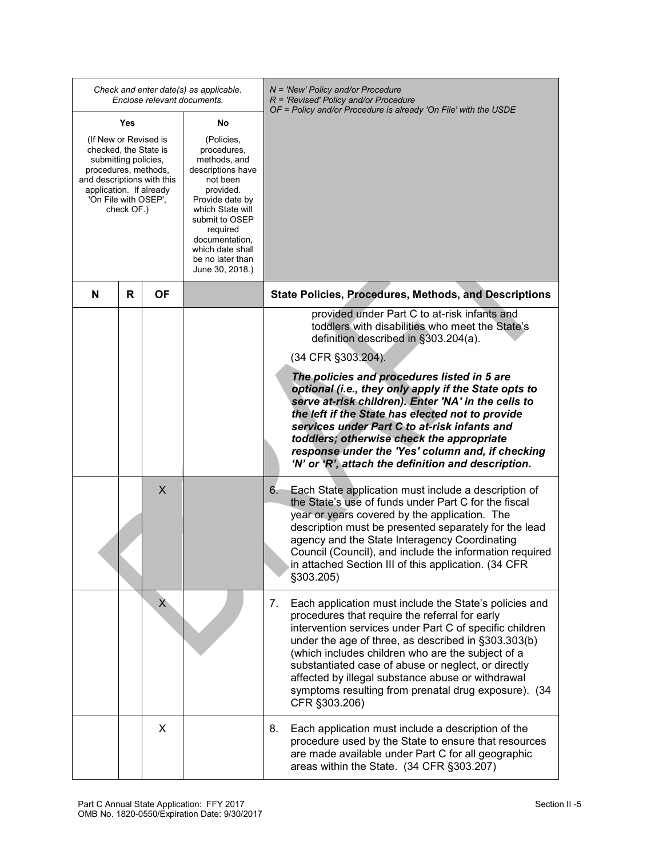| Check and enter date(s) as applicable.<br>Enclose relevant documents.                                                                                                                         |     |                                                                                                                                                                                                                                           |    | N = 'New' Policy and/or Procedure<br>$R$ = 'Revised' Policy and/or Procedure<br>OF = Policy and/or Procedure is already 'On File' with the USDE                                                                                                                                                                                                                                                                                                                            |
|-----------------------------------------------------------------------------------------------------------------------------------------------------------------------------------------------|-----|-------------------------------------------------------------------------------------------------------------------------------------------------------------------------------------------------------------------------------------------|----|----------------------------------------------------------------------------------------------------------------------------------------------------------------------------------------------------------------------------------------------------------------------------------------------------------------------------------------------------------------------------------------------------------------------------------------------------------------------------|
|                                                                                                                                                                                               | Yes |                                                                                                                                                                                                                                           | No |                                                                                                                                                                                                                                                                                                                                                                                                                                                                            |
| (If New or Revised is<br>checked, the State is<br>submitting policies,<br>procedures, methods,<br>and descriptions with this<br>application. If already<br>'On File with OSEP',<br>check OF.) |     | (Policies,<br>procedures,<br>methods, and<br>descriptions have<br>not been<br>provided.<br>Provide date by<br>which State will<br>submit to OSEP<br>required<br>documentation,<br>which date shall<br>be no later than<br>June 30, 2018.) |    |                                                                                                                                                                                                                                                                                                                                                                                                                                                                            |
| N                                                                                                                                                                                             | R   | ΟF                                                                                                                                                                                                                                        |    | <b>State Policies, Procedures, Methods, and Descriptions</b>                                                                                                                                                                                                                                                                                                                                                                                                               |
|                                                                                                                                                                                               |     |                                                                                                                                                                                                                                           |    | provided under Part C to at-risk infants and<br>toddlers with disabilities who meet the State's<br>definition described in §303.204(a).                                                                                                                                                                                                                                                                                                                                    |
|                                                                                                                                                                                               |     |                                                                                                                                                                                                                                           |    | (34 CFR §303.204).                                                                                                                                                                                                                                                                                                                                                                                                                                                         |
|                                                                                                                                                                                               |     |                                                                                                                                                                                                                                           |    | The policies and procedures listed in 5 are<br>optional (i.e., they only apply if the State opts to<br>serve at-risk children). Enter 'NA' in the cells to<br>the left if the State has elected not to provide<br>services under Part C to at-risk infants and<br>toddlers; otherwise check the appropriate<br>response under the 'Yes' column and, if checking<br>'N' or 'R', attach the definition and description.                                                      |
|                                                                                                                                                                                               |     | X                                                                                                                                                                                                                                         |    | Each State application must include a description of<br>6.<br>the State's use of funds under Part C for the fiscal<br>year or years covered by the application. The<br>description must be presented separately for the lead<br>agency and the State Interagency Coordinating<br>Council (Council), and include the information required<br>in attached Section III of this application. (34 CFR<br>§303.205)                                                              |
|                                                                                                                                                                                               |     | X                                                                                                                                                                                                                                         |    | Each application must include the State's policies and<br>7.<br>procedures that require the referral for early<br>intervention services under Part C of specific children<br>under the age of three, as described in §303.303(b)<br>(which includes children who are the subject of a<br>substantiated case of abuse or neglect, or directly<br>affected by illegal substance abuse or withdrawal<br>symptoms resulting from prenatal drug exposure). (34<br>CFR §303.206) |
|                                                                                                                                                                                               |     | X                                                                                                                                                                                                                                         |    | 8.<br>Each application must include a description of the<br>procedure used by the State to ensure that resources<br>are made available under Part C for all geographic<br>areas within the State. (34 CFR §303.207)                                                                                                                                                                                                                                                        |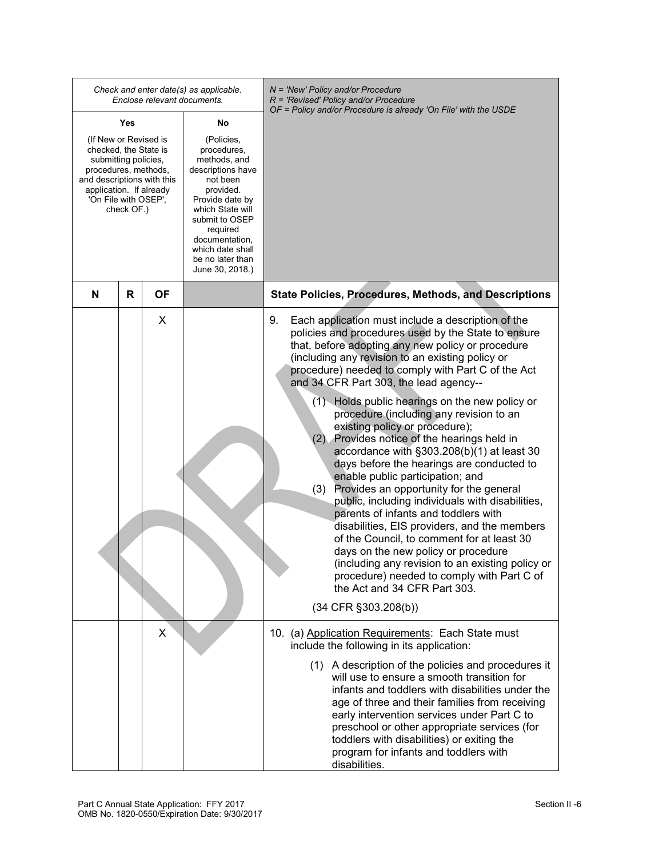|                                                                                                                                                                                               |   | Enclose relevant documents. | Check and enter date(s) as applicable.                                                                                                                                                                                                    | $N =$ 'New' Policy and/or Procedure<br>$R$ = 'Revised' Policy and/or Procedure<br>OF = Policy and/or Procedure is already 'On File' with the USDE                                                                                                                                                                                                                                                                                                                                                                                                                                                                                                                                                                                                                                                                                                                                                                                                                                                                                                                                        |
|-----------------------------------------------------------------------------------------------------------------------------------------------------------------------------------------------|---|-----------------------------|-------------------------------------------------------------------------------------------------------------------------------------------------------------------------------------------------------------------------------------------|------------------------------------------------------------------------------------------------------------------------------------------------------------------------------------------------------------------------------------------------------------------------------------------------------------------------------------------------------------------------------------------------------------------------------------------------------------------------------------------------------------------------------------------------------------------------------------------------------------------------------------------------------------------------------------------------------------------------------------------------------------------------------------------------------------------------------------------------------------------------------------------------------------------------------------------------------------------------------------------------------------------------------------------------------------------------------------------|
| Yes<br>No                                                                                                                                                                                     |   |                             |                                                                                                                                                                                                                                           |                                                                                                                                                                                                                                                                                                                                                                                                                                                                                                                                                                                                                                                                                                                                                                                                                                                                                                                                                                                                                                                                                          |
| (If New or Revised is<br>checked, the State is<br>submitting policies,<br>procedures, methods,<br>and descriptions with this<br>application. If already<br>'On File with OSEP',<br>check OF.) |   |                             | (Policies,<br>procedures,<br>methods, and<br>descriptions have<br>not been<br>provided.<br>Provide date by<br>which State will<br>submit to OSEP<br>required<br>documentation,<br>which date shall<br>be no later than<br>June 30, 2018.) |                                                                                                                                                                                                                                                                                                                                                                                                                                                                                                                                                                                                                                                                                                                                                                                                                                                                                                                                                                                                                                                                                          |
| N                                                                                                                                                                                             | R | ΟF                          |                                                                                                                                                                                                                                           | <b>State Policies, Procedures, Methods, and Descriptions</b>                                                                                                                                                                                                                                                                                                                                                                                                                                                                                                                                                                                                                                                                                                                                                                                                                                                                                                                                                                                                                             |
|                                                                                                                                                                                               |   | X                           |                                                                                                                                                                                                                                           | Each application must include a description of the<br>9.<br>policies and procedures used by the State to ensure<br>that, before adopting any new policy or procedure<br>(including any revision to an existing policy or<br>procedure) needed to comply with Part C of the Act<br>and 34 CFR Part 303, the lead agency--<br>(1) Holds public hearings on the new policy or<br>procedure (including any revision to an<br>existing policy or procedure);<br>(2) Provides notice of the hearings held in<br>accordance with §303.208(b)(1) at least 30<br>days before the hearings are conducted to<br>enable public participation; and<br>Provides an opportunity for the general<br>(3)<br>public, including individuals with disabilities,<br>parents of infants and toddlers with<br>disabilities, EIS providers, and the members<br>of the Council, to comment for at least 30<br>days on the new policy or procedure<br>(including any revision to an existing policy or<br>procedure) needed to comply with Part C of<br>the Act and 34 CFR Part 303.<br>$(34$ CFR $\S 303.208(b))$ |
|                                                                                                                                                                                               |   | X                           |                                                                                                                                                                                                                                           | 10. (a) Application Requirements: Each State must<br>include the following in its application:<br>(1) A description of the policies and procedures it<br>will use to ensure a smooth transition for<br>infants and toddlers with disabilities under the<br>age of three and their families from receiving<br>early intervention services under Part C to<br>preschool or other appropriate services (for<br>toddlers with disabilities) or exiting the<br>program for infants and toddlers with<br>disabilities.                                                                                                                                                                                                                                                                                                                                                                                                                                                                                                                                                                         |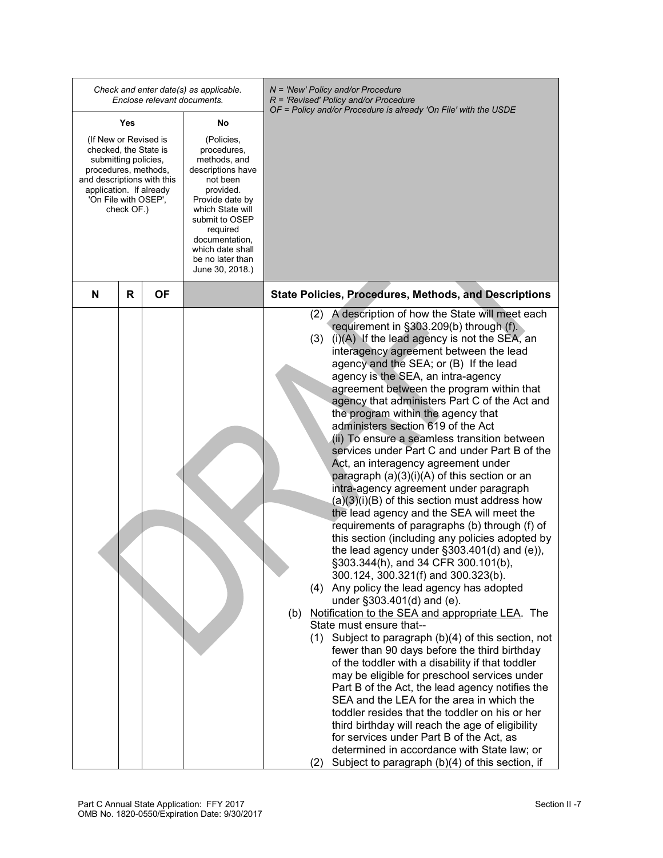|                                                                                                                                                                                               | Enclose relevant documents. | Check and enter date(s) as applicable.                                                                                                                                                                                                    | N = 'New' Policy and/or Procedure<br>$R$ = 'Revised' Policy and/or Procedure<br>OF = Policy and/or Procedure is already 'On File' with the USDE                                                                                                                                                                                                                                                                                                                                                                                                                                                                                                                                                                                                                                                                                                                                                                                                                                                                                                                                                                                                                                                                                                                                                                                                                                                                                                                                                                                                                                                                                                                                                                                                                                    |
|-----------------------------------------------------------------------------------------------------------------------------------------------------------------------------------------------|-----------------------------|-------------------------------------------------------------------------------------------------------------------------------------------------------------------------------------------------------------------------------------------|------------------------------------------------------------------------------------------------------------------------------------------------------------------------------------------------------------------------------------------------------------------------------------------------------------------------------------------------------------------------------------------------------------------------------------------------------------------------------------------------------------------------------------------------------------------------------------------------------------------------------------------------------------------------------------------------------------------------------------------------------------------------------------------------------------------------------------------------------------------------------------------------------------------------------------------------------------------------------------------------------------------------------------------------------------------------------------------------------------------------------------------------------------------------------------------------------------------------------------------------------------------------------------------------------------------------------------------------------------------------------------------------------------------------------------------------------------------------------------------------------------------------------------------------------------------------------------------------------------------------------------------------------------------------------------------------------------------------------------------------------------------------------------|
| Yes                                                                                                                                                                                           |                             | No                                                                                                                                                                                                                                        |                                                                                                                                                                                                                                                                                                                                                                                                                                                                                                                                                                                                                                                                                                                                                                                                                                                                                                                                                                                                                                                                                                                                                                                                                                                                                                                                                                                                                                                                                                                                                                                                                                                                                                                                                                                    |
| (If New or Revised is<br>checked, the State is<br>submitting policies,<br>procedures, methods,<br>and descriptions with this<br>application. If already<br>'On File with OSEP',<br>check OF.) |                             | (Policies,<br>procedures,<br>methods, and<br>descriptions have<br>not been<br>provided.<br>Provide date by<br>which State will<br>submit to OSEP<br>required<br>documentation,<br>which date shall<br>be no later than<br>June 30, 2018.) |                                                                                                                                                                                                                                                                                                                                                                                                                                                                                                                                                                                                                                                                                                                                                                                                                                                                                                                                                                                                                                                                                                                                                                                                                                                                                                                                                                                                                                                                                                                                                                                                                                                                                                                                                                                    |
| R<br>N                                                                                                                                                                                        | ΟF                          |                                                                                                                                                                                                                                           | <b>State Policies, Procedures, Methods, and Descriptions</b>                                                                                                                                                                                                                                                                                                                                                                                                                                                                                                                                                                                                                                                                                                                                                                                                                                                                                                                                                                                                                                                                                                                                                                                                                                                                                                                                                                                                                                                                                                                                                                                                                                                                                                                       |
|                                                                                                                                                                                               |                             |                                                                                                                                                                                                                                           | A description of how the State will meet each<br>(2)<br>requirement in §303.209(b) through (f).<br>$(i)(A)$ If the lead agency is not the SEA, an<br>(3)<br>interagency agreement between the lead<br>agency and the SEA; or (B) If the lead<br>agency is the SEA, an intra-agency<br>agreement between the program within that<br>agency that administers Part C of the Act and<br>the program within the agency that<br>administers section 619 of the Act<br>(ii) To ensure a seamless transition between<br>services under Part C and under Part B of the<br>Act, an interagency agreement under<br>paragraph $(a)(3)(i)(A)$ of this section or an<br>intra-agency agreement under paragraph<br>$(a)(3)(i)(B)$ of this section must address how<br>the lead agency and the SEA will meet the<br>requirements of paragraphs (b) through (f) of<br>this section (including any policies adopted by<br>the lead agency under $\S 303.401(d)$ and (e)),<br>§303.344(h), and 34 CFR 300.101(b),<br>300.124, 300.321(f) and 300.323(b).<br>(4) Any policy the lead agency has adopted<br>under §303.401(d) and (e).<br>Notification to the SEA and appropriate LEA. The<br>(b)<br>State must ensure that--<br>Subject to paragraph (b)(4) of this section, not<br>(1)<br>fewer than 90 days before the third birthday<br>of the toddler with a disability if that toddler<br>may be eligible for preschool services under<br>Part B of the Act, the lead agency notifies the<br>SEA and the LEA for the area in which the<br>toddler resides that the toddler on his or her<br>third birthday will reach the age of eligibility<br>for services under Part B of the Act, as<br>determined in accordance with State law; or<br>Subject to paragraph (b)(4) of this section, if<br>(2) |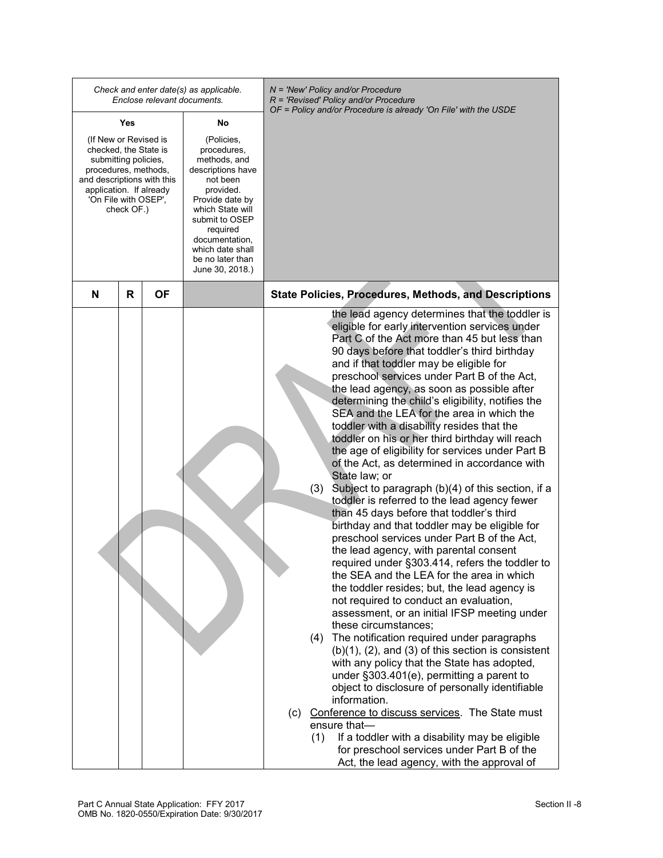|                                                                                                                                                                                               |     | Enclose relevant documents. | Check and enter date(s) as applicable.                                                                                                                                                                                                    | $N = 'New' Policy and/or Procedure$<br>$R$ = 'Revised' Policy and/or Procedure                                                                                                                                                                                                                                                                                                                                                                                                                                                                                                                                                                                                                                                                                                                                                                                                                                                                                                                                                                                                                                                                                                                                                                                                                                                                                                                                                                                                                                                                                                                                                                                                                                                                   |
|-----------------------------------------------------------------------------------------------------------------------------------------------------------------------------------------------|-----|-----------------------------|-------------------------------------------------------------------------------------------------------------------------------------------------------------------------------------------------------------------------------------------|--------------------------------------------------------------------------------------------------------------------------------------------------------------------------------------------------------------------------------------------------------------------------------------------------------------------------------------------------------------------------------------------------------------------------------------------------------------------------------------------------------------------------------------------------------------------------------------------------------------------------------------------------------------------------------------------------------------------------------------------------------------------------------------------------------------------------------------------------------------------------------------------------------------------------------------------------------------------------------------------------------------------------------------------------------------------------------------------------------------------------------------------------------------------------------------------------------------------------------------------------------------------------------------------------------------------------------------------------------------------------------------------------------------------------------------------------------------------------------------------------------------------------------------------------------------------------------------------------------------------------------------------------------------------------------------------------------------------------------------------------|
|                                                                                                                                                                                               | Yes |                             | No                                                                                                                                                                                                                                        | OF = Policy and/or Procedure is already 'On File' with the USDE                                                                                                                                                                                                                                                                                                                                                                                                                                                                                                                                                                                                                                                                                                                                                                                                                                                                                                                                                                                                                                                                                                                                                                                                                                                                                                                                                                                                                                                                                                                                                                                                                                                                                  |
| (If New or Revised is<br>checked, the State is<br>submitting policies,<br>procedures, methods,<br>and descriptions with this<br>application. If already<br>'On File with OSEP',<br>check OF.) |     |                             | (Policies,<br>procedures,<br>methods, and<br>descriptions have<br>not been<br>provided.<br>Provide date by<br>which State will<br>submit to OSEP<br>required<br>documentation,<br>which date shall<br>be no later than<br>June 30, 2018.) |                                                                                                                                                                                                                                                                                                                                                                                                                                                                                                                                                                                                                                                                                                                                                                                                                                                                                                                                                                                                                                                                                                                                                                                                                                                                                                                                                                                                                                                                                                                                                                                                                                                                                                                                                  |
| N                                                                                                                                                                                             | R   | ΟF                          |                                                                                                                                                                                                                                           | <b>State Policies, Procedures, Methods, and Descriptions</b>                                                                                                                                                                                                                                                                                                                                                                                                                                                                                                                                                                                                                                                                                                                                                                                                                                                                                                                                                                                                                                                                                                                                                                                                                                                                                                                                                                                                                                                                                                                                                                                                                                                                                     |
|                                                                                                                                                                                               |     |                             |                                                                                                                                                                                                                                           | the lead agency determines that the toddler is<br>eligible for early intervention services under<br>Part C of the Act more than 45 but less than<br>90 days before that toddler's third birthday<br>and if that toddler may be eligible for<br>preschool services under Part B of the Act,<br>the lead agency, as soon as possible after<br>determining the child's eligibility, notifies the<br>SEA and the LEA for the area in which the<br>toddler with a disability resides that the<br>toddler on his or her third birthday will reach<br>the age of eligibility for services under Part B<br>of the Act, as determined in accordance with<br>State law; or<br>(3)<br>Subject to paragraph (b)(4) of this section, if a<br>toddler is referred to the lead agency fewer<br>than 45 days before that toddler's third<br>birthday and that toddler may be eligible for<br>preschool services under Part B of the Act,<br>the lead agency, with parental consent<br>required under §303.414, refers the toddler to<br>the SEA and the LEA for the area in which<br>the toddler resides; but, the lead agency is<br>not required to conduct an evaluation,<br>assessment, or an initial IFSP meeting under<br>these circumstances;<br>The notification required under paragraphs<br>(4)<br>$(b)(1)$ , $(2)$ , and $(3)$ of this section is consistent<br>with any policy that the State has adopted,<br>under §303.401(e), permitting a parent to<br>object to disclosure of personally identifiable<br>information.<br>(c) Conference to discuss services. The State must<br>ensure that-<br>If a toddler with a disability may be eligible<br>(1)<br>for preschool services under Part B of the<br>Act, the lead agency, with the approval of |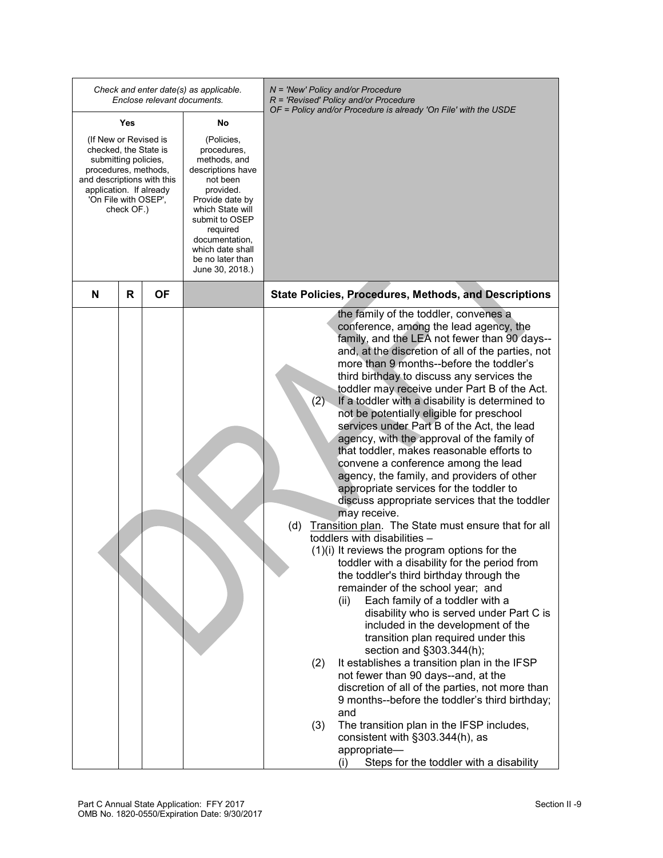|                                                                                                                                                                                 |            | Enclose relevant documents. | Check and enter date(s) as applicable.                                                                                                                                                                                                    | N = 'New' Policy and/or Procedure<br>R = 'Revised' Policy and/or Procedure<br>OF = Policy and/or Procedure is already 'On File' with the USDE                                                                                                                                                                                                                                                                                                                                                                                                                                                                                                                                                                                                                                                                                                                                                                                                                                                                                                                                                                                                                                                                                                                                                                                                                                                                                                                                                                                                                                                                                         |
|---------------------------------------------------------------------------------------------------------------------------------------------------------------------------------|------------|-----------------------------|-------------------------------------------------------------------------------------------------------------------------------------------------------------------------------------------------------------------------------------------|---------------------------------------------------------------------------------------------------------------------------------------------------------------------------------------------------------------------------------------------------------------------------------------------------------------------------------------------------------------------------------------------------------------------------------------------------------------------------------------------------------------------------------------------------------------------------------------------------------------------------------------------------------------------------------------------------------------------------------------------------------------------------------------------------------------------------------------------------------------------------------------------------------------------------------------------------------------------------------------------------------------------------------------------------------------------------------------------------------------------------------------------------------------------------------------------------------------------------------------------------------------------------------------------------------------------------------------------------------------------------------------------------------------------------------------------------------------------------------------------------------------------------------------------------------------------------------------------------------------------------------------|
| Yes                                                                                                                                                                             |            |                             | No                                                                                                                                                                                                                                        |                                                                                                                                                                                                                                                                                                                                                                                                                                                                                                                                                                                                                                                                                                                                                                                                                                                                                                                                                                                                                                                                                                                                                                                                                                                                                                                                                                                                                                                                                                                                                                                                                                       |
| (If New or Revised is<br>checked, the State is<br>submitting policies,<br>procedures, methods,<br>and descriptions with this<br>application. If already<br>'On File with OSEP', | check OF.) |                             | (Policies,<br>procedures,<br>methods, and<br>descriptions have<br>not been<br>provided.<br>Provide date by<br>which State will<br>submit to OSEP<br>required<br>documentation,<br>which date shall<br>be no later than<br>June 30, 2018.) |                                                                                                                                                                                                                                                                                                                                                                                                                                                                                                                                                                                                                                                                                                                                                                                                                                                                                                                                                                                                                                                                                                                                                                                                                                                                                                                                                                                                                                                                                                                                                                                                                                       |
| N                                                                                                                                                                               | R          | ΟF                          |                                                                                                                                                                                                                                           | <b>State Policies, Procedures, Methods, and Descriptions</b>                                                                                                                                                                                                                                                                                                                                                                                                                                                                                                                                                                                                                                                                                                                                                                                                                                                                                                                                                                                                                                                                                                                                                                                                                                                                                                                                                                                                                                                                                                                                                                          |
|                                                                                                                                                                                 |            |                             |                                                                                                                                                                                                                                           | the family of the toddler, convenes a<br>conference, among the lead agency, the<br>family, and the LEA not fewer than 90 days--<br>and, at the discretion of all of the parties, not<br>more than 9 months--before the toddler's<br>third birthday to discuss any services the<br>toddler may receive under Part B of the Act.<br>(2)<br>If a toddler with a disability is determined to<br>not be potentially eligible for preschool<br>services under Part B of the Act, the lead<br>agency, with the approval of the family of<br>that toddler, makes reasonable efforts to<br>convene a conference among the lead<br>agency, the family, and providers of other<br>appropriate services for the toddler to<br>discuss appropriate services that the toddler<br>may receive.<br>Transition plan. The State must ensure that for all<br>(d)<br>toddlers with disabilities -<br>$(1)(i)$ It reviews the program options for the<br>toddler with a disability for the period from<br>the toddler's third birthday through the<br>remainder of the school year; and<br>Each family of a toddler with a<br>(ii)<br>disability who is served under Part C is<br>included in the development of the<br>transition plan required under this<br>section and §303.344(h);<br>It establishes a transition plan in the IFSP<br>(2)<br>not fewer than 90 days--and, at the<br>discretion of all of the parties, not more than<br>9 months--before the toddler's third birthday;<br>and<br>The transition plan in the IFSP includes,<br>(3)<br>consistent with §303.344(h), as<br>appropriate-<br>Steps for the toddler with a disability<br>(i) |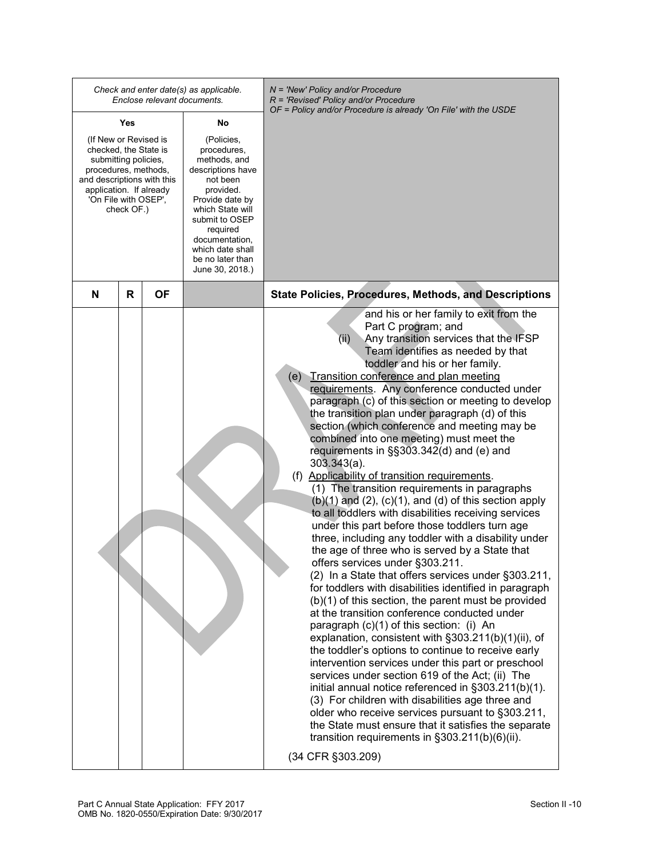|                                                                                                                                                                                               |     | Enclose relevant documents. | Check and enter date(s) as applicable.                                                                                                                                                                                                    | N = 'New' Policy and/or Procedure<br>$R$ = 'Revised' Policy and/or Procedure<br>OF = Policy and/or Procedure is already 'On File' with the USDE                                                                                                                                                                                                                                                                                                                                                                                                                                                                                                                                                                                                                                                                                                                                                                                                                                                                                                                                                                                                                                                                                                                                                                                                                                                                                                                                                                                                                                                                                                                                                                                                                               |
|-----------------------------------------------------------------------------------------------------------------------------------------------------------------------------------------------|-----|-----------------------------|-------------------------------------------------------------------------------------------------------------------------------------------------------------------------------------------------------------------------------------------|-------------------------------------------------------------------------------------------------------------------------------------------------------------------------------------------------------------------------------------------------------------------------------------------------------------------------------------------------------------------------------------------------------------------------------------------------------------------------------------------------------------------------------------------------------------------------------------------------------------------------------------------------------------------------------------------------------------------------------------------------------------------------------------------------------------------------------------------------------------------------------------------------------------------------------------------------------------------------------------------------------------------------------------------------------------------------------------------------------------------------------------------------------------------------------------------------------------------------------------------------------------------------------------------------------------------------------------------------------------------------------------------------------------------------------------------------------------------------------------------------------------------------------------------------------------------------------------------------------------------------------------------------------------------------------------------------------------------------------------------------------------------------------|
|                                                                                                                                                                                               | Yes |                             | No                                                                                                                                                                                                                                        |                                                                                                                                                                                                                                                                                                                                                                                                                                                                                                                                                                                                                                                                                                                                                                                                                                                                                                                                                                                                                                                                                                                                                                                                                                                                                                                                                                                                                                                                                                                                                                                                                                                                                                                                                                               |
| (If New or Revised is<br>checked, the State is<br>submitting policies,<br>procedures, methods,<br>and descriptions with this<br>application. If already<br>'On File with OSEP',<br>check OF.) |     |                             | (Policies,<br>procedures,<br>methods, and<br>descriptions have<br>not been<br>provided.<br>Provide date by<br>which State will<br>submit to OSEP<br>required<br>documentation,<br>which date shall<br>be no later than<br>June 30, 2018.) |                                                                                                                                                                                                                                                                                                                                                                                                                                                                                                                                                                                                                                                                                                                                                                                                                                                                                                                                                                                                                                                                                                                                                                                                                                                                                                                                                                                                                                                                                                                                                                                                                                                                                                                                                                               |
| N                                                                                                                                                                                             | R   | ΟF                          |                                                                                                                                                                                                                                           | <b>State Policies, Procedures, Methods, and Descriptions</b>                                                                                                                                                                                                                                                                                                                                                                                                                                                                                                                                                                                                                                                                                                                                                                                                                                                                                                                                                                                                                                                                                                                                                                                                                                                                                                                                                                                                                                                                                                                                                                                                                                                                                                                  |
|                                                                                                                                                                                               |     |                             |                                                                                                                                                                                                                                           | and his or her family to exit from the<br>Part C program; and<br>Any transition services that the IFSP<br>(ii)<br>Team identifies as needed by that<br>toddler and his or her family.<br>(e) Transition conference and plan meeting<br>requirements. Any conference conducted under<br>paragraph (c) of this section or meeting to develop<br>the transition plan under paragraph (d) of this<br>section (which conference and meeting may be<br>combined into one meeting) must meet the<br>requirements in §§303.342(d) and (e) and<br>$303.343(a)$ .<br>(f) Applicability of transition requirements.<br>(1) The transition requirements in paragraphs<br>$(b)(1)$ and $(2)$ , $(c)(1)$ , and $(d)$ of this section apply<br>to all toddlers with disabilities receiving services<br>under this part before those toddlers turn age<br>three, including any toddler with a disability under<br>the age of three who is served by a State that<br>offers services under §303.211.<br>(2) In a State that offers services under §303.211,<br>for toddlers with disabilities identified in paragraph<br>$(b)(1)$ of this section, the parent must be provided<br>at the transition conference conducted under<br>paragraph (c)(1) of this section: (i) An<br>explanation, consistent with §303.211(b)(1)(ii), of<br>the toddler's options to continue to receive early<br>intervention services under this part or preschool<br>services under section 619 of the Act; (ii) The<br>initial annual notice referenced in §303.211(b)(1).<br>(3) For children with disabilities age three and<br>older who receive services pursuant to §303.211,<br>the State must ensure that it satisfies the separate<br>transition requirements in §303.211(b)(6)(ii).<br>(34 CFR §303.209) |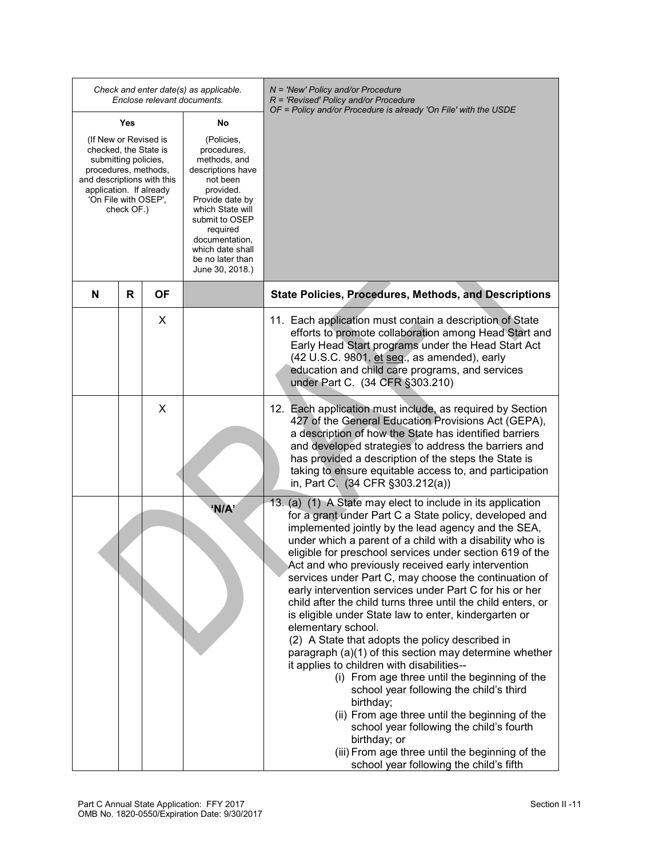|                                                                                                                                                                                 |            |           | Check and enter date(s) as applicable.<br>Enclose relevant documents.                                                                                                                                                                     | N = 'New' Policy and/or Procedure<br>$R$ = 'Revised' Policy and/or Procedure<br>OF = Policy and/or Procedure is already 'On File' with the USDE                                                                                                                                                                                                                                                                                                                                                                                                                                                                                                                                                                                                                                                                                                                                                                                                                                                                                                                                                               |
|---------------------------------------------------------------------------------------------------------------------------------------------------------------------------------|------------|-----------|-------------------------------------------------------------------------------------------------------------------------------------------------------------------------------------------------------------------------------------------|---------------------------------------------------------------------------------------------------------------------------------------------------------------------------------------------------------------------------------------------------------------------------------------------------------------------------------------------------------------------------------------------------------------------------------------------------------------------------------------------------------------------------------------------------------------------------------------------------------------------------------------------------------------------------------------------------------------------------------------------------------------------------------------------------------------------------------------------------------------------------------------------------------------------------------------------------------------------------------------------------------------------------------------------------------------------------------------------------------------|
|                                                                                                                                                                                 | Yes        |           | No                                                                                                                                                                                                                                        |                                                                                                                                                                                                                                                                                                                                                                                                                                                                                                                                                                                                                                                                                                                                                                                                                                                                                                                                                                                                                                                                                                               |
| (If New or Revised is<br>checked, the State is<br>submitting policies,<br>procedures, methods,<br>and descriptions with this<br>application. If already<br>'On File with OSEP', | check OF.) |           | (Policies,<br>procedures,<br>methods, and<br>descriptions have<br>not been<br>provided.<br>Provide date by<br>which State will<br>submit to OSEP<br>required<br>documentation,<br>which date shall<br>be no later than<br>June 30, 2018.) |                                                                                                                                                                                                                                                                                                                                                                                                                                                                                                                                                                                                                                                                                                                                                                                                                                                                                                                                                                                                                                                                                                               |
| N                                                                                                                                                                               | R          | <b>OF</b> |                                                                                                                                                                                                                                           | <b>State Policies, Procedures, Methods, and Descriptions</b>                                                                                                                                                                                                                                                                                                                                                                                                                                                                                                                                                                                                                                                                                                                                                                                                                                                                                                                                                                                                                                                  |
|                                                                                                                                                                                 |            | X         |                                                                                                                                                                                                                                           | 11. Each application must contain a description of State<br>efforts to promote collaboration among Head Start and<br>Early Head Start programs under the Head Start Act<br>(42 U.S.C. 9801, et seq., as amended), early<br>education and child care programs, and services<br>under Part C. (34 CFR §303.210)                                                                                                                                                                                                                                                                                                                                                                                                                                                                                                                                                                                                                                                                                                                                                                                                 |
|                                                                                                                                                                                 |            | X         |                                                                                                                                                                                                                                           | 12. Each application must include, as required by Section<br>427 of the General Education Provisions Act (GEPA),<br>a description of how the State has identified barriers<br>and developed strategies to address the barriers and<br>has provided a description of the steps the State is<br>taking to ensure equitable access to, and participation<br>in, Part C. (34 CFR §303.212(a))                                                                                                                                                                                                                                                                                                                                                                                                                                                                                                                                                                                                                                                                                                                     |
|                                                                                                                                                                                 |            |           | 'N/A'                                                                                                                                                                                                                                     | 13. (a) (1) A State may elect to include in its application<br>for a grant under Part C a State policy, developed and<br>implemented jointly by the lead agency and the SEA,<br>under which a parent of a child with a disability who is<br>eligible for preschool services under section 619 of the<br>Act and who previously received early intervention<br>services under Part C, may choose the continuation of<br>early intervention services under Part C for his or her<br>child after the child turns three until the child enters, or<br>is eligible under State law to enter, kindergarten or<br>elementary school.<br>(2) A State that adopts the policy described in<br>paragraph (a)(1) of this section may determine whether<br>it applies to children with disabilities--<br>(i) From age three until the beginning of the<br>school year following the child's third<br>birthday;<br>(ii) From age three until the beginning of the<br>school year following the child's fourth<br>birthday; or<br>(iii) From age three until the beginning of the<br>school year following the child's fifth |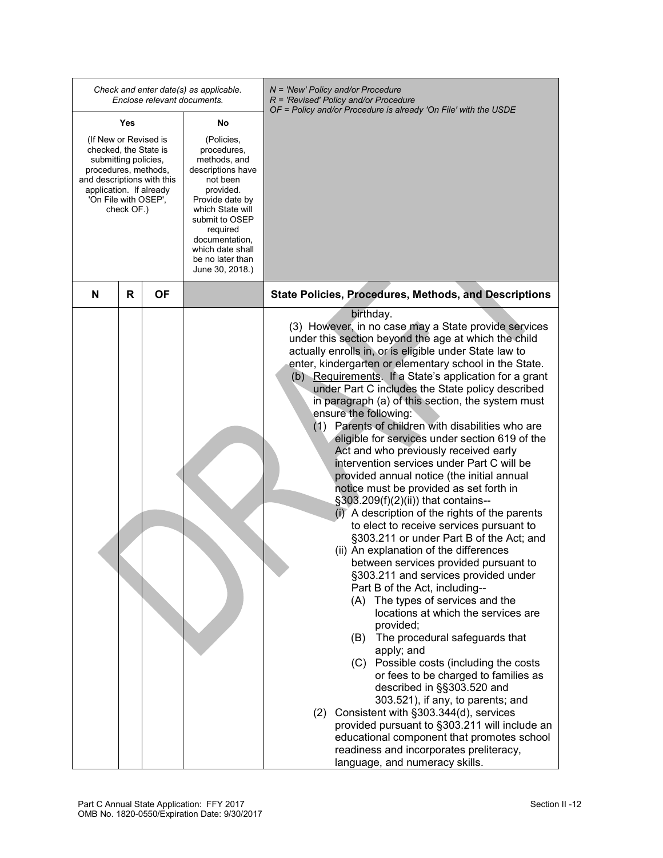|                                                                                                                                                                                               |         |  | Check and enter date(s) as applicable.<br>Enclose relevant documents.                                                                                                                                                                     | N = 'New' Policy and/or Procedure<br>$R$ = 'Revised' Policy and/or Procedure<br>OF = Policy and/or Procedure is already 'On File' with the USDE                                                                                                                                                                                                                                                                                                                                                                                                                                                                                                                                                                                                                                                                                                                                                                                                                                                                                                                                                                                                                                                                                                                                                                                                                                                                                                                                                                                                                                                                  |
|-----------------------------------------------------------------------------------------------------------------------------------------------------------------------------------------------|---------|--|-------------------------------------------------------------------------------------------------------------------------------------------------------------------------------------------------------------------------------------------|------------------------------------------------------------------------------------------------------------------------------------------------------------------------------------------------------------------------------------------------------------------------------------------------------------------------------------------------------------------------------------------------------------------------------------------------------------------------------------------------------------------------------------------------------------------------------------------------------------------------------------------------------------------------------------------------------------------------------------------------------------------------------------------------------------------------------------------------------------------------------------------------------------------------------------------------------------------------------------------------------------------------------------------------------------------------------------------------------------------------------------------------------------------------------------------------------------------------------------------------------------------------------------------------------------------------------------------------------------------------------------------------------------------------------------------------------------------------------------------------------------------------------------------------------------------------------------------------------------------|
| Yes                                                                                                                                                                                           |         |  | No                                                                                                                                                                                                                                        |                                                                                                                                                                                                                                                                                                                                                                                                                                                                                                                                                                                                                                                                                                                                                                                                                                                                                                                                                                                                                                                                                                                                                                                                                                                                                                                                                                                                                                                                                                                                                                                                                  |
| (If New or Revised is<br>checked, the State is<br>submitting policies,<br>procedures, methods,<br>and descriptions with this<br>application. If already<br>'On File with OSEP',<br>check OF.) |         |  | (Policies,<br>procedures,<br>methods, and<br>descriptions have<br>not been<br>provided.<br>Provide date by<br>which State will<br>submit to OSEP<br>required<br>documentation,<br>which date shall<br>be no later than<br>June 30, 2018.) |                                                                                                                                                                                                                                                                                                                                                                                                                                                                                                                                                                                                                                                                                                                                                                                                                                                                                                                                                                                                                                                                                                                                                                                                                                                                                                                                                                                                                                                                                                                                                                                                                  |
| N                                                                                                                                                                                             | ΟF<br>R |  |                                                                                                                                                                                                                                           | <b>State Policies, Procedures, Methods, and Descriptions</b>                                                                                                                                                                                                                                                                                                                                                                                                                                                                                                                                                                                                                                                                                                                                                                                                                                                                                                                                                                                                                                                                                                                                                                                                                                                                                                                                                                                                                                                                                                                                                     |
|                                                                                                                                                                                               |         |  |                                                                                                                                                                                                                                           | birthday.<br>(3) However, in no case may a State provide services<br>under this section beyond the age at which the child<br>actually enrolls in, or is eligible under State law to<br>enter, kindergarten or elementary school in the State.<br>(b) Requirements. If a State's application for a grant<br>under Part C includes the State policy described<br>in paragraph (a) of this section, the system must<br>ensure the following:<br>(1) Parents of children with disabilities who are<br>eligible for services under section 619 of the<br>Act and who previously received early<br>intervention services under Part C will be<br>provided annual notice (the initial annual<br>notice must be provided as set forth in<br>§303.209(f)(2)(ii)) that contains--<br>(i) A description of the rights of the parents<br>to elect to receive services pursuant to<br>§303.211 or under Part B of the Act; and<br>(ii) An explanation of the differences<br>between services provided pursuant to<br>§303.211 and services provided under<br>Part B of the Act, including--<br>(A) The types of services and the<br>locations at which the services are<br>provided;<br>The procedural safeguards that<br>(B)<br>apply; and<br>Possible costs (including the costs<br>(C)<br>or fees to be charged to families as<br>described in §§303.520 and<br>303.521), if any, to parents; and<br>(2) Consistent with §303.344(d), services<br>provided pursuant to §303.211 will include an<br>educational component that promotes school<br>readiness and incorporates preliteracy,<br>language, and numeracy skills. |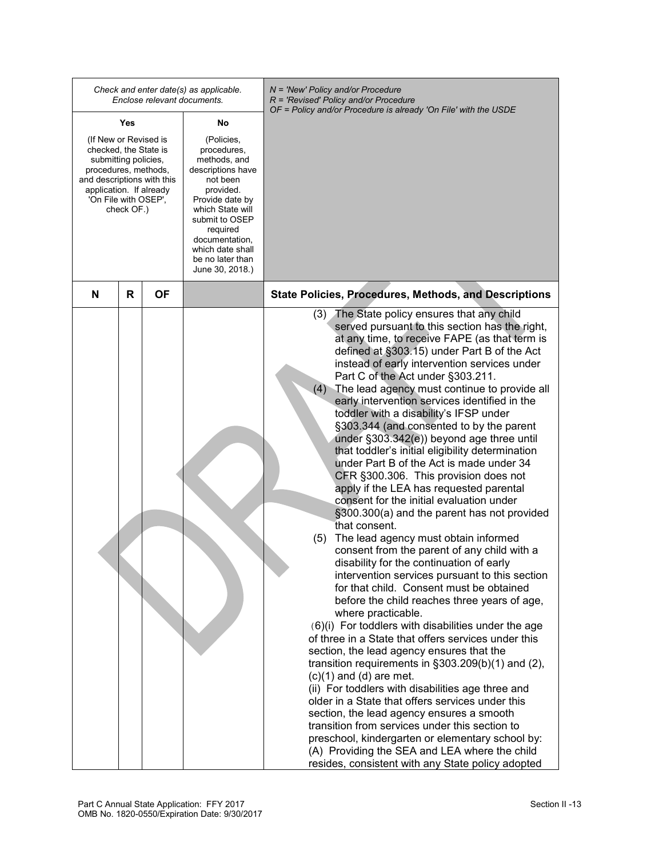|                                                                                                                                                                                 |            | Enclose relevant documents. | Check and enter date(s) as applicable.                                                                                                                                                                                                    | N = 'New' Policy and/or Procedure<br>$R$ = 'Revised' Policy and/or Procedure<br>OF = Policy and/or Procedure is already 'On File' with the USDE                                                                                                                                                                                                                                                                                                                                                                                                                                                                                                                                                                                                                                                                                                                                                                                                                                                                                                                                                                                                                                                                                                                                                                                                                                                                                                                                                                                                                                                                                                                                                                                                                   |
|---------------------------------------------------------------------------------------------------------------------------------------------------------------------------------|------------|-----------------------------|-------------------------------------------------------------------------------------------------------------------------------------------------------------------------------------------------------------------------------------------|-------------------------------------------------------------------------------------------------------------------------------------------------------------------------------------------------------------------------------------------------------------------------------------------------------------------------------------------------------------------------------------------------------------------------------------------------------------------------------------------------------------------------------------------------------------------------------------------------------------------------------------------------------------------------------------------------------------------------------------------------------------------------------------------------------------------------------------------------------------------------------------------------------------------------------------------------------------------------------------------------------------------------------------------------------------------------------------------------------------------------------------------------------------------------------------------------------------------------------------------------------------------------------------------------------------------------------------------------------------------------------------------------------------------------------------------------------------------------------------------------------------------------------------------------------------------------------------------------------------------------------------------------------------------------------------------------------------------------------------------------------------------|
| Yes                                                                                                                                                                             |            |                             | No                                                                                                                                                                                                                                        |                                                                                                                                                                                                                                                                                                                                                                                                                                                                                                                                                                                                                                                                                                                                                                                                                                                                                                                                                                                                                                                                                                                                                                                                                                                                                                                                                                                                                                                                                                                                                                                                                                                                                                                                                                   |
| (If New or Revised is<br>checked, the State is<br>submitting policies,<br>procedures, methods,<br>and descriptions with this<br>application. If already<br>'On File with OSEP', | check OF.) |                             | (Policies,<br>procedures,<br>methods, and<br>descriptions have<br>not been<br>provided.<br>Provide date by<br>which State will<br>submit to OSEP<br>required<br>documentation,<br>which date shall<br>be no later than<br>June 30, 2018.) |                                                                                                                                                                                                                                                                                                                                                                                                                                                                                                                                                                                                                                                                                                                                                                                                                                                                                                                                                                                                                                                                                                                                                                                                                                                                                                                                                                                                                                                                                                                                                                                                                                                                                                                                                                   |
| N                                                                                                                                                                               | R          | ΟF                          |                                                                                                                                                                                                                                           | <b>State Policies, Procedures, Methods, and Descriptions</b>                                                                                                                                                                                                                                                                                                                                                                                                                                                                                                                                                                                                                                                                                                                                                                                                                                                                                                                                                                                                                                                                                                                                                                                                                                                                                                                                                                                                                                                                                                                                                                                                                                                                                                      |
|                                                                                                                                                                                 |            |                             |                                                                                                                                                                                                                                           | (3) The State policy ensures that any child<br>served pursuant to this section has the right,<br>at any time, to receive FAPE (as that term is<br>defined at §303.15) under Part B of the Act<br>instead of early intervention services under<br>Part C of the Act under §303.211.<br>The lead agency must continue to provide all<br>(4)<br>early intervention services identified in the<br>toddler with a disability's IFSP under<br>§303.344 (and consented to by the parent<br>under §303.342(e)) beyond age three until<br>that toddler's initial eligibility determination<br>under Part B of the Act is made under 34<br>CFR §300.306. This provision does not<br>apply if the LEA has requested parental<br>consent for the initial evaluation under<br>§300.300(a) and the parent has not provided<br>that consent.<br>The lead agency must obtain informed<br>(5)<br>consent from the parent of any child with a<br>disability for the continuation of early<br>intervention services pursuant to this section<br>for that child. Consent must be obtained<br>before the child reaches three years of age,<br>where practicable.<br>(6)(i) For toddlers with disabilities under the age<br>of three in a State that offers services under this<br>section, the lead agency ensures that the<br>transition requirements in $\S 303.209(b)(1)$ and (2),<br>$(c)(1)$ and $(d)$ are met.<br>(ii) For toddlers with disabilities age three and<br>older in a State that offers services under this<br>section, the lead agency ensures a smooth<br>transition from services under this section to<br>preschool, kindergarten or elementary school by:<br>(A) Providing the SEA and LEA where the child<br>resides, consistent with any State policy adopted |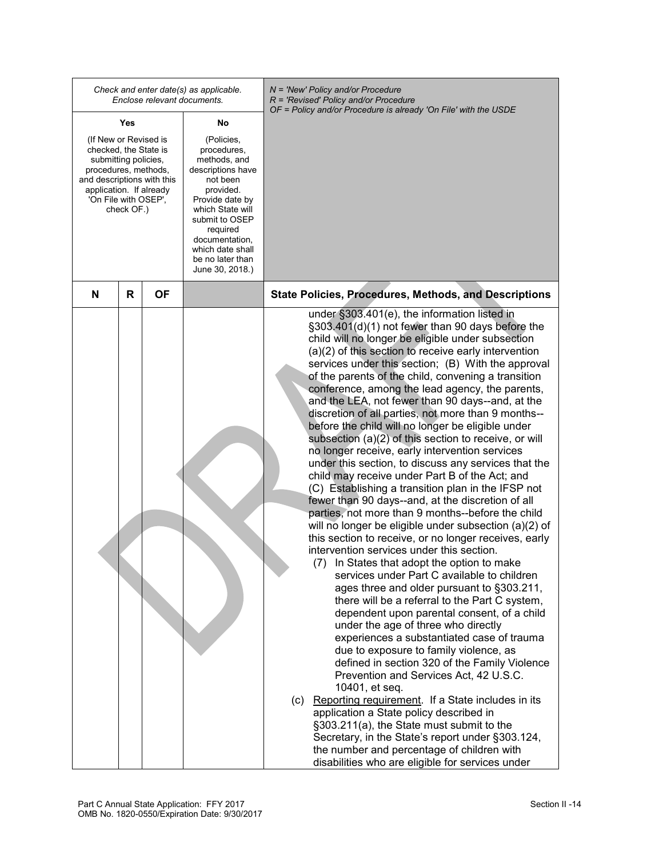|                                                                                                                                                                                               |   |    | Check and enter date(s) as applicable.<br>Enclose relevant documents.                                                                                                                                                                     | N = 'New' Policy and/or Procedure<br>$R$ = 'Revised' Policy and/or Procedure<br>OF = Policy and/or Procedure is already 'On File' with the USDE                                                                                                                                                                                                                                                                                                                                                                                                                                                                                                                                                                                                                                                                                                                                                                                                                                                                                                                                                                                                                                                                                                                                                                                                                                                                                                                                                                                                                                                                                                                                                                                                                                                                                                                                                   |
|-----------------------------------------------------------------------------------------------------------------------------------------------------------------------------------------------|---|----|-------------------------------------------------------------------------------------------------------------------------------------------------------------------------------------------------------------------------------------------|---------------------------------------------------------------------------------------------------------------------------------------------------------------------------------------------------------------------------------------------------------------------------------------------------------------------------------------------------------------------------------------------------------------------------------------------------------------------------------------------------------------------------------------------------------------------------------------------------------------------------------------------------------------------------------------------------------------------------------------------------------------------------------------------------------------------------------------------------------------------------------------------------------------------------------------------------------------------------------------------------------------------------------------------------------------------------------------------------------------------------------------------------------------------------------------------------------------------------------------------------------------------------------------------------------------------------------------------------------------------------------------------------------------------------------------------------------------------------------------------------------------------------------------------------------------------------------------------------------------------------------------------------------------------------------------------------------------------------------------------------------------------------------------------------------------------------------------------------------------------------------------------------|
| Yes                                                                                                                                                                                           |   |    | No                                                                                                                                                                                                                                        |                                                                                                                                                                                                                                                                                                                                                                                                                                                                                                                                                                                                                                                                                                                                                                                                                                                                                                                                                                                                                                                                                                                                                                                                                                                                                                                                                                                                                                                                                                                                                                                                                                                                                                                                                                                                                                                                                                   |
| (If New or Revised is<br>checked, the State is<br>submitting policies,<br>procedures, methods,<br>and descriptions with this<br>application. If already<br>'On File with OSEP',<br>check OF.) |   |    | (Policies,<br>procedures,<br>methods, and<br>descriptions have<br>not been<br>provided.<br>Provide date by<br>which State will<br>submit to OSEP<br>required<br>documentation,<br>which date shall<br>be no later than<br>June 30, 2018.) |                                                                                                                                                                                                                                                                                                                                                                                                                                                                                                                                                                                                                                                                                                                                                                                                                                                                                                                                                                                                                                                                                                                                                                                                                                                                                                                                                                                                                                                                                                                                                                                                                                                                                                                                                                                                                                                                                                   |
| N                                                                                                                                                                                             | R | ΟF |                                                                                                                                                                                                                                           | <b>State Policies, Procedures, Methods, and Descriptions</b>                                                                                                                                                                                                                                                                                                                                                                                                                                                                                                                                                                                                                                                                                                                                                                                                                                                                                                                                                                                                                                                                                                                                                                                                                                                                                                                                                                                                                                                                                                                                                                                                                                                                                                                                                                                                                                      |
|                                                                                                                                                                                               |   |    |                                                                                                                                                                                                                                           | under §303.401(e), the information listed in<br>§303.401(d)(1) not fewer than 90 days before the<br>child will no longer be eligible under subsection<br>(a)(2) of this section to receive early intervention<br>services under this section; (B) With the approval<br>of the parents of the child, convening a transition<br>conference, among the lead agency, the parents,<br>and the LEA, not fewer than 90 days--and, at the<br>discretion of all parties, not more than 9 months--<br>before the child will no longer be eligible under<br>subsection (a)(2) of this section to receive, or will<br>no longer receive, early intervention services<br>under this section, to discuss any services that the<br>child may receive under Part B of the Act; and<br>(C) Establishing a transition plan in the IFSP not<br>fewer than 90 days--and, at the discretion of all<br>parties, not more than 9 months--before the child<br>will no longer be eligible under subsection (a)(2) of<br>this section to receive, or no longer receives, early<br>intervention services under this section.<br>(7) In States that adopt the option to make<br>services under Part C available to children<br>ages three and older pursuant to §303.211,<br>there will be a referral to the Part C system,<br>dependent upon parental consent, of a child<br>under the age of three who directly<br>experiences a substantiated case of trauma<br>due to exposure to family violence, as<br>defined in section 320 of the Family Violence<br>Prevention and Services Act, 42 U.S.C.<br>10401, et seq.<br>(c) Reporting requirement. If a State includes in its<br>application a State policy described in<br>§303.211(a), the State must submit to the<br>Secretary, in the State's report under §303.124,<br>the number and percentage of children with<br>disabilities who are eligible for services under |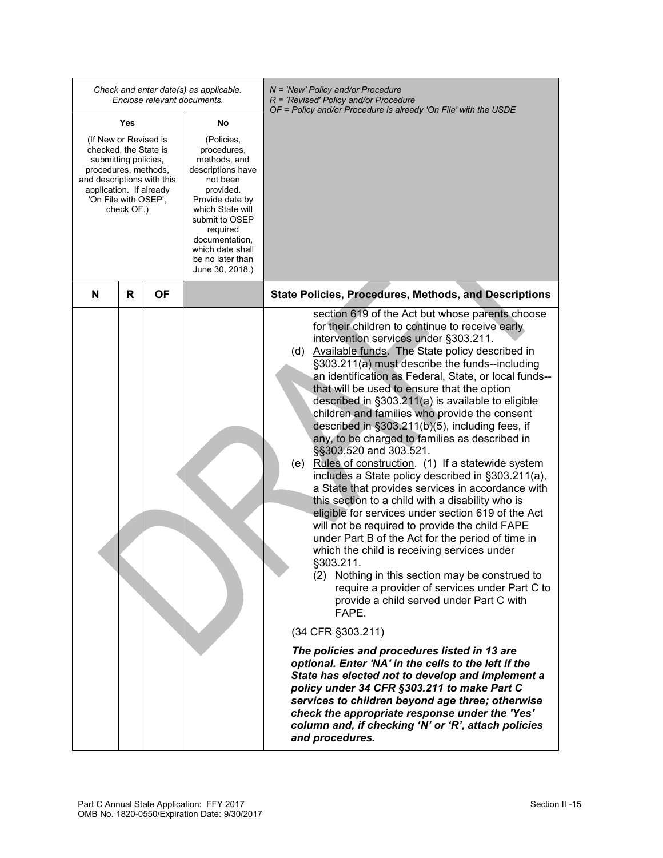|                                                                                                                                                                                               | Enclose relevant documents. | Check and enter date(s) as applicable.                                                                                                                                                                                                    | N = 'New' Policy and/or Procedure<br>$R$ = 'Revised' Policy and/or Procedure<br>OF = Policy and/or Procedure is already 'On File' with the USDE                                                                                                                                                                                                                                                                                                                                                                                                                                                                                                                                                                                                                                                                                                                                                                                                                                                                                                                                                                                                                                                                                                                                                                                                                                                                                                                                                                                                                                                                           |
|-----------------------------------------------------------------------------------------------------------------------------------------------------------------------------------------------|-----------------------------|-------------------------------------------------------------------------------------------------------------------------------------------------------------------------------------------------------------------------------------------|---------------------------------------------------------------------------------------------------------------------------------------------------------------------------------------------------------------------------------------------------------------------------------------------------------------------------------------------------------------------------------------------------------------------------------------------------------------------------------------------------------------------------------------------------------------------------------------------------------------------------------------------------------------------------------------------------------------------------------------------------------------------------------------------------------------------------------------------------------------------------------------------------------------------------------------------------------------------------------------------------------------------------------------------------------------------------------------------------------------------------------------------------------------------------------------------------------------------------------------------------------------------------------------------------------------------------------------------------------------------------------------------------------------------------------------------------------------------------------------------------------------------------------------------------------------------------------------------------------------------------|
| Yes                                                                                                                                                                                           |                             | No                                                                                                                                                                                                                                        |                                                                                                                                                                                                                                                                                                                                                                                                                                                                                                                                                                                                                                                                                                                                                                                                                                                                                                                                                                                                                                                                                                                                                                                                                                                                                                                                                                                                                                                                                                                                                                                                                           |
| (If New or Revised is<br>checked, the State is<br>submitting policies,<br>procedures, methods,<br>and descriptions with this<br>application. If already<br>'On File with OSEP',<br>check OF.) |                             | (Policies,<br>procedures,<br>methods, and<br>descriptions have<br>not been<br>provided.<br>Provide date by<br>which State will<br>submit to OSEP<br>required<br>documentation,<br>which date shall<br>be no later than<br>June 30, 2018.) |                                                                                                                                                                                                                                                                                                                                                                                                                                                                                                                                                                                                                                                                                                                                                                                                                                                                                                                                                                                                                                                                                                                                                                                                                                                                                                                                                                                                                                                                                                                                                                                                                           |
| N<br>R                                                                                                                                                                                        | ΟF                          |                                                                                                                                                                                                                                           | <b>State Policies, Procedures, Methods, and Descriptions</b>                                                                                                                                                                                                                                                                                                                                                                                                                                                                                                                                                                                                                                                                                                                                                                                                                                                                                                                                                                                                                                                                                                                                                                                                                                                                                                                                                                                                                                                                                                                                                              |
|                                                                                                                                                                                               |                             |                                                                                                                                                                                                                                           | section 619 of the Act but whose parents choose<br>for their children to continue to receive early<br>intervention services under §303.211.<br>(d) Available funds. The State policy described in<br>§303.211(a) must describe the funds--including<br>an identification as Federal, State, or local funds--<br>that will be used to ensure that the option<br>described in §303.211(a) is available to eligible<br>children and families who provide the consent<br>described in §303.211(b)(5), including fees, if<br>any, to be charged to families as described in<br>§§303.520 and 303.521.<br>(e) Rules of construction. (1) If a statewide system<br>includes a State policy described in §303.211(a),<br>a State that provides services in accordance with<br>this section to a child with a disability who is<br>eligible for services under section 619 of the Act<br>will not be required to provide the child FAPE<br>under Part B of the Act for the period of time in<br>which the child is receiving services under<br>§303.211.<br>(2) Nothing in this section may be construed to<br>require a provider of services under Part C to<br>provide a child served under Part C with<br>FAPE.<br>(34 CFR §303.211)<br>The policies and procedures listed in 13 are<br>optional. Enter 'NA' in the cells to the left if the<br>State has elected not to develop and implement a<br>policy under 34 CFR §303.211 to make Part C<br>services to children beyond age three; otherwise<br>check the appropriate response under the 'Yes'<br>column and, if checking 'N' or 'R', attach policies<br>and procedures. |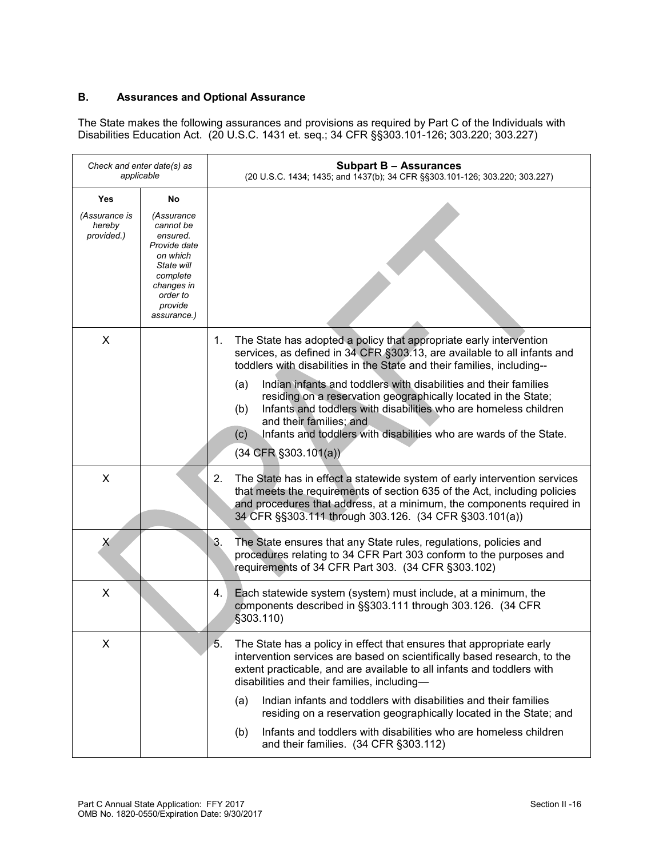# **B. Assurances and Optional Assurance**

The State makes the following assurances and provisions as required by Part C of the Individuals with Disabilities Education Act. (20 U.S.C. 1431 et. seq.; 34 CFR §§303.101-126; 303.220; 303.227)

| Check and enter date(s) as<br>applicable     |                                                                                                                                                     | <b>Subpart B - Assurances</b><br>(20 U.S.C. 1434; 1435; and 1437(b); 34 CFR §§303.101-126; 303.220; 303.227)                                                                                                                                                                                                                                                                                                                                                                                                                                                                                  |
|----------------------------------------------|-----------------------------------------------------------------------------------------------------------------------------------------------------|-----------------------------------------------------------------------------------------------------------------------------------------------------------------------------------------------------------------------------------------------------------------------------------------------------------------------------------------------------------------------------------------------------------------------------------------------------------------------------------------------------------------------------------------------------------------------------------------------|
| Yes<br>(Assurance is<br>hereby<br>provided.) | No<br>(Assurance<br>cannot be<br>ensured.<br>Provide date<br>on which<br>State will<br>complete<br>changes in<br>order to<br>provide<br>assurance.) |                                                                                                                                                                                                                                                                                                                                                                                                                                                                                                                                                                                               |
| X                                            |                                                                                                                                                     | The State has adopted a policy that appropriate early intervention<br>1.<br>services, as defined in 34 CFR §303.13, are available to all infants and<br>toddlers with disabilities in the State and their families, including--<br>Indian infants and toddlers with disabilities and their families<br>(a)<br>residing on a reservation geographically located in the State;<br>Infants and toddlers with disabilities who are homeless children<br>(b)<br>and their families; and<br>Infants and toddlers with disabilities who are wards of the State.<br>(c)<br>$(34$ CFR $\S 303.101(a))$ |
| X                                            |                                                                                                                                                     | 2.<br>The State has in effect a statewide system of early intervention services<br>that meets the requirements of section 635 of the Act, including policies<br>and procedures that address, at a minimum, the components required in<br>34 CFR §§303.111 through 303.126. (34 CFR §303.101(a))                                                                                                                                                                                                                                                                                               |
| X                                            |                                                                                                                                                     | 3.<br>The State ensures that any State rules, regulations, policies and<br>procedures relating to 34 CFR Part 303 conform to the purposes and<br>requirements of 34 CFR Part 303. (34 CFR §303.102)                                                                                                                                                                                                                                                                                                                                                                                           |
| X                                            |                                                                                                                                                     | 4.<br>Each statewide system (system) must include, at a minimum, the<br>components described in §§303.111 through 303.126. (34 CFR<br>$$303.110$ )                                                                                                                                                                                                                                                                                                                                                                                                                                            |
| X                                            |                                                                                                                                                     | 5.<br>The State has a policy in effect that ensures that appropriate early<br>intervention services are based on scientifically based research, to the<br>extent practicable, and are available to all infants and toddlers with<br>disabilities and their families, including-<br>Indian infants and toddlers with disabilities and their families<br>(a)<br>residing on a reservation geographically located in the State; and<br>Infants and toddlers with disabilities who are homeless children<br>(b)<br>and their families. (34 CFR §303.112)                                          |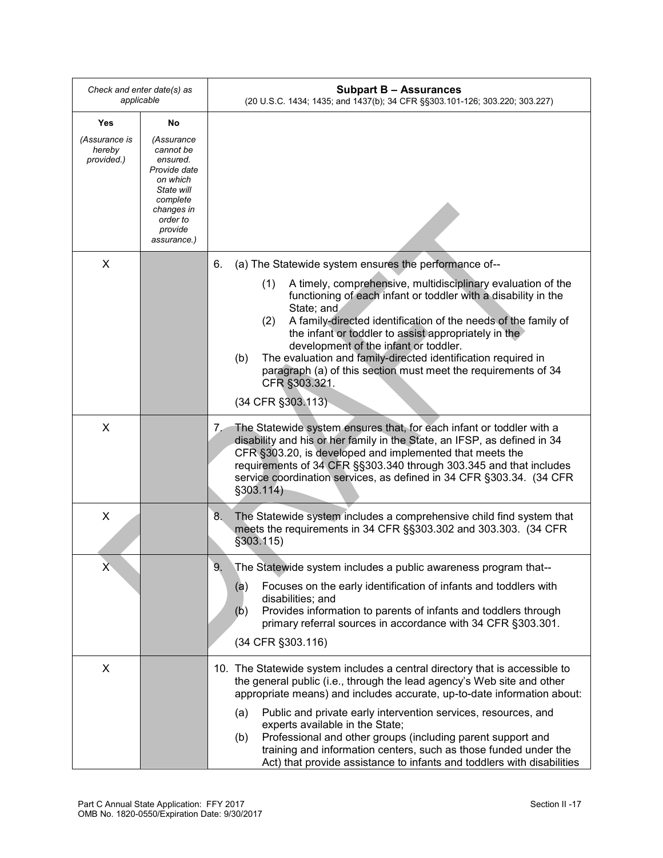| Check and enter date(s) as<br>applicable |                                                                                                                                               | <b>Subpart B - Assurances</b><br>(20 U.S.C. 1434; 1435; and 1437(b); 34 CFR §§303.101-126; 303.220; 303.227)                                                                                                                                                                                                                                                                                                                                                                                                  |
|------------------------------------------|-----------------------------------------------------------------------------------------------------------------------------------------------|---------------------------------------------------------------------------------------------------------------------------------------------------------------------------------------------------------------------------------------------------------------------------------------------------------------------------------------------------------------------------------------------------------------------------------------------------------------------------------------------------------------|
| Yes                                      | No.                                                                                                                                           |                                                                                                                                                                                                                                                                                                                                                                                                                                                                                                               |
| (Assurance is<br>hereby<br>provided.)    | (Assurance<br>cannot be<br>ensured.<br>Provide date<br>on which<br>State will<br>complete<br>changes in<br>order to<br>provide<br>assurance.) |                                                                                                                                                                                                                                                                                                                                                                                                                                                                                                               |
| X                                        |                                                                                                                                               | (a) The Statewide system ensures the performance of--<br>6.                                                                                                                                                                                                                                                                                                                                                                                                                                                   |
|                                          |                                                                                                                                               | A timely, comprehensive, multidisciplinary evaluation of the<br>(1)<br>functioning of each infant or toddler with a disability in the<br>State; and<br>A family-directed identification of the needs of the family of<br>(2)<br>the infant or toddler to assist appropriately in the<br>development of the infant or toddler.<br>The evaluation and family-directed identification required in<br>(b)<br>paragraph (a) of this section must meet the requirements of 34<br>CFR §303.321.<br>(34 CFR §303.113) |
| X                                        |                                                                                                                                               | The Statewide system ensures that, for each infant or toddler with a<br>7.                                                                                                                                                                                                                                                                                                                                                                                                                                    |
|                                          |                                                                                                                                               | disability and his or her family in the State, an IFSP, as defined in 34<br>CFR §303.20, is developed and implemented that meets the<br>requirements of 34 CFR §§303.340 through 303.345 and that includes<br>service coordination services, as defined in 34 CFR §303.34. (34 CFR<br>§303.114)                                                                                                                                                                                                               |
| X                                        |                                                                                                                                               | The Statewide system includes a comprehensive child find system that<br>8.<br>meets the requirements in 34 CFR §§303.302 and 303.303. (34 CFR<br>§303.115)                                                                                                                                                                                                                                                                                                                                                    |
| χ                                        |                                                                                                                                               | 9.<br>The Statewide system includes a public awareness program that--                                                                                                                                                                                                                                                                                                                                                                                                                                         |
|                                          |                                                                                                                                               | Focuses on the early identification of infants and toddlers with<br>(a)<br>disabilities; and<br>Provides information to parents of infants and toddlers through<br>(b)<br>primary referral sources in accordance with 34 CFR §303.301.<br>(34 CFR §303.116)                                                                                                                                                                                                                                                   |
| X                                        |                                                                                                                                               | 10. The Statewide system includes a central directory that is accessible to<br>the general public (i.e., through the lead agency's Web site and other<br>appropriate means) and includes accurate, up-to-date information about:                                                                                                                                                                                                                                                                              |
|                                          |                                                                                                                                               | Public and private early intervention services, resources, and<br>(a)<br>experts available in the State;<br>Professional and other groups (including parent support and<br>(b)<br>training and information centers, such as those funded under the<br>Act) that provide assistance to infants and toddlers with disabilities                                                                                                                                                                                  |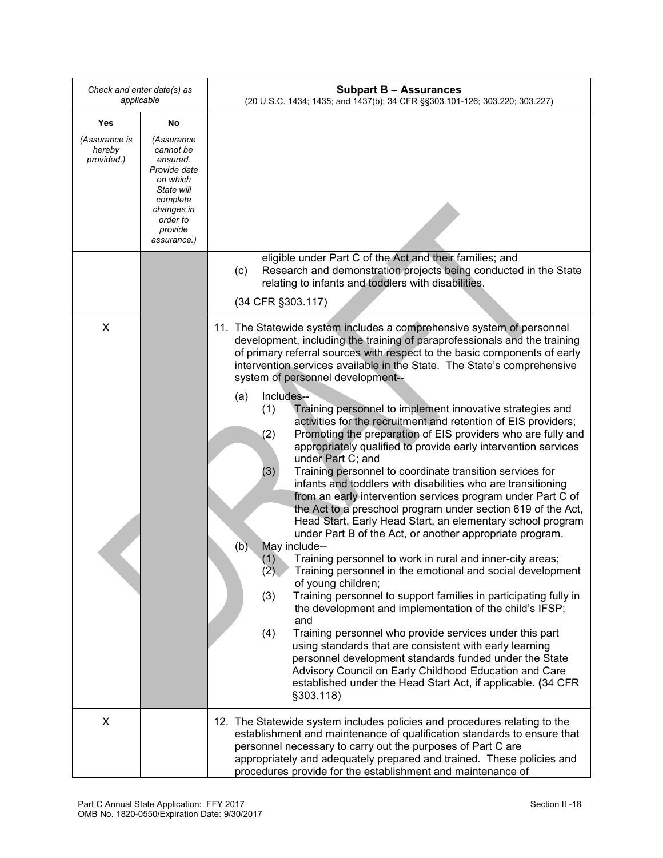| Check and enter date(s) as<br>applicable |                                                                                                                                               | <b>Subpart B - Assurances</b><br>(20 U.S.C. 1434; 1435; and 1437(b); 34 CFR §§303.101-126; 303.220; 303.227)                                                                                                                                                                                                                                                                                                                                                                                                                                                                                                                                                                                                                                                                                                |
|------------------------------------------|-----------------------------------------------------------------------------------------------------------------------------------------------|-------------------------------------------------------------------------------------------------------------------------------------------------------------------------------------------------------------------------------------------------------------------------------------------------------------------------------------------------------------------------------------------------------------------------------------------------------------------------------------------------------------------------------------------------------------------------------------------------------------------------------------------------------------------------------------------------------------------------------------------------------------------------------------------------------------|
| Yes                                      | No                                                                                                                                            |                                                                                                                                                                                                                                                                                                                                                                                                                                                                                                                                                                                                                                                                                                                                                                                                             |
| (Assurance is<br>hereby<br>provided.)    | (Assurance<br>cannot be<br>ensured.<br>Provide date<br>on which<br>State will<br>complete<br>changes in<br>order to<br>provide<br>assurance.) |                                                                                                                                                                                                                                                                                                                                                                                                                                                                                                                                                                                                                                                                                                                                                                                                             |
|                                          |                                                                                                                                               | eligible under Part C of the Act and their families; and<br>Research and demonstration projects being conducted in the State<br>(c)<br>relating to infants and toddlers with disabilities.                                                                                                                                                                                                                                                                                                                                                                                                                                                                                                                                                                                                                  |
|                                          |                                                                                                                                               | (34 CFR §303.117)                                                                                                                                                                                                                                                                                                                                                                                                                                                                                                                                                                                                                                                                                                                                                                                           |
| X                                        |                                                                                                                                               | 11. The Statewide system includes a comprehensive system of personnel<br>development, including the training of paraprofessionals and the training<br>of primary referral sources with respect to the basic components of early<br>intervention services available in the State. The State's comprehensive<br>system of personnel development--<br>Includes--<br>(a)<br>Training personnel to implement innovative strategies and<br>(1)<br>activities for the recruitment and retention of EIS providers;<br>Promoting the preparation of EIS providers who are fully and<br>(2)<br>appropriately qualified to provide early intervention services<br>under Part C; and<br>(3)<br>Training personnel to coordinate transition services for<br>infants and toddlers with disabilities who are transitioning |
|                                          |                                                                                                                                               | from an early intervention services program under Part C of<br>the Act to a preschool program under section 619 of the Act,<br>Head Start, Early Head Start, an elementary school program<br>under Part B of the Act, or another appropriate program.<br>(b)<br>May include--<br>Training personnel to work in rural and inner-city areas;<br>(1)<br>(2)<br>Training personnel in the emotional and social development<br>of young children;<br>Training personnel to support families in participating fully in<br>(3)<br>the development and implementation of the child's IFSP;<br>and                                                                                                                                                                                                                   |
|                                          |                                                                                                                                               | Training personnel who provide services under this part<br>(4)<br>using standards that are consistent with early learning<br>personnel development standards funded under the State<br>Advisory Council on Early Childhood Education and Care<br>established under the Head Start Act, if applicable. (34 CFR<br>§303.118)                                                                                                                                                                                                                                                                                                                                                                                                                                                                                  |
| X                                        |                                                                                                                                               | 12. The Statewide system includes policies and procedures relating to the<br>establishment and maintenance of qualification standards to ensure that<br>personnel necessary to carry out the purposes of Part C are<br>appropriately and adequately prepared and trained. These policies and<br>procedures provide for the establishment and maintenance of                                                                                                                                                                                                                                                                                                                                                                                                                                                 |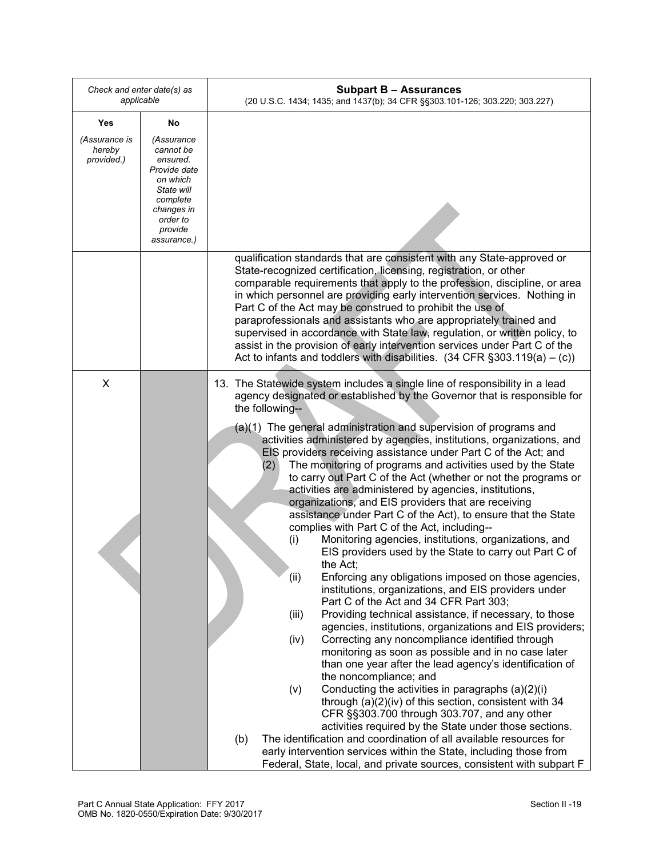| Check and enter date(s) as<br>applicable                                                                                                                                               | <b>Subpart B - Assurances</b><br>(20 U.S.C. 1434; 1435; and 1437(b); 34 CFR §§303.101-126; 303.220; 303.227)                                                                                                                                                                                                                                                                                                                                                                                                                                                                                                                                                                                                                                                                                                                                                                                                                                                                                                                                                                                                                                                                                                                                                                                                                                                                                                                                                                                                                                                                                                             |
|----------------------------------------------------------------------------------------------------------------------------------------------------------------------------------------|--------------------------------------------------------------------------------------------------------------------------------------------------------------------------------------------------------------------------------------------------------------------------------------------------------------------------------------------------------------------------------------------------------------------------------------------------------------------------------------------------------------------------------------------------------------------------------------------------------------------------------------------------------------------------------------------------------------------------------------------------------------------------------------------------------------------------------------------------------------------------------------------------------------------------------------------------------------------------------------------------------------------------------------------------------------------------------------------------------------------------------------------------------------------------------------------------------------------------------------------------------------------------------------------------------------------------------------------------------------------------------------------------------------------------------------------------------------------------------------------------------------------------------------------------------------------------------------------------------------------------|
| Yes<br>No                                                                                                                                                                              |                                                                                                                                                                                                                                                                                                                                                                                                                                                                                                                                                                                                                                                                                                                                                                                                                                                                                                                                                                                                                                                                                                                                                                                                                                                                                                                                                                                                                                                                                                                                                                                                                          |
| (Assurance is<br>(Assurance<br>hereby<br>cannot be<br>provided.)<br>ensured.<br>Provide date<br>on which<br>State will<br>complete<br>changes in<br>order to<br>provide<br>assurance.) |                                                                                                                                                                                                                                                                                                                                                                                                                                                                                                                                                                                                                                                                                                                                                                                                                                                                                                                                                                                                                                                                                                                                                                                                                                                                                                                                                                                                                                                                                                                                                                                                                          |
|                                                                                                                                                                                        | qualification standards that are consistent with any State-approved or<br>State-recognized certification, licensing, registration, or other<br>comparable requirements that apply to the profession, discipline, or area<br>in which personnel are providing early intervention services. Nothing in<br>Part C of the Act may be construed to prohibit the use of<br>paraprofessionals and assistants who are appropriately trained and<br>supervised in accordance with State law, regulation, or written policy, to<br>assist in the provision of early intervention services under Part C of the<br>Act to infants and toddlers with disabilities. $(34$ CFR §303.119(a) – (c))                                                                                                                                                                                                                                                                                                                                                                                                                                                                                                                                                                                                                                                                                                                                                                                                                                                                                                                                       |
| X                                                                                                                                                                                      | 13. The Statewide system includes a single line of responsibility in a lead<br>agency designated or established by the Governor that is responsible for<br>the following--                                                                                                                                                                                                                                                                                                                                                                                                                                                                                                                                                                                                                                                                                                                                                                                                                                                                                                                                                                                                                                                                                                                                                                                                                                                                                                                                                                                                                                               |
|                                                                                                                                                                                        | (a)(1) The general administration and supervision of programs and<br>activities administered by agencies, institutions, organizations, and<br>EIS providers receiving assistance under Part C of the Act; and<br>The monitoring of programs and activities used by the State<br>(2)<br>to carry out Part C of the Act (whether or not the programs or<br>activities are administered by agencies, institutions,<br>organizations, and EIS providers that are receiving<br>assistance under Part C of the Act), to ensure that the State<br>complies with Part C of the Act, including--<br>Monitoring agencies, institutions, organizations, and<br>(i)<br>EIS providers used by the State to carry out Part C of<br>the Act;<br>Enforcing any obligations imposed on those agencies,<br>(ii)<br>institutions, organizations, and EIS providers under<br>Part C of the Act and 34 CFR Part 303;<br>Providing technical assistance, if necessary, to those<br>(iii)<br>agencies, institutions, organizations and EIS providers;<br>Correcting any noncompliance identified through<br>(iv)<br>monitoring as soon as possible and in no case later<br>than one year after the lead agency's identification of<br>the noncompliance; and<br>Conducting the activities in paragraphs (a)(2)(i)<br>(v)<br>through (a)(2)(iv) of this section, consistent with 34<br>CFR §§303.700 through 303.707, and any other<br>activities required by the State under those sections.<br>The identification and coordination of all available resources for<br>(b)<br>early intervention services within the State, including those from |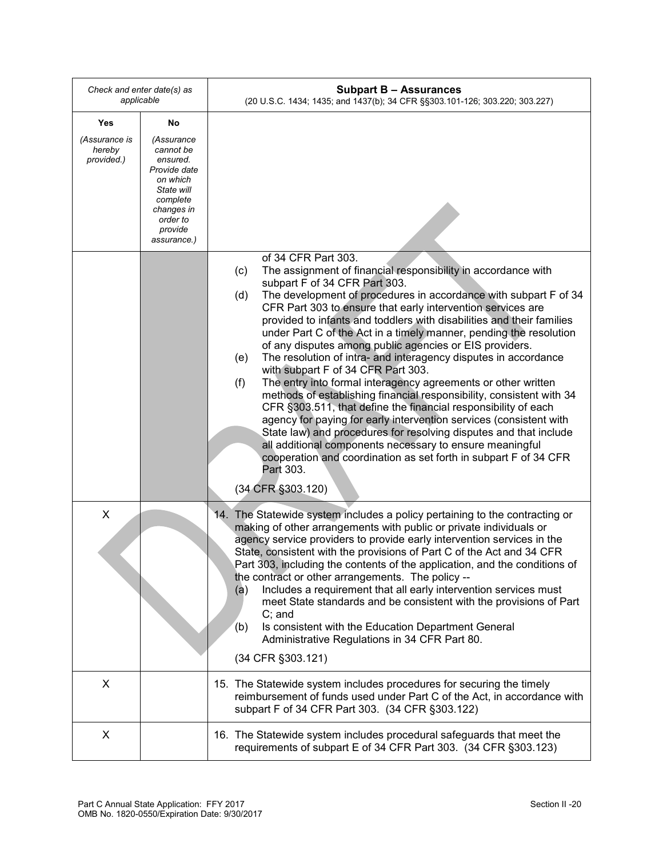| Check and enter date(s) as<br>applicable |                                                                                                                                               | <b>Subpart B - Assurances</b><br>(20 U.S.C. 1434; 1435; and 1437(b); 34 CFR §§303.101-126; 303.220; 303.227)                                                                                                                                                                                                                                                                                                                                                                                                                                                                                                                                                                                                                                                                                                                                                                                                                                                                                                                                                                                                                    |
|------------------------------------------|-----------------------------------------------------------------------------------------------------------------------------------------------|---------------------------------------------------------------------------------------------------------------------------------------------------------------------------------------------------------------------------------------------------------------------------------------------------------------------------------------------------------------------------------------------------------------------------------------------------------------------------------------------------------------------------------------------------------------------------------------------------------------------------------------------------------------------------------------------------------------------------------------------------------------------------------------------------------------------------------------------------------------------------------------------------------------------------------------------------------------------------------------------------------------------------------------------------------------------------------------------------------------------------------|
| Yes                                      | No                                                                                                                                            |                                                                                                                                                                                                                                                                                                                                                                                                                                                                                                                                                                                                                                                                                                                                                                                                                                                                                                                                                                                                                                                                                                                                 |
| (Assurance is<br>hereby<br>provided.)    | (Assurance<br>cannot be<br>ensured.<br>Provide date<br>on which<br>State will<br>complete<br>changes in<br>order to<br>provide<br>assurance.) |                                                                                                                                                                                                                                                                                                                                                                                                                                                                                                                                                                                                                                                                                                                                                                                                                                                                                                                                                                                                                                                                                                                                 |
|                                          |                                                                                                                                               | of 34 CFR Part 303.<br>The assignment of financial responsibility in accordance with<br>(c)<br>subpart F of 34 CFR Part 303.<br>The development of procedures in accordance with subpart F of 34<br>(d)<br>CFR Part 303 to ensure that early intervention services are<br>provided to infants and toddlers with disabilities and their families<br>under Part C of the Act in a timely manner, pending the resolution<br>of any disputes among public agencies or EIS providers.<br>The resolution of intra- and interagency disputes in accordance<br>(e)<br>with subpart F of 34 CFR Part 303.<br>The entry into formal interagency agreements or other written<br>(f)<br>methods of establishing financial responsibility, consistent with 34<br>CFR §303.511, that define the financial responsibility of each<br>agency for paying for early intervention services (consistent with<br>State law) and procedures for resolving disputes and that include<br>all additional components necessary to ensure meaningful<br>cooperation and coordination as set forth in subpart F of 34 CFR<br>Part 303.<br>(34 CFR §303.120) |
| X                                        |                                                                                                                                               | 14. The Statewide system includes a policy pertaining to the contracting or<br>making of other arrangements with public or private individuals or<br>agency service providers to provide early intervention services in the<br>State, consistent with the provisions of Part C of the Act and 34 CFR<br>Part 303, including the contents of the application, and the conditions of<br>the contract or other arrangements. The policy --<br>Includes a requirement that all early intervention services must<br>(a)<br>meet State standards and be consistent with the provisions of Part<br>$C$ ; and<br>Is consistent with the Education Department General<br>(b)<br>Administrative Regulations in 34 CFR Part 80.<br>(34 CFR §303.121)                                                                                                                                                                                                                                                                                                                                                                                       |
| X                                        |                                                                                                                                               | 15. The Statewide system includes procedures for securing the timely<br>reimbursement of funds used under Part C of the Act, in accordance with<br>subpart F of 34 CFR Part 303. (34 CFR §303.122)                                                                                                                                                                                                                                                                                                                                                                                                                                                                                                                                                                                                                                                                                                                                                                                                                                                                                                                              |
| X                                        |                                                                                                                                               | 16. The Statewide system includes procedural safeguards that meet the<br>requirements of subpart E of 34 CFR Part 303. (34 CFR §303.123)                                                                                                                                                                                                                                                                                                                                                                                                                                                                                                                                                                                                                                                                                                                                                                                                                                                                                                                                                                                        |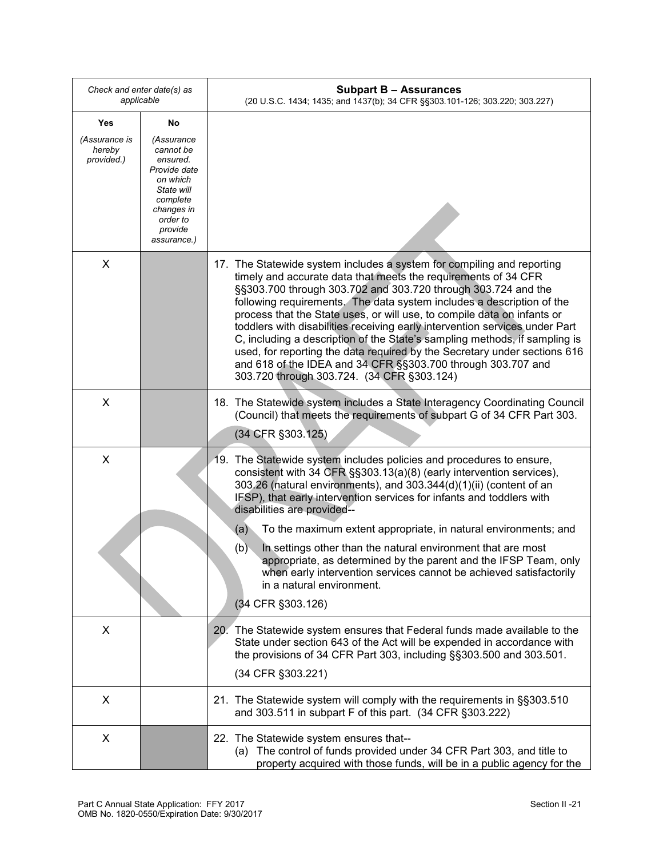| Check and enter date(s) as<br>applicable |                                                                                                                                               | <b>Subpart B - Assurances</b><br>(20 U.S.C. 1434; 1435; and 1437(b); 34 CFR §§303.101-126; 303.220; 303.227)                                                                                                                                                                                                                                                                                                                                                                                                                                                                                                                                                                                                          |
|------------------------------------------|-----------------------------------------------------------------------------------------------------------------------------------------------|-----------------------------------------------------------------------------------------------------------------------------------------------------------------------------------------------------------------------------------------------------------------------------------------------------------------------------------------------------------------------------------------------------------------------------------------------------------------------------------------------------------------------------------------------------------------------------------------------------------------------------------------------------------------------------------------------------------------------|
| <b>Yes</b>                               | No                                                                                                                                            |                                                                                                                                                                                                                                                                                                                                                                                                                                                                                                                                                                                                                                                                                                                       |
| (Assurance is<br>hereby<br>provided.)    | (Assurance<br>cannot be<br>ensured.<br>Provide date<br>on which<br>State will<br>complete<br>changes in<br>order to<br>provide<br>assurance.) |                                                                                                                                                                                                                                                                                                                                                                                                                                                                                                                                                                                                                                                                                                                       |
| X                                        |                                                                                                                                               | 17. The Statewide system includes a system for compiling and reporting<br>timely and accurate data that meets the requirements of 34 CFR<br>§§303.700 through 303.702 and 303.720 through 303.724 and the<br>following requirements. The data system includes a description of the<br>process that the State uses, or will use, to compile data on infants or<br>toddlers with disabilities receiving early intervention services under Part<br>C, including a description of the State's sampling methods, if sampling is<br>used, for reporting the data required by the Secretary under sections 616<br>and 618 of the IDEA and 34 CFR §§303.700 through 303.707 and<br>303.720 through 303.724. (34 CFR §303.124) |
| X                                        |                                                                                                                                               | 18. The Statewide system includes a State Interagency Coordinating Council<br>(Council) that meets the requirements of subpart G of 34 CFR Part 303.<br>(34 CFR §303.125)                                                                                                                                                                                                                                                                                                                                                                                                                                                                                                                                             |
| X                                        |                                                                                                                                               | 19. The Statewide system includes policies and procedures to ensure,<br>consistent with 34 CFR §§303.13(a)(8) (early intervention services),<br>303.26 (natural environments), and 303.344(d)(1)(ii) (content of an<br>IFSP), that early intervention services for infants and toddlers with<br>disabilities are provided--<br>(a)<br>To the maximum extent appropriate, in natural environments; and<br>(b)<br>In settings other than the natural environment that are most<br>appropriate, as determined by the parent and the IFSP Team, only                                                                                                                                                                      |
|                                          |                                                                                                                                               | when early intervention services cannot be achieved satisfactorily<br>in a natural environment.<br>(34 CFR §303.126)                                                                                                                                                                                                                                                                                                                                                                                                                                                                                                                                                                                                  |
| X                                        |                                                                                                                                               | 20. The Statewide system ensures that Federal funds made available to the<br>State under section 643 of the Act will be expended in accordance with<br>the provisions of 34 CFR Part 303, including §§303.500 and 303.501.<br>(34 CFR §303.221)                                                                                                                                                                                                                                                                                                                                                                                                                                                                       |
| X                                        |                                                                                                                                               | 21. The Statewide system will comply with the requirements in §§303.510<br>and 303.511 in subpart F of this part. (34 CFR §303.222)                                                                                                                                                                                                                                                                                                                                                                                                                                                                                                                                                                                   |
| X                                        |                                                                                                                                               | 22. The Statewide system ensures that--<br>(a) The control of funds provided under 34 CFR Part 303, and title to<br>property acquired with those funds, will be in a public agency for the                                                                                                                                                                                                                                                                                                                                                                                                                                                                                                                            |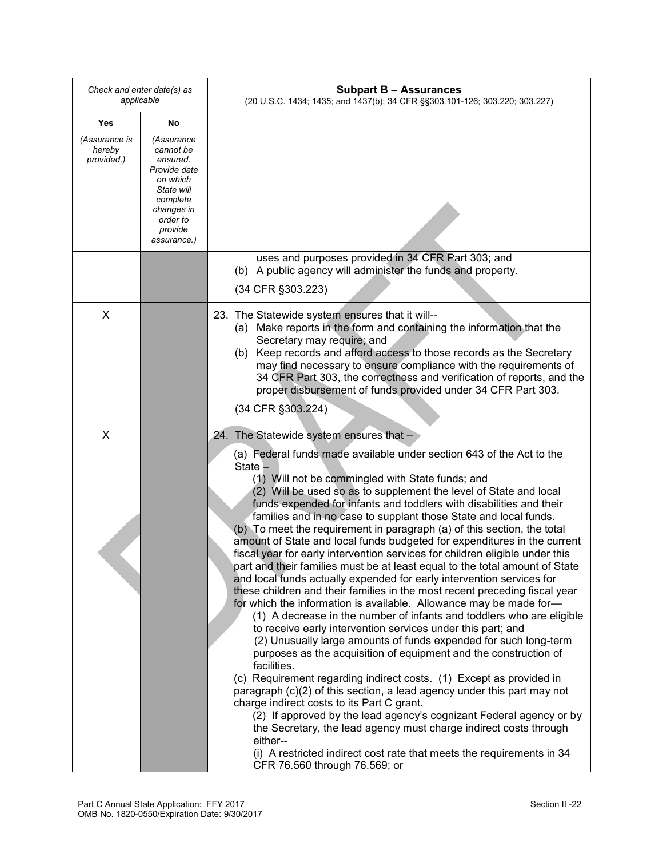| Check and enter date(s) as<br>applicable |                                                                                                                                               | <b>Subpart B - Assurances</b><br>(20 U.S.C. 1434; 1435; and 1437(b); 34 CFR §§303.101-126; 303.220; 303.227)                                                                                                                                                                                                                                                                                                                                                                                                                                                                                                                                                                                                                                                                                                                                                                                                                                                                                                                                                                                                                                                                                                                                                                                                                                                                                                                                                                                                                                                                                                                           |
|------------------------------------------|-----------------------------------------------------------------------------------------------------------------------------------------------|----------------------------------------------------------------------------------------------------------------------------------------------------------------------------------------------------------------------------------------------------------------------------------------------------------------------------------------------------------------------------------------------------------------------------------------------------------------------------------------------------------------------------------------------------------------------------------------------------------------------------------------------------------------------------------------------------------------------------------------------------------------------------------------------------------------------------------------------------------------------------------------------------------------------------------------------------------------------------------------------------------------------------------------------------------------------------------------------------------------------------------------------------------------------------------------------------------------------------------------------------------------------------------------------------------------------------------------------------------------------------------------------------------------------------------------------------------------------------------------------------------------------------------------------------------------------------------------------------------------------------------------|
| Yes                                      | No                                                                                                                                            |                                                                                                                                                                                                                                                                                                                                                                                                                                                                                                                                                                                                                                                                                                                                                                                                                                                                                                                                                                                                                                                                                                                                                                                                                                                                                                                                                                                                                                                                                                                                                                                                                                        |
| (Assurance is<br>hereby<br>provided.)    | (Assurance<br>cannot be<br>ensured.<br>Provide date<br>on which<br>State will<br>complete<br>changes in<br>order to<br>provide<br>assurance.) |                                                                                                                                                                                                                                                                                                                                                                                                                                                                                                                                                                                                                                                                                                                                                                                                                                                                                                                                                                                                                                                                                                                                                                                                                                                                                                                                                                                                                                                                                                                                                                                                                                        |
|                                          |                                                                                                                                               | uses and purposes provided in 34 CFR Part 303; and<br>(b) A public agency will administer the funds and property.<br>(34 CFR §303.223)                                                                                                                                                                                                                                                                                                                                                                                                                                                                                                                                                                                                                                                                                                                                                                                                                                                                                                                                                                                                                                                                                                                                                                                                                                                                                                                                                                                                                                                                                                 |
| X                                        |                                                                                                                                               | 23. The Statewide system ensures that it will--<br>(a) Make reports in the form and containing the information that the<br>Secretary may require; and<br>(b) Keep records and afford access to those records as the Secretary<br>may find necessary to ensure compliance with the requirements of<br>34 CFR Part 303, the correctness and verification of reports, and the<br>proper disbursement of funds provided under 34 CFR Part 303.<br>(34 CFR §303.224)                                                                                                                                                                                                                                                                                                                                                                                                                                                                                                                                                                                                                                                                                                                                                                                                                                                                                                                                                                                                                                                                                                                                                                        |
| X                                        |                                                                                                                                               | 24. The Statewide system ensures that -                                                                                                                                                                                                                                                                                                                                                                                                                                                                                                                                                                                                                                                                                                                                                                                                                                                                                                                                                                                                                                                                                                                                                                                                                                                                                                                                                                                                                                                                                                                                                                                                |
|                                          |                                                                                                                                               | (a) Federal funds made available under section 643 of the Act to the<br>State -<br>(1) Will not be commingled with State funds; and<br>(2) Will be used so as to supplement the level of State and local<br>funds expended for infants and toddlers with disabilities and their<br>families and in no case to supplant those State and local funds.<br>(b) To meet the requirement in paragraph (a) of this section, the total<br>amount of State and local funds budgeted for expenditures in the current<br>fiscal year for early intervention services for children eligible under this<br>part and their families must be at least equal to the total amount of State<br>and local funds actually expended for early intervention services for<br>these children and their families in the most recent preceding fiscal year<br>for which the information is available. Allowance may be made for-<br>(1) A decrease in the number of infants and toddlers who are eligible<br>to receive early intervention services under this part; and<br>(2) Unusually large amounts of funds expended for such long-term<br>purposes as the acquisition of equipment and the construction of<br>facilities.<br>(c) Requirement regarding indirect costs. (1) Except as provided in<br>paragraph (c)(2) of this section, a lead agency under this part may not<br>charge indirect costs to its Part C grant.<br>(2) If approved by the lead agency's cognizant Federal agency or by<br>the Secretary, the lead agency must charge indirect costs through<br>either--<br>(i) A restricted indirect cost rate that meets the requirements in 34 |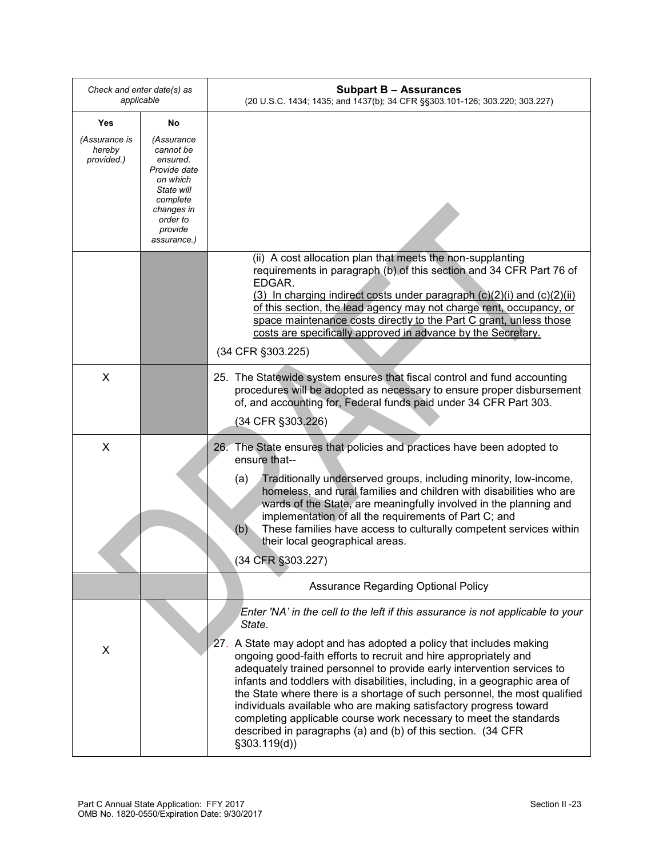| Check and enter date(s) as<br>applicable |                                                                                                                                               | <b>Subpart B - Assurances</b><br>(20 U.S.C. 1434; 1435; and 1437(b); 34 CFR §§303.101-126; 303.220; 303.227)                                                                                                                                                                                                                                                                                                                                                                                                                                                                                                                                                                                       |
|------------------------------------------|-----------------------------------------------------------------------------------------------------------------------------------------------|----------------------------------------------------------------------------------------------------------------------------------------------------------------------------------------------------------------------------------------------------------------------------------------------------------------------------------------------------------------------------------------------------------------------------------------------------------------------------------------------------------------------------------------------------------------------------------------------------------------------------------------------------------------------------------------------------|
| Yes                                      | No                                                                                                                                            |                                                                                                                                                                                                                                                                                                                                                                                                                                                                                                                                                                                                                                                                                                    |
| (Assurance is<br>hereby<br>provided.)    | (Assurance<br>cannot be<br>ensured.<br>Provide date<br>on which<br>State will<br>complete<br>changes in<br>order to<br>provide<br>assurance.) |                                                                                                                                                                                                                                                                                                                                                                                                                                                                                                                                                                                                                                                                                                    |
|                                          |                                                                                                                                               | (ii) A cost allocation plan that meets the non-supplanting<br>requirements in paragraph (b) of this section and 34 CFR Part 76 of<br>EDGAR.<br>(3) In charging indirect costs under paragraph $(c)(2)(i)$ and $(c)(2)(ii)$<br>of this section, the lead agency may not charge rent, occupancy, or<br>space maintenance costs directly to the Part C grant, unless those<br>costs are specifically approved in advance by the Secretary.<br>(34 CFR §303.225)                                                                                                                                                                                                                                       |
| X                                        |                                                                                                                                               | 25. The Statewide system ensures that fiscal control and fund accounting<br>procedures will be adopted as necessary to ensure proper disbursement<br>of, and accounting for, Federal funds paid under 34 CFR Part 303.<br>(34 CFR §303.226)                                                                                                                                                                                                                                                                                                                                                                                                                                                        |
| X                                        |                                                                                                                                               | 26. The State ensures that policies and practices have been adopted to<br>ensure that--<br>Traditionally underserved groups, including minority, low-income,<br>(a)<br>homeless, and rural families and children with disabilities who are<br>wards of the State, are meaningfully involved in the planning and<br>implementation of all the requirements of Part C; and<br>These families have access to culturally competent services within<br>(b)<br>their local geographical areas.<br>(34 CFR §303.227)                                                                                                                                                                                      |
|                                          |                                                                                                                                               | <b>Assurance Regarding Optional Policy</b>                                                                                                                                                                                                                                                                                                                                                                                                                                                                                                                                                                                                                                                         |
| X                                        |                                                                                                                                               | Enter 'NA' in the cell to the left if this assurance is not applicable to your<br>State.<br>27. A State may adopt and has adopted a policy that includes making<br>ongoing good-faith efforts to recruit and hire appropriately and<br>adequately trained personnel to provide early intervention services to<br>infants and toddlers with disabilities, including, in a geographic area of<br>the State where there is a shortage of such personnel, the most qualified<br>individuals available who are making satisfactory progress toward<br>completing applicable course work necessary to meet the standards<br>described in paragraphs (a) and (b) of this section. (34 CFR<br>§303.119(d)) |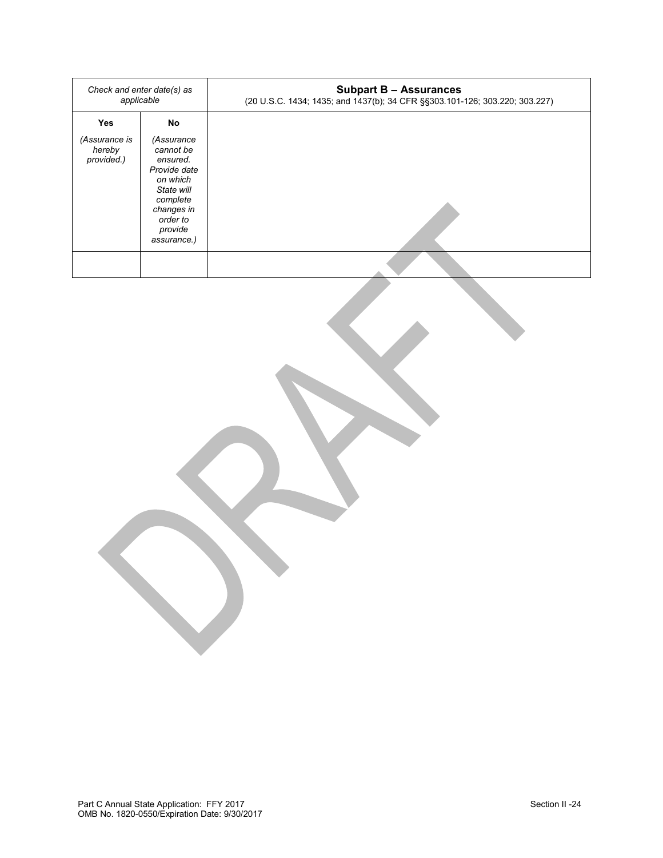| Check and enter date(s) as<br>applicable            |                                                                                                                                                            | <b>Subpart B - Assurances</b><br>(20 U.S.C. 1434; 1435; and 1437(b); 34 CFR §§303.101-126; 303.220; 303.227) |
|-----------------------------------------------------|------------------------------------------------------------------------------------------------------------------------------------------------------------|--------------------------------------------------------------------------------------------------------------|
| <b>Yes</b><br>(Assurance is<br>hereby<br>provided.) | <b>No</b><br>(Assurance<br>cannot be<br>ensured.<br>Provide date<br>on which<br>State will<br>complete<br>changes in<br>order to<br>provide<br>assurance.) |                                                                                                              |
|                                                     |                                                                                                                                                            |                                                                                                              |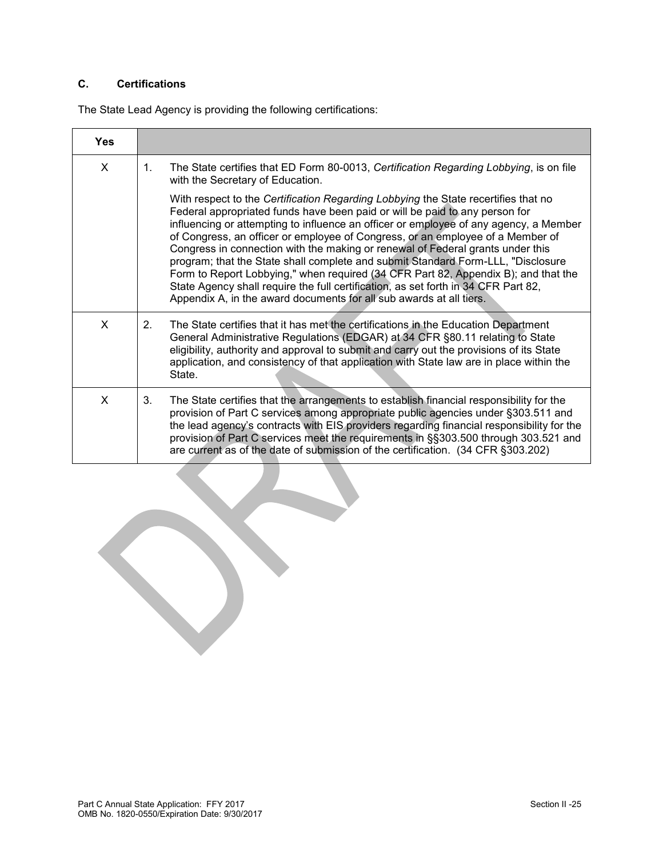# **C. Certifications**

The State Lead Agency is providing the following certifications:

| Yes          |                                                                                                                                                                                                                                                                                                                                                                                                                                                                                                                                                                                                                                                                                                                                                                       |
|--------------|-----------------------------------------------------------------------------------------------------------------------------------------------------------------------------------------------------------------------------------------------------------------------------------------------------------------------------------------------------------------------------------------------------------------------------------------------------------------------------------------------------------------------------------------------------------------------------------------------------------------------------------------------------------------------------------------------------------------------------------------------------------------------|
| X            | The State certifies that ED Form 80-0013, Certification Regarding Lobbying, is on file<br>$1_{-}$<br>with the Secretary of Education.                                                                                                                                                                                                                                                                                                                                                                                                                                                                                                                                                                                                                                 |
|              | With respect to the Certification Regarding Lobbying the State recertifies that no<br>Federal appropriated funds have been paid or will be paid to any person for<br>influencing or attempting to influence an officer or employee of any agency, a Member<br>of Congress, an officer or employee of Congress, or an employee of a Member of<br>Congress in connection with the making or renewal of Federal grants under this<br>program; that the State shall complete and submit Standard Form-LLL, "Disclosure<br>Form to Report Lobbying," when required (34 CFR Part 82, Appendix B); and that the<br>State Agency shall require the full certification, as set forth in 34 CFR Part 82,<br>Appendix A, in the award documents for all sub awards at all tiers. |
| X            | The State certifies that it has met the certifications in the Education Department<br>2 <sub>1</sub><br>General Administrative Regulations (EDGAR) at 34 CFR §80.11 relating to State<br>eligibility, authority and approval to submit and carry out the provisions of its State<br>application, and consistency of that application with State law are in place within the<br>State.                                                                                                                                                                                                                                                                                                                                                                                 |
| $\mathsf{x}$ | The State certifies that the arrangements to establish financial responsibility for the<br>3.<br>provision of Part C services among appropriate public agencies under §303.511 and<br>the lead agency's contracts with EIS providers regarding financial responsibility for the<br>provision of Part C services meet the requirements in §§303.500 through 303.521 and<br>are current as of the date of submission of the certification. (34 CFR §303.202)                                                                                                                                                                                                                                                                                                            |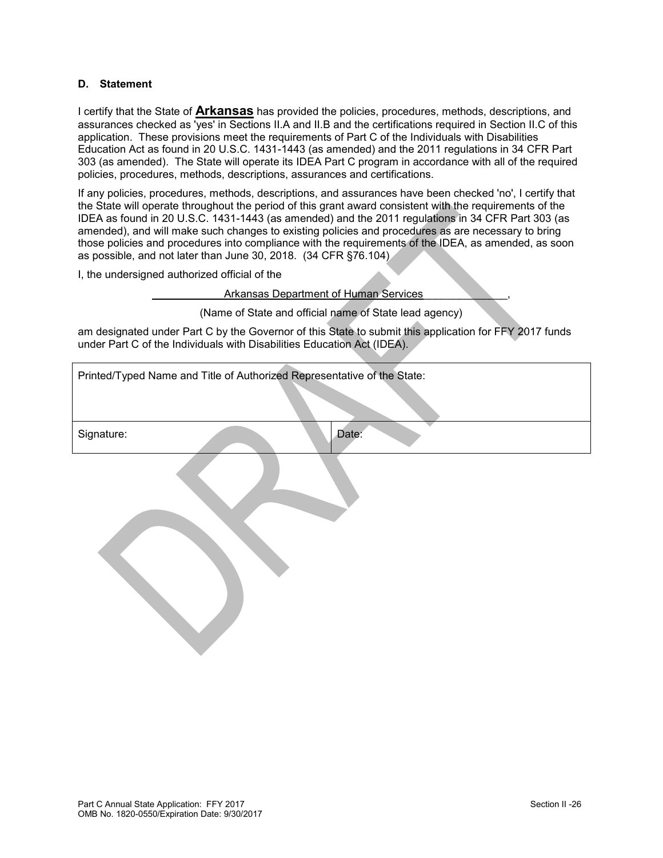#### **D. Statement**

I certify that the State of **Arkansas** has provided the policies, procedures, methods, descriptions, and assurances checked as 'yes' in Sections II.A and II.B and the certifications required in Section II.C of this application. These provisions meet the requirements of Part C of the Individuals with Disabilities Education Act as found in 20 U.S.C. 1431-1443 (as amended) and the 2011 regulations in 34 CFR Part 303 (as amended). The State will operate its IDEA Part C program in accordance with all of the required policies, procedures, methods, descriptions, assurances and certifications.

If any policies, procedures, methods, descriptions, and assurances have been checked 'no', I certify that the State will operate throughout the period of this grant award consistent with the requirements of the IDEA as found in 20 U.S.C. 1431-1443 (as amended) and the 2011 regulations in 34 CFR Part 303 (as amended), and will make such changes to existing policies and procedures as are necessary to bring those policies and procedures into compliance with the requirements of the IDEA, as amended, as soon as possible, and not later than June 30, 2018. (34 CFR §76.104)

I, the undersigned authorized official of the

# Arkansas Department of Human Services

(Name of State and official name of State lead agency)

am designated under Part C by the Governor of this State to submit this application for FFY 2017 funds under Part C of the Individuals with Disabilities Education Act (IDEA).

| Printed/Typed Name and Title of Authorized Representative of the State: |  |       |  |  |
|-------------------------------------------------------------------------|--|-------|--|--|
| Signature:                                                              |  | Date: |  |  |
|                                                                         |  |       |  |  |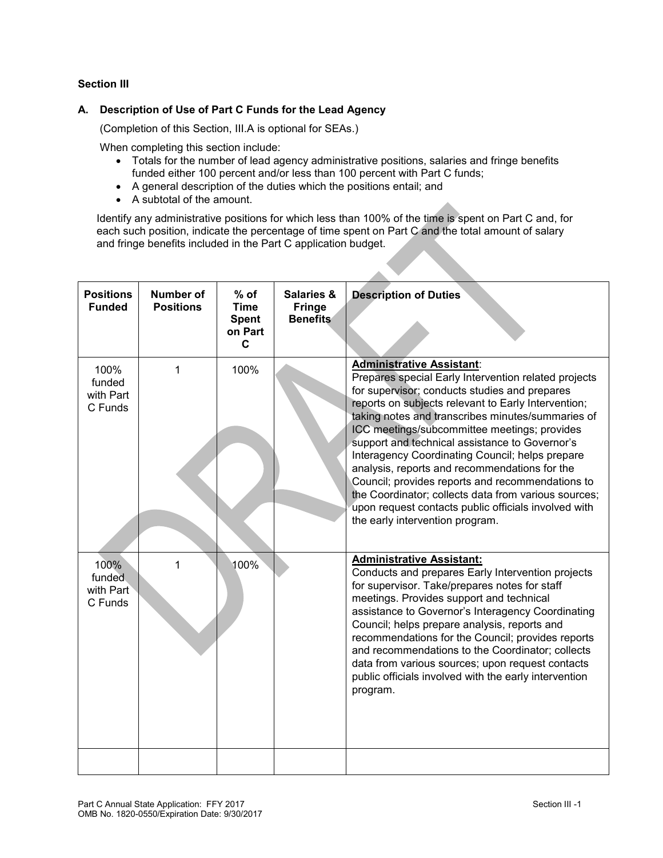### **Section III**

### **A. Description of Use of Part C Funds for the Lead Agency**

(Completion of this Section, III.A is optional for SEAs.)

When completing this section include:

- Totals for the number of lead agency administrative positions, salaries and fringe benefits funded either 100 percent and/or less than 100 percent with Part C funds;
- A general description of the duties which the positions entail; and
- A subtotal of the amount.

Identify any administrative positions for which less than 100% of the time is spent on Part C and, for each such position, indicate the percentage of time spent on Part C and the total amount of salary and fringe benefits included in the Part C application budget.

| <b>Positions</b><br><b>Funded</b>      | <b>Number of</b><br><b>Positions</b> | $%$ of<br><b>Time</b><br><b>Spent</b><br>on Part<br>C | <b>Salaries &amp;</b><br><b>Fringe</b><br><b>Benefits</b> | <b>Description of Duties</b>                                                                                                                                                                                                                                                                                                                                                                                                                                                                                                                                                                                                                                       |
|----------------------------------------|--------------------------------------|-------------------------------------------------------|-----------------------------------------------------------|--------------------------------------------------------------------------------------------------------------------------------------------------------------------------------------------------------------------------------------------------------------------------------------------------------------------------------------------------------------------------------------------------------------------------------------------------------------------------------------------------------------------------------------------------------------------------------------------------------------------------------------------------------------------|
| 100%<br>funded<br>with Part<br>C Funds | 1                                    | 100%                                                  |                                                           | <b>Administrative Assistant:</b><br>Prepares special Early Intervention related projects<br>for supervisor; conducts studies and prepares<br>reports on subjects relevant to Early Intervention;<br>taking notes and transcribes minutes/summaries of<br>ICC meetings/subcommittee meetings; provides<br>support and technical assistance to Governor's<br>Interagency Coordinating Council; helps prepare<br>analysis, reports and recommendations for the<br>Council; provides reports and recommendations to<br>the Coordinator; collects data from various sources;<br>upon request contacts public officials involved with<br>the early intervention program. |
| 100%<br>funded<br>with Part<br>C Funds | 1                                    | 100%                                                  |                                                           | <b>Administrative Assistant:</b><br>Conducts and prepares Early Intervention projects<br>for supervisor. Take/prepares notes for staff<br>meetings. Provides support and technical<br>assistance to Governor's Interagency Coordinating<br>Council; helps prepare analysis, reports and<br>recommendations for the Council; provides reports<br>and recommendations to the Coordinator; collects<br>data from various sources; upon request contacts<br>public officials involved with the early intervention<br>program.                                                                                                                                          |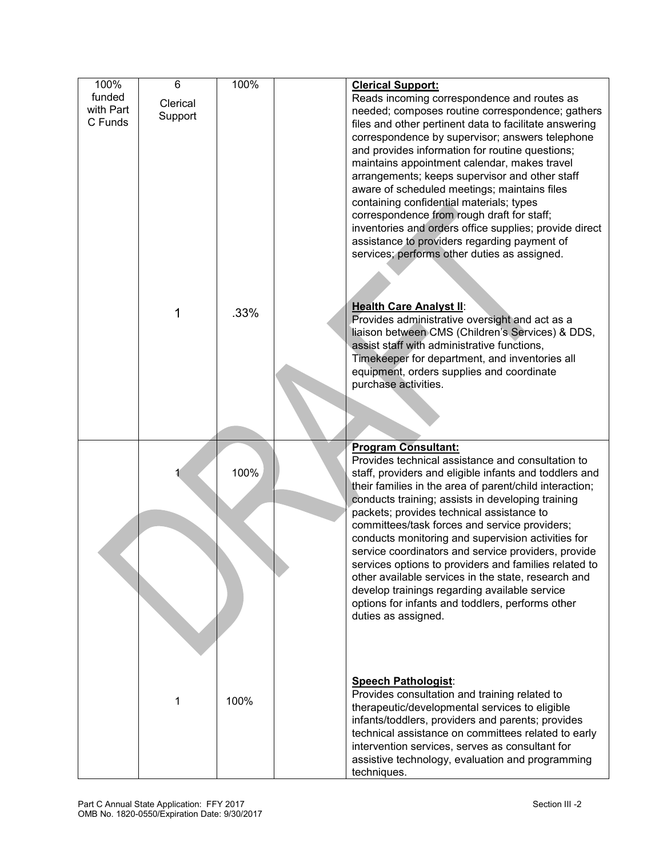| 100%      | 6        | 100% | <b>Clerical Support:</b>                                |
|-----------|----------|------|---------------------------------------------------------|
| funded    |          |      | Reads incoming correspondence and routes as             |
| with Part | Clerical |      | needed; composes routine correspondence; gathers        |
| C Funds   | Support  |      | files and other pertinent data to facilitate answering  |
|           |          |      |                                                         |
|           |          |      | correspondence by supervisor; answers telephone         |
|           |          |      | and provides information for routine questions;         |
|           |          |      | maintains appointment calendar, makes travel            |
|           |          |      | arrangements; keeps supervisor and other staff          |
|           |          |      | aware of scheduled meetings; maintains files            |
|           |          |      | containing confidential materials; types                |
|           |          |      | correspondence from rough draft for staff;              |
|           |          |      | inventories and orders office supplies; provide direct  |
|           |          |      | assistance to providers regarding payment of            |
|           |          |      | services; performs other duties as assigned.            |
|           |          |      |                                                         |
|           |          |      |                                                         |
|           |          |      |                                                         |
|           |          |      |                                                         |
|           | 1        | .33% | <b>Health Care Analyst II:</b>                          |
|           |          |      | Provides administrative oversight and act as a          |
|           |          |      | liaison between CMS (Children's Services) & DDS,        |
|           |          |      | assist staff with administrative functions,             |
|           |          |      | Timekeeper for department, and inventories all          |
|           |          |      | equipment, orders supplies and coordinate               |
|           |          |      | purchase activities.                                    |
|           |          |      |                                                         |
|           |          |      |                                                         |
|           |          |      |                                                         |
|           |          |      |                                                         |
|           |          |      | <b>Program Consultant:</b>                              |
|           |          |      | Provides technical assistance and consultation to       |
|           |          | 100% | staff, providers and eligible infants and toddlers and  |
|           |          |      | their families in the area of parent/child interaction; |
|           |          |      | conducts training; assists in developing training       |
|           |          |      | packets; provides technical assistance to               |
|           |          |      | committees/task forces and service providers;           |
|           |          |      | conducts monitoring and supervision activities for      |
|           |          |      | service coordinators and service providers, provide     |
|           |          |      | services options to providers and families related to   |
|           |          |      | other available services in the state, research and     |
|           |          |      | develop trainings regarding available service           |
|           |          |      | options for infants and toddlers, performs other        |
|           |          |      |                                                         |
|           |          |      | duties as assigned.                                     |
|           |          |      |                                                         |
|           |          |      |                                                         |
|           |          |      |                                                         |
|           |          |      |                                                         |
|           |          |      | <b>Speech Pathologist:</b>                              |
|           | 1        | 100% | Provides consultation and training related to           |
|           |          |      | therapeutic/developmental services to eligible          |
|           |          |      | infants/toddlers, providers and parents; provides       |
|           |          |      | technical assistance on committees related to early     |
|           |          |      | intervention services, serves as consultant for         |
|           |          |      | assistive technology, evaluation and programming        |
|           |          |      | techniques.                                             |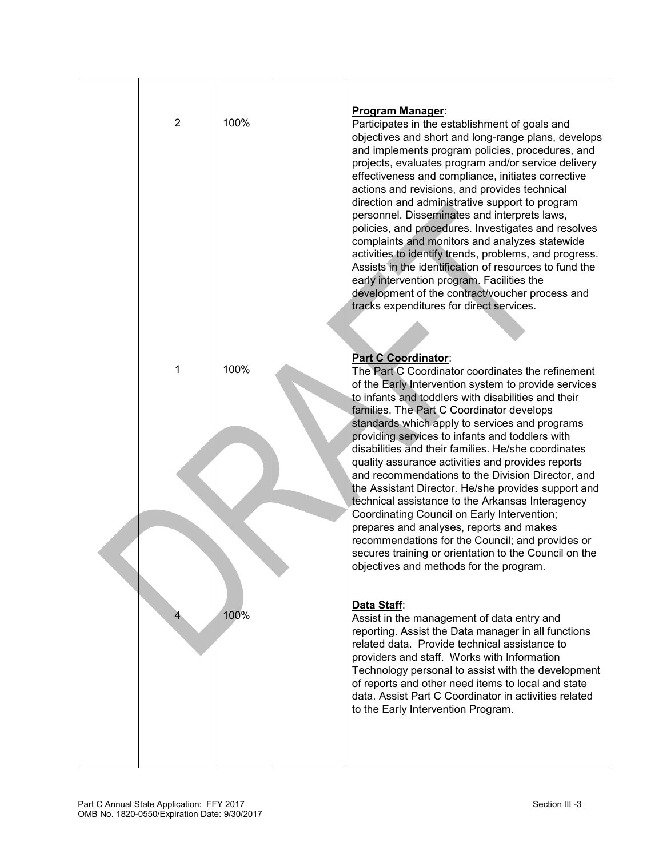| $\overline{2}$ | 100% | <b>Program Manager:</b><br>Participates in the establishment of goals and<br>objectives and short and long-range plans, develops<br>and implements program policies, procedures, and<br>projects, evaluates program and/or service delivery<br>effectiveness and compliance, initiates corrective<br>actions and revisions, and provides technical<br>direction and administrative support to program<br>personnel. Disseminates and interprets laws,<br>policies, and procedures. Investigates and resolves<br>complaints and monitors and analyzes statewide<br>activities to identify trends, problems, and progress.<br>Assists in the identification of resources to fund the<br>early intervention program. Facilities the<br>development of the contract/voucher process and<br>tracks expenditures for direct services. |
|----------------|------|---------------------------------------------------------------------------------------------------------------------------------------------------------------------------------------------------------------------------------------------------------------------------------------------------------------------------------------------------------------------------------------------------------------------------------------------------------------------------------------------------------------------------------------------------------------------------------------------------------------------------------------------------------------------------------------------------------------------------------------------------------------------------------------------------------------------------------|
| 1              | 100% | Part C Coordinator:<br>The Part C Coordinator coordinates the refinement<br>of the Early Intervention system to provide services<br>to infants and toddlers with disabilities and their<br>families. The Part C Coordinator develops<br>standards which apply to services and programs<br>providing services to infants and toddlers with<br>disabilities and their families. He/she coordinates<br>quality assurance activities and provides reports<br>and recommendations to the Division Director, and<br>the Assistant Director. He/she provides support and<br>technical assistance to the Arkansas Interagency<br>Coordinating Council on Early Intervention;<br>prepares and analyses, reports and makes                                                                                                                |
| 4              | 100% | recommendations for the Council; and provides or<br>secures training or orientation to the Council on the<br>objectives and methods for the program.<br>Data Staff:<br>Assist in the management of data entry and<br>reporting. Assist the Data manager in all functions<br>related data. Provide technical assistance to<br>providers and staff. Works with Information<br>Technology personal to assist with the development<br>of reports and other need items to local and state<br>data. Assist Part C Coordinator in activities related<br>to the Early Intervention Program.                                                                                                                                                                                                                                             |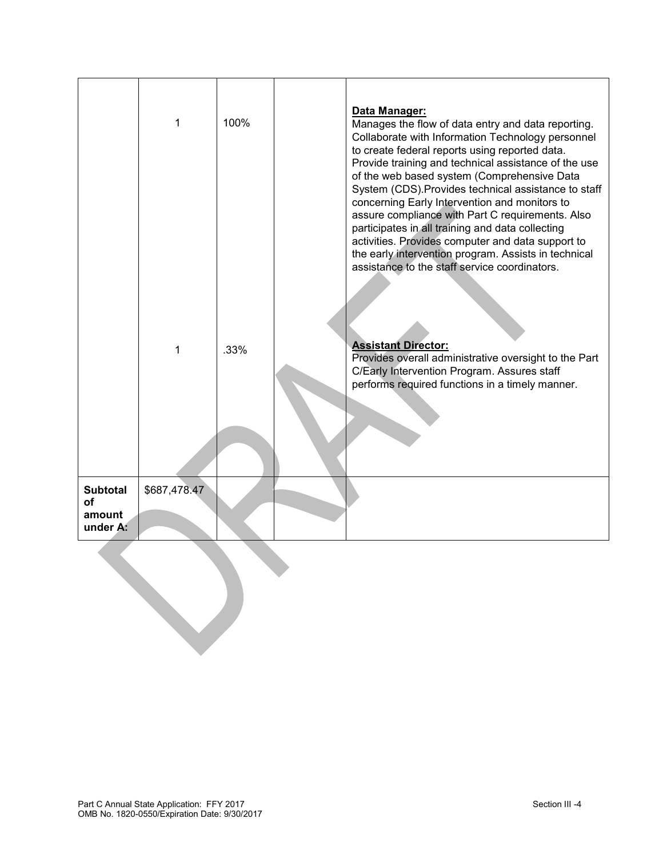|                                             | 1<br>1       | 100%<br>.33% | Data Manager:<br>Manages the flow of data entry and data reporting.<br>Collaborate with Information Technology personnel<br>to create federal reports using reported data.<br>Provide training and technical assistance of the use<br>of the web based system (Comprehensive Data<br>System (CDS). Provides technical assistance to staff<br>concerning Early Intervention and monitors to<br>assure compliance with Part C requirements. Also<br>participates in all training and data collecting<br>activities. Provides computer and data support to<br>the early intervention program. Assists in technical<br>assistance to the staff service coordinators.<br><b>Assistant Director:</b><br>Provides overall administrative oversight to the Part<br>C/Early Intervention Program. Assures staff<br>performs required functions in a timely manner. |
|---------------------------------------------|--------------|--------------|-----------------------------------------------------------------------------------------------------------------------------------------------------------------------------------------------------------------------------------------------------------------------------------------------------------------------------------------------------------------------------------------------------------------------------------------------------------------------------------------------------------------------------------------------------------------------------------------------------------------------------------------------------------------------------------------------------------------------------------------------------------------------------------------------------------------------------------------------------------|
| <b>Subtotal</b><br>of<br>amount<br>under A: | \$687,478.47 |              |                                                                                                                                                                                                                                                                                                                                                                                                                                                                                                                                                                                                                                                                                                                                                                                                                                                           |
|                                             |              |              |                                                                                                                                                                                                                                                                                                                                                                                                                                                                                                                                                                                                                                                                                                                                                                                                                                                           |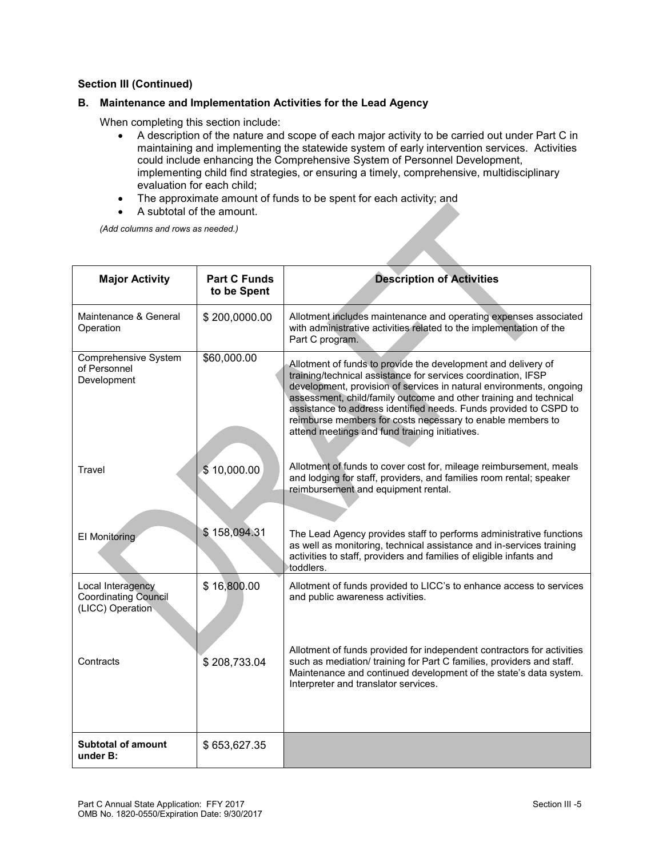### **B. Maintenance and Implementation Activities for the Lead Agency**

When completing this section include:

- A description of the nature and scope of each major activity to be carried out under Part C in maintaining and implementing the statewide system of early intervention services. Activities could include enhancing the Comprehensive System of Personnel Development, implementing child find strategies, or ensuring a timely, comprehensive, multidisciplinary evaluation for each child;
- The approximate amount of funds to be spent for each activity; and
- A subtotal of the amount.

*(Add columns and rows as needed.)*

| <b>Major Activity</b>                                                | <b>Part C Funds</b><br>to be Spent | <b>Description of Activities</b>                                                                                                                                                                                                                                                                                                                                                                                                                                |
|----------------------------------------------------------------------|------------------------------------|-----------------------------------------------------------------------------------------------------------------------------------------------------------------------------------------------------------------------------------------------------------------------------------------------------------------------------------------------------------------------------------------------------------------------------------------------------------------|
| Maintenance & General<br>Operation                                   | \$200,0000.00                      | Allotment includes maintenance and operating expenses associated<br>with administrative activities related to the implementation of the<br>Part C program.                                                                                                                                                                                                                                                                                                      |
| <b>Comprehensive System</b><br>of Personnel<br>Development           | \$60,000.00                        | Allotment of funds to provide the development and delivery of<br>training/technical assistance for services coordination, IFSP<br>development, provision of services in natural environments, ongoing<br>assessment, child/family outcome and other training and technical<br>assistance to address identified needs. Funds provided to CSPD to<br>reimburse members for costs necessary to enable members to<br>attend meetings and fund training initiatives. |
| <b>Travel</b>                                                        | \$10,000.00                        | Allotment of funds to cover cost for, mileage reimbursement, meals<br>and lodging for staff, providers, and families room rental; speaker<br>reimbursement and equipment rental.                                                                                                                                                                                                                                                                                |
| <b>El Monitoring</b>                                                 | \$158,094.31                       | The Lead Agency provides staff to performs administrative functions<br>as well as monitoring, technical assistance and in-services training<br>activities to staff, providers and families of eligible infants and<br>toddlers.                                                                                                                                                                                                                                 |
| Local Interagency<br><b>Coordinating Council</b><br>(LICC) Operation | \$16,800.00                        | Allotment of funds provided to LICC's to enhance access to services<br>and public awareness activities.                                                                                                                                                                                                                                                                                                                                                         |
| Contracts                                                            | \$208,733.04                       | Allotment of funds provided for independent contractors for activities<br>such as mediation/ training for Part C families, providers and staff.<br>Maintenance and continued development of the state's data system.<br>Interpreter and translator services.                                                                                                                                                                                                    |
| <b>Subtotal of amount</b><br>under B:                                | \$653,627.35                       |                                                                                                                                                                                                                                                                                                                                                                                                                                                                 |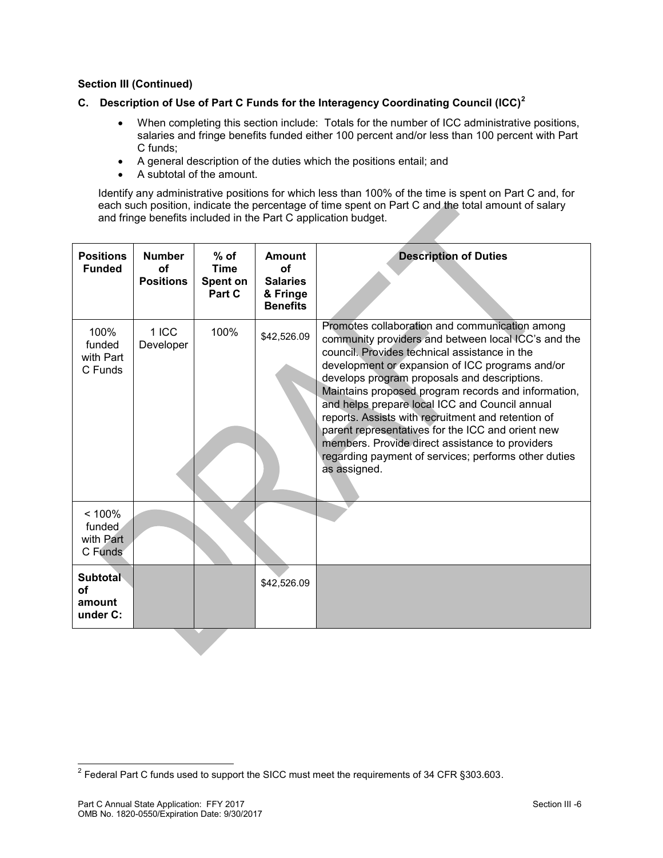# **C. Description of Use of Part C Funds for the Interagency Coordinating Council (ICC)<sup>2</sup>**

- When completing this section include: Totals for the number of ICC administrative positions, salaries and fringe benefits funded either 100 percent and/or less than 100 percent with Part C funds;
- A general description of the duties which the positions entail; and
- A subtotal of the amount.

Identify any administrative positions for which less than 100% of the time is spent on Part C and, for each such position, indicate the percentage of time spent on Part C and the total amount of salary and fringe benefits included in the Part C application budget.

| <b>Positions</b><br><b>Funded</b>        | <b>Number</b><br>Ωf<br><b>Positions</b> | $%$ of<br><b>Time</b><br>Spent on<br>Part C | Amount<br>Ωf<br><b>Salaries</b><br>& Fringe<br><b>Benefits</b> | <b>Description of Duties</b>                                                                                                                                                                                                                                                                                                                                                                                                                                                                                                                                                                             |
|------------------------------------------|-----------------------------------------|---------------------------------------------|----------------------------------------------------------------|----------------------------------------------------------------------------------------------------------------------------------------------------------------------------------------------------------------------------------------------------------------------------------------------------------------------------------------------------------------------------------------------------------------------------------------------------------------------------------------------------------------------------------------------------------------------------------------------------------|
| 100%<br>funded<br>with Part<br>C Funds   | $1$ ICC<br>Developer                    | 100%                                        | \$42,526.09                                                    | Promotes collaboration and communication among<br>community providers and between local ICC's and the<br>council. Provides technical assistance in the<br>development or expansion of ICC programs and/or<br>develops program proposals and descriptions.<br>Maintains proposed program records and information,<br>and helps prepare local ICC and Council annual<br>reports. Assists with recruitment and retention of<br>parent representatives for the ICC and orient new<br>members. Provide direct assistance to providers<br>regarding payment of services; performs other duties<br>as assigned. |
| < 100%<br>funded<br>with Part<br>C Funds |                                         |                                             |                                                                |                                                                                                                                                                                                                                                                                                                                                                                                                                                                                                                                                                                                          |
| Subtotal<br>οf<br>amount<br>under C:     |                                         |                                             | \$42,526.09                                                    |                                                                                                                                                                                                                                                                                                                                                                                                                                                                                                                                                                                                          |

 2 Federal Part C funds used to support the SICC must meet the requirements of 34 CFR §303.603.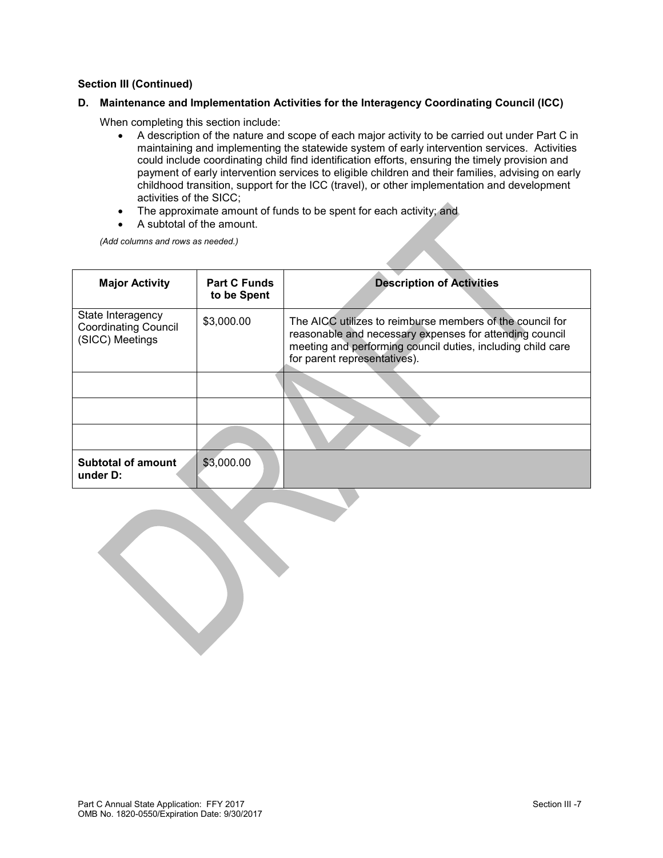#### **D. Maintenance and Implementation Activities for the Interagency Coordinating Council (ICC)**

When completing this section include:

- A description of the nature and scope of each major activity to be carried out under Part C in maintaining and implementing the statewide system of early intervention services. Activities could include coordinating child find identification efforts, ensuring the timely provision and payment of early intervention services to eligible children and their families, advising on early childhood transition, support for the ICC (travel), or other implementation and development activities of the SICC;
- The approximate amount of funds to be spent for each activity; and
- A subtotal of the amount.

*(Add columns and rows as needed.)*

| <b>Major Activity</b>                                               | <b>Part C Funds</b><br>to be Spent | <b>Description of Activities</b>                                                                                                                                                                                    |
|---------------------------------------------------------------------|------------------------------------|---------------------------------------------------------------------------------------------------------------------------------------------------------------------------------------------------------------------|
| State Interagency<br><b>Coordinating Council</b><br>(SICC) Meetings | \$3,000.00                         | The AICC utilizes to reimburse members of the council for<br>reasonable and necessary expenses for attending council<br>meeting and performing council duties, including child care<br>for parent representatives). |
|                                                                     |                                    |                                                                                                                                                                                                                     |
|                                                                     |                                    |                                                                                                                                                                                                                     |
|                                                                     |                                    |                                                                                                                                                                                                                     |
| <b>Subtotal of amount</b><br>under D:                               | \$3,000.00                         |                                                                                                                                                                                                                     |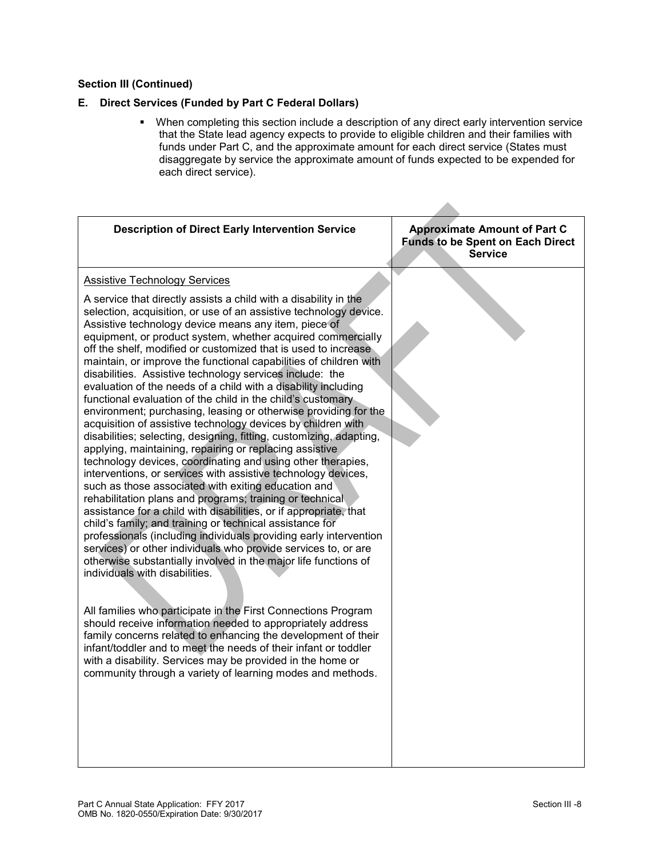# **E. Direct Services (Funded by Part C Federal Dollars)**

 When completing this section include a description of any direct early intervention service that the State lead agency expects to provide to eligible children and their families with funds under Part C, and the approximate amount for each direct service (States must disaggregate by service the approximate amount of funds expected to be expended for each direct service).

| <b>Description of Direct Early Intervention Service</b>                                                                                                                                                                                                                                                                                                                                                                                                                                                                                                                                                                                                                                                                                                                                                                                                                                                                                                                                                                                                                                                                                                                                                                                                                                                                                                                                                                                                                                                                                                                                                                                                                                                                                                                                                                                                                                                                                      | <b>Approximate Amount of Part C</b><br><b>Funds to be Spent on Each Direct</b><br><b>Service</b> |
|----------------------------------------------------------------------------------------------------------------------------------------------------------------------------------------------------------------------------------------------------------------------------------------------------------------------------------------------------------------------------------------------------------------------------------------------------------------------------------------------------------------------------------------------------------------------------------------------------------------------------------------------------------------------------------------------------------------------------------------------------------------------------------------------------------------------------------------------------------------------------------------------------------------------------------------------------------------------------------------------------------------------------------------------------------------------------------------------------------------------------------------------------------------------------------------------------------------------------------------------------------------------------------------------------------------------------------------------------------------------------------------------------------------------------------------------------------------------------------------------------------------------------------------------------------------------------------------------------------------------------------------------------------------------------------------------------------------------------------------------------------------------------------------------------------------------------------------------------------------------------------------------------------------------------------------------|--------------------------------------------------------------------------------------------------|
| <b>Assistive Technology Services</b><br>A service that directly assists a child with a disability in the<br>selection, acquisition, or use of an assistive technology device.<br>Assistive technology device means any item, piece of<br>equipment, or product system, whether acquired commercially<br>off the shelf, modified or customized that is used to increase<br>maintain, or improve the functional capabilities of children with<br>disabilities. Assistive technology services include: the<br>evaluation of the needs of a child with a disability including<br>functional evaluation of the child in the child's customary<br>environment; purchasing, leasing or otherwise providing for the<br>acquisition of assistive technology devices by children with<br>disabilities; selecting, designing, fitting, customizing, adapting,<br>applying, maintaining, repairing or replacing assistive<br>technology devices, coordinating and using other therapies,<br>interventions, or services with assistive technology devices,<br>such as those associated with exiting education and<br>rehabilitation plans and programs; training or technical<br>assistance for a child with disabilities, or if appropriate, that<br>child's family; and training or technical assistance for<br>professionals (including individuals providing early intervention<br>services) or other individuals who provide services to, or are<br>otherwise substantially involved in the major life functions of<br>individuals with disabilities.<br>All families who participate in the First Connections Program<br>should receive information needed to appropriately address<br>family concerns related to enhancing the development of their<br>infant/toddler and to meet the needs of their infant or toddler<br>with a disability. Services may be provided in the home or<br>community through a variety of learning modes and methods. |                                                                                                  |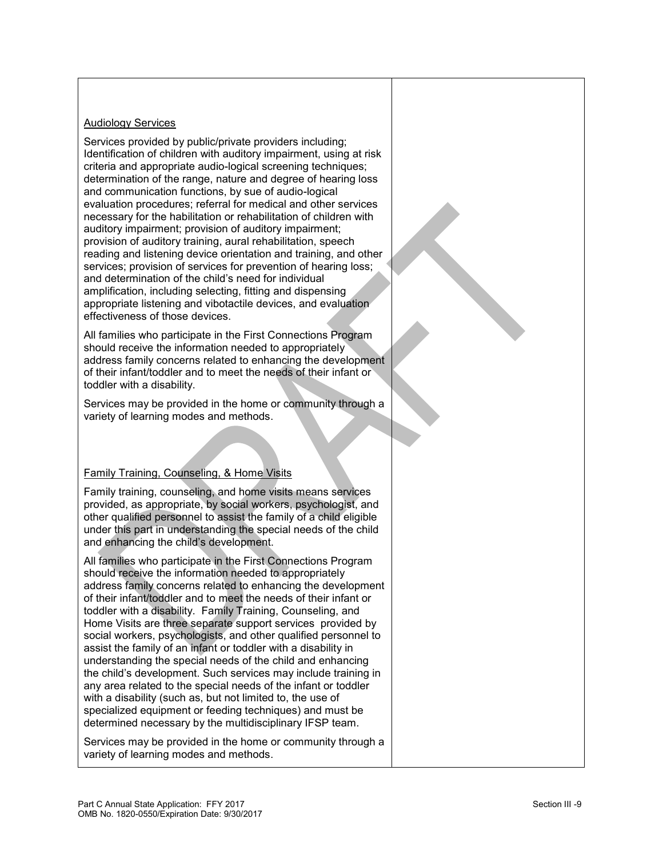### **Audiology Services**

Services provided by public/private providers including; Identification of children with auditory impairment, using at risk criteria and appropriate audio-logical screening techniques; determination of the range, nature and degree of hearing loss and communication functions, by sue of audio-logical evaluation procedures; referral for medical and other services necessary for the habilitation or rehabilitation of children with auditory impairment; provision of auditory impairment; provision of auditory training, aural rehabilitation, speech reading and listening device orientation and training, and other services; provision of services for prevention of hearing loss; and determination of the child's need for individual amplification, including selecting, fitting and dispensing appropriate listening and vibotactile devices, and evaluation effectiveness of those devices.

All families who participate in the First Connections Program should receive the information needed to appropriately address family concerns related to enhancing the development of their infant/toddler and to meet the needs of their infant or toddler with a disability.

Services may be provided in the home or community through a variety of learning modes and methods.

### Family Training, Counseling, & Home Visits

Family training, counseling, and home visits means services provided, as appropriate, by social workers, psychologist, and other qualified personnel to assist the family of a child eligible under this part in understanding the special needs of the child and enhancing the child's development.

All families who participate in the First Connections Program should receive the information needed to appropriately address family concerns related to enhancing the development of their infant/toddler and to meet the needs of their infant or toddler with a disability. Family Training, Counseling, and Home Visits are three separate support services provided by social workers, psychologists, and other qualified personnel to assist the family of an infant or toddler with a disability in understanding the special needs of the child and enhancing the child's development. Such services may include training in any area related to the special needs of the infant or toddler with a disability (such as, but not limited to, the use of specialized equipment or feeding techniques) and must be determined necessary by the multidisciplinary IFSP team.

Services may be provided in the home or community through a variety of learning modes and methods.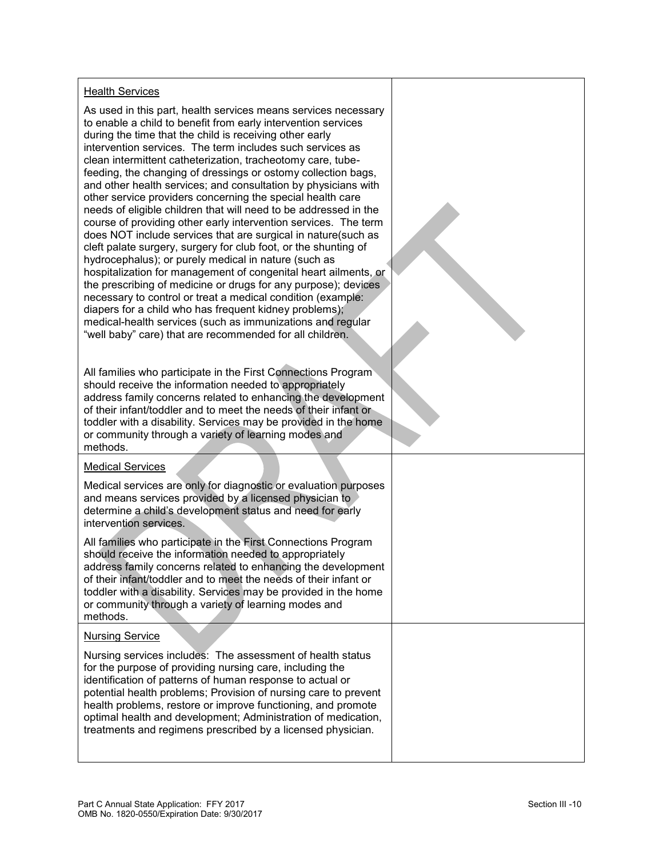#### Health Services

As used in this part, health services means services necessary to enable a child to benefit from early intervention services during the time that the child is receiving other early intervention services. The term includes such services as clean intermittent catheterization, tracheotomy care, tubefeeding, the changing of dressings or ostomy collection bags, and other health services; and consultation by physicians with other service providers concerning the special health care needs of eligible children that will need to be addressed in the course of providing other early intervention services. The term does NOT include services that are surgical in nature(such as cleft palate surgery, surgery for club foot, or the shunting of hydrocephalus); or purely medical in nature (such as hospitalization for management of congenital heart ailments, or the prescribing of medicine or drugs for any purpose); devices necessary to control or treat a medical condition (example: diapers for a child who has frequent kidney problems); medical-health services (such as immunizations and regular "well baby" care) that are recommended for all children.

All families who participate in the First Connections Program should receive the information needed to appropriately address family concerns related to enhancing the development of their infant/toddler and to meet the needs of their infant or toddler with a disability. Services may be provided in the home or community through a variety of learning modes and methods.

#### Medical Services

Medical services are only for diagnostic or evaluation purposes and means services provided by a licensed physician to determine a child's development status and need for early intervention services.

All families who participate in the First Connections Program should receive the information needed to appropriately address family concerns related to enhancing the development of their infant/toddler and to meet the needs of their infant or toddler with a disability. Services may be provided in the home or community through a variety of learning modes and methods.

#### Nursing Service

Nursing services includes: The assessment of health status for the purpose of providing nursing care, including the identification of patterns of human response to actual or potential health problems; Provision of nursing care to prevent health problems, restore or improve functioning, and promote optimal health and development; Administration of medication, treatments and regimens prescribed by a licensed physician.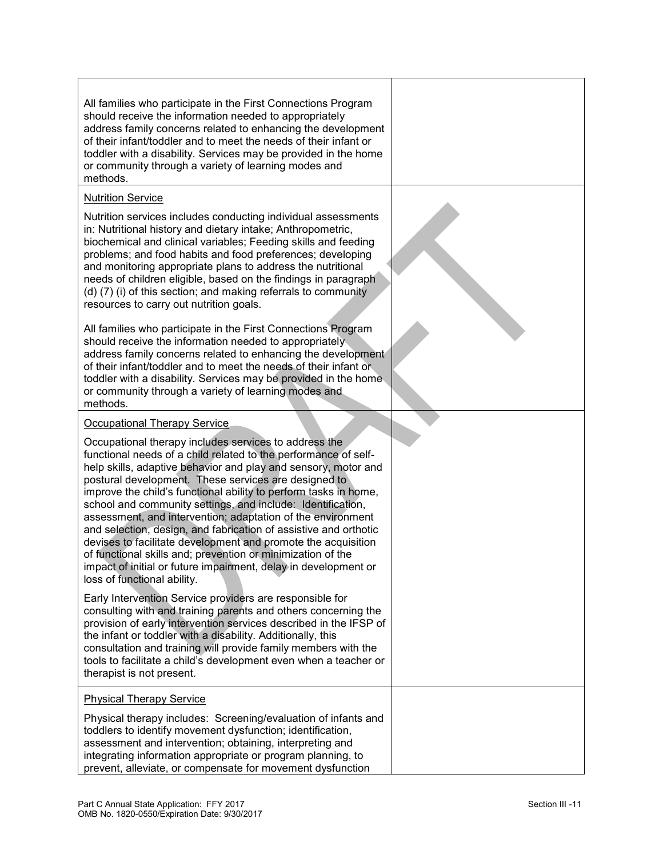All families who participate in the First Connections Program should receive the information needed to appropriately address family concerns related to enhancing the development of their infant/toddler and to meet the needs of their infant or toddler with a disability. Services may be provided in the home or community through a variety of learning modes and methods.

### Nutrition Service

Nutrition services includes conducting individual assessments in: Nutritional history and dietary intake; Anthropometric, biochemical and clinical variables; Feeding skills and feeding problems; and food habits and food preferences; developing and monitoring appropriate plans to address the nutritional needs of children eligible, based on the findings in paragraph (d) (7) (i) of this section; and making referrals to community resources to carry out nutrition goals.

All families who participate in the First Connections Program should receive the information needed to appropriately address family concerns related to enhancing the development of their infant/toddler and to meet the needs of their infant or toddler with a disability. Services may be provided in the home or community through a variety of learning modes and methods*.*

#### Occupational Therapy Service

Occupational therapy includes services to address the functional needs of a child related to the performance of selfhelp skills, adaptive behavior and play and sensory, motor and postural development. These services are designed to improve the child's functional ability to perform tasks in home, school and community settings, and include: Identification, assessment, and intervention; adaptation of the environment and selection, design, and fabrication of assistive and orthotic devises to facilitate development and promote the acquisition of functional skills and; prevention or minimization of the impact of initial or future impairment, delay in development or loss of functional ability.

Early Intervention Service providers are responsible for consulting with and training parents and others concerning the provision of early intervention services described in the IFSP of the infant or toddler with a disability. Additionally, this consultation and training will provide family members with the tools to facilitate a child's development even when a teacher or therapist is not present.

#### Physical Therapy Service

Physical therapy includes: Screening/evaluation of infants and toddlers to identify movement dysfunction; identification, assessment and intervention; obtaining, interpreting and integrating information appropriate or program planning, to prevent, alleviate, or compensate for movement dysfunction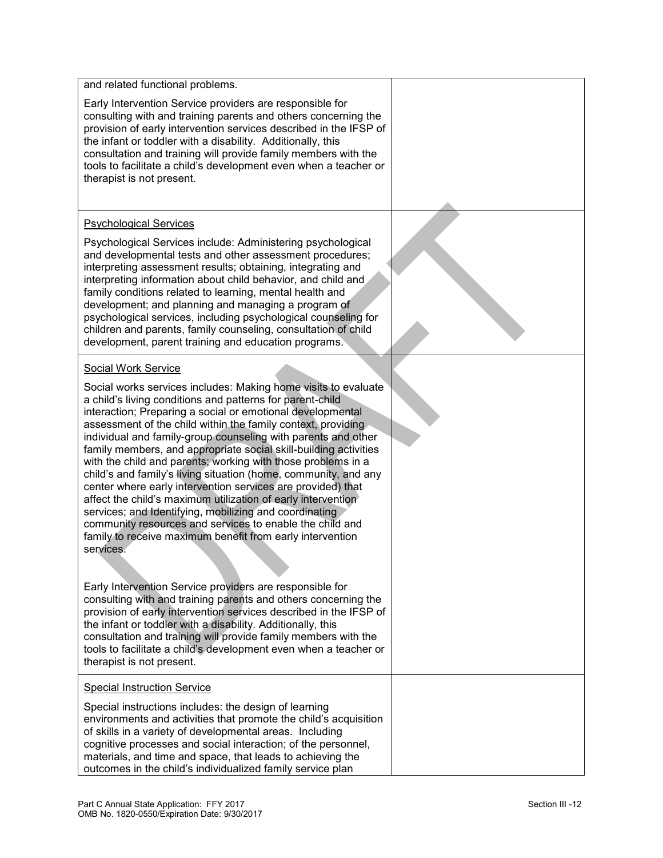| and related functional problems.                                                                                                                                                                                                                                                                                                                                                                                                                                                                                                                                                                                                                                                                                                                                                                                                                                                                                                                                                                                                                                                                                                                                                                                                                                                                      |  |
|-------------------------------------------------------------------------------------------------------------------------------------------------------------------------------------------------------------------------------------------------------------------------------------------------------------------------------------------------------------------------------------------------------------------------------------------------------------------------------------------------------------------------------------------------------------------------------------------------------------------------------------------------------------------------------------------------------------------------------------------------------------------------------------------------------------------------------------------------------------------------------------------------------------------------------------------------------------------------------------------------------------------------------------------------------------------------------------------------------------------------------------------------------------------------------------------------------------------------------------------------------------------------------------------------------|--|
| Early Intervention Service providers are responsible for<br>consulting with and training parents and others concerning the<br>provision of early intervention services described in the IFSP of<br>the infant or toddler with a disability. Additionally, this<br>consultation and training will provide family members with the<br>tools to facilitate a child's development even when a teacher or<br>therapist is not present.                                                                                                                                                                                                                                                                                                                                                                                                                                                                                                                                                                                                                                                                                                                                                                                                                                                                     |  |
| <b>Psychological Services</b>                                                                                                                                                                                                                                                                                                                                                                                                                                                                                                                                                                                                                                                                                                                                                                                                                                                                                                                                                                                                                                                                                                                                                                                                                                                                         |  |
| Psychological Services include: Administering psychological<br>and developmental tests and other assessment procedures;<br>interpreting assessment results; obtaining, integrating and<br>interpreting information about child behavior, and child and<br>family conditions related to learning, mental health and<br>development; and planning and managing a program of<br>psychological services, including psychological counseling for<br>children and parents, family counseling, consultation of child<br>development, parent training and education programs.                                                                                                                                                                                                                                                                                                                                                                                                                                                                                                                                                                                                                                                                                                                                 |  |
| Social Work Service                                                                                                                                                                                                                                                                                                                                                                                                                                                                                                                                                                                                                                                                                                                                                                                                                                                                                                                                                                                                                                                                                                                                                                                                                                                                                   |  |
| Social works services includes: Making home visits to evaluate<br>a child's living conditions and patterns for parent-child<br>interaction; Preparing a social or emotional developmental<br>assessment of the child within the family context, providing<br>individual and family-group counseling with parents and other<br>family members, and appropriate social skill-building activities<br>with the child and parents; working with those problems in a<br>child's and family's living situation (home, community, and any<br>center where early intervention services are provided) that<br>affect the child's maximum utilization of early intervention<br>services; and Identifying, mobilizing and coordinating<br>community resources and services to enable the child and<br>family to receive maximum benefit from early intervention<br>services.<br>Early Intervention Service providers are responsible for<br>consulting with and training parents and others concerning the<br>provision of early intervention services described in the IFSP of<br>the infant or toddler with a disability. Additionally, this<br>consultation and training will provide family members with the<br>tools to facilitate a child's development even when a teacher or<br>therapist is not present. |  |
| <b>Special Instruction Service</b>                                                                                                                                                                                                                                                                                                                                                                                                                                                                                                                                                                                                                                                                                                                                                                                                                                                                                                                                                                                                                                                                                                                                                                                                                                                                    |  |
| Special instructions includes: the design of learning<br>environments and activities that promote the child's acquisition<br>of skills in a variety of developmental areas. Including<br>cognitive processes and social interaction; of the personnel,<br>materials, and time and space, that leads to achieving the<br>outcomes in the child's individualized family service plan                                                                                                                                                                                                                                                                                                                                                                                                                                                                                                                                                                                                                                                                                                                                                                                                                                                                                                                    |  |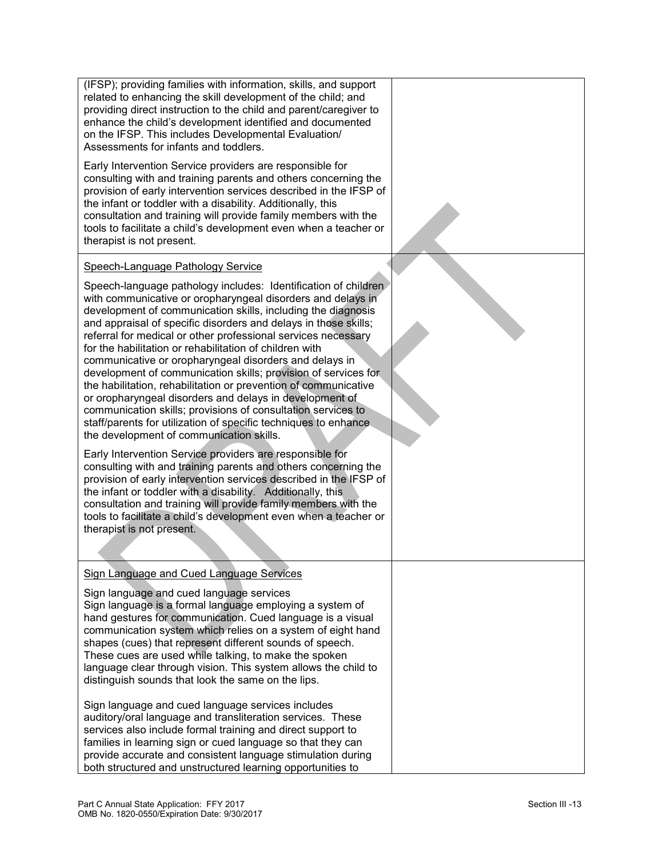(IFSP); providing families with information, skills, and support related to enhancing the skill development of the child; and providing direct instruction to the child and parent/caregiver to enhance the child's development identified and documented on the IFSP. This includes Developmental Evaluation/ Assessments for infants and toddlers.

Early Intervention Service providers are responsible for consulting with and training parents and others concerning the provision of early intervention services described in the IFSP of the infant or toddler with a disability. Additionally, this consultation and training will provide family members with the tools to facilitate a child's development even when a teacher or therapist is not present.

### Speech-Language Pathology Service

Speech-language pathology includes: Identification of children with communicative or oropharyngeal disorders and delays in development of communication skills, including the diagnosis and appraisal of specific disorders and delays in those skills; referral for medical or other professional services necessary for the habilitation or rehabilitation of children with communicative or oropharyngeal disorders and delays in development of communication skills; provision of services for the habilitation, rehabilitation or prevention of communicative or oropharyngeal disorders and delays in development of communication skills; provisions of consultation services to staff/parents for utilization of specific techniques to enhance. the development of communication skills.

Early Intervention Service providers are responsible for consulting with and training parents and others concerning the provision of early intervention services described in the IFSP of the infant or toddler with a disability. Additionally, this consultation and training will provide family members with the tools to facilitate a child's development even when a teacher or therapist is not present.

### Sign Language and Cued Language Services

Sign language and cued language services Sign language is a formal language employing a system of hand gestures for communication. Cued language is a visual communication system which relies on a system of eight hand shapes (cues) that represent different sounds of speech. These cues are used while talking, to make the spoken language clear through vision. This system allows the child to distinguish sounds that look the same on the lips.

Sign language and cued language services includes auditory/oral language and transliteration services. These services also include formal training and direct support to families in learning sign or cued language so that they can provide accurate and consistent language stimulation during both structured and unstructured learning opportunities to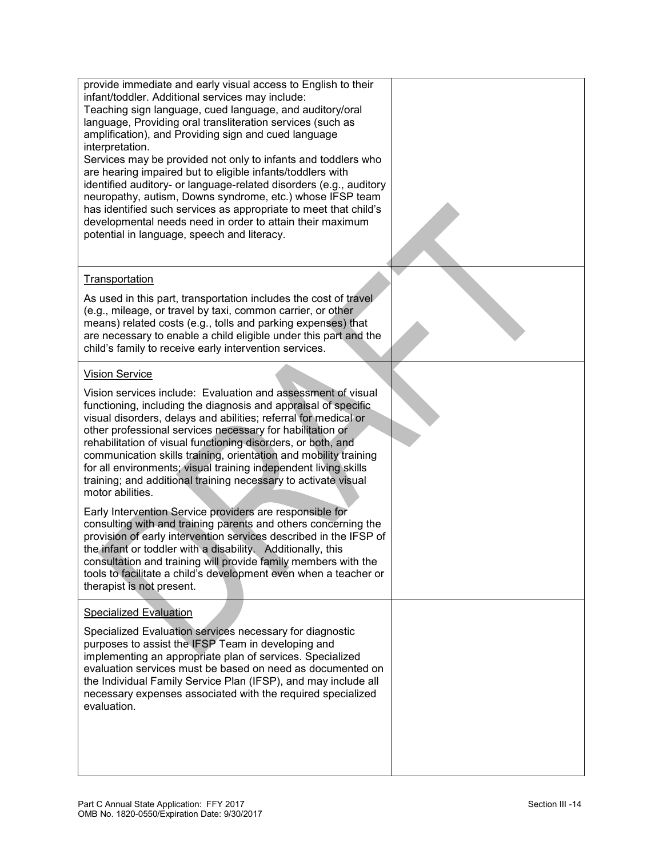| provide immediate and early visual access to English to their<br>infant/toddler. Additional services may include:<br>Teaching sign language, cued language, and auditory/oral<br>language, Providing oral transliteration services (such as<br>amplification), and Providing sign and cued language<br>interpretation.<br>Services may be provided not only to infants and toddlers who<br>are hearing impaired but to eligible infants/toddlers with<br>identified auditory- or language-related disorders (e.g., auditory<br>neuropathy, autism, Downs syndrome, etc.) whose IFSP team<br>has identified such services as appropriate to meet that child's<br>developmental needs need in order to attain their maximum<br>potential in language, speech and literacy. |  |
|--------------------------------------------------------------------------------------------------------------------------------------------------------------------------------------------------------------------------------------------------------------------------------------------------------------------------------------------------------------------------------------------------------------------------------------------------------------------------------------------------------------------------------------------------------------------------------------------------------------------------------------------------------------------------------------------------------------------------------------------------------------------------|--|
| Transportation                                                                                                                                                                                                                                                                                                                                                                                                                                                                                                                                                                                                                                                                                                                                                           |  |
| As used in this part, transportation includes the cost of travel<br>(e.g., mileage, or travel by taxi, common carrier, or other<br>means) related costs (e.g., tolls and parking expenses) that<br>are necessary to enable a child eligible under this part and the<br>child's family to receive early intervention services.                                                                                                                                                                                                                                                                                                                                                                                                                                            |  |
| <b>Vision Service</b>                                                                                                                                                                                                                                                                                                                                                                                                                                                                                                                                                                                                                                                                                                                                                    |  |
| Vision services include: Evaluation and assessment of visual<br>functioning, including the diagnosis and appraisal of specific.<br>visual disorders, delays and abilities; referral for medical or<br>other professional services necessary for habilitation or<br>rehabilitation of visual functioning disorders, or both, and<br>communication skills training, orientation and mobility training<br>for all environments; visual training independent living skills<br>training; and additional training necessary to activate visual<br>motor abilities.<br>Early Intervention Service providers are responsible for<br>consulting with and training parents and others concerning the                                                                               |  |
| provision of early intervention services described in the IFSP of<br>the infant or toddler with a disability. Additionally, this<br>consultation and training will provide family members with the<br>tools to facilitate a child's development even when a teacher or<br>therapist is not present.                                                                                                                                                                                                                                                                                                                                                                                                                                                                      |  |
| <b>Specialized Evaluation</b>                                                                                                                                                                                                                                                                                                                                                                                                                                                                                                                                                                                                                                                                                                                                            |  |
| Specialized Evaluation services necessary for diagnostic<br>purposes to assist the IFSP Team in developing and<br>implementing an appropriate plan of services. Specialized<br>evaluation services must be based on need as documented on<br>the Individual Family Service Plan (IFSP), and may include all<br>necessary expenses associated with the required specialized<br>evaluation.                                                                                                                                                                                                                                                                                                                                                                                |  |
|                                                                                                                                                                                                                                                                                                                                                                                                                                                                                                                                                                                                                                                                                                                                                                          |  |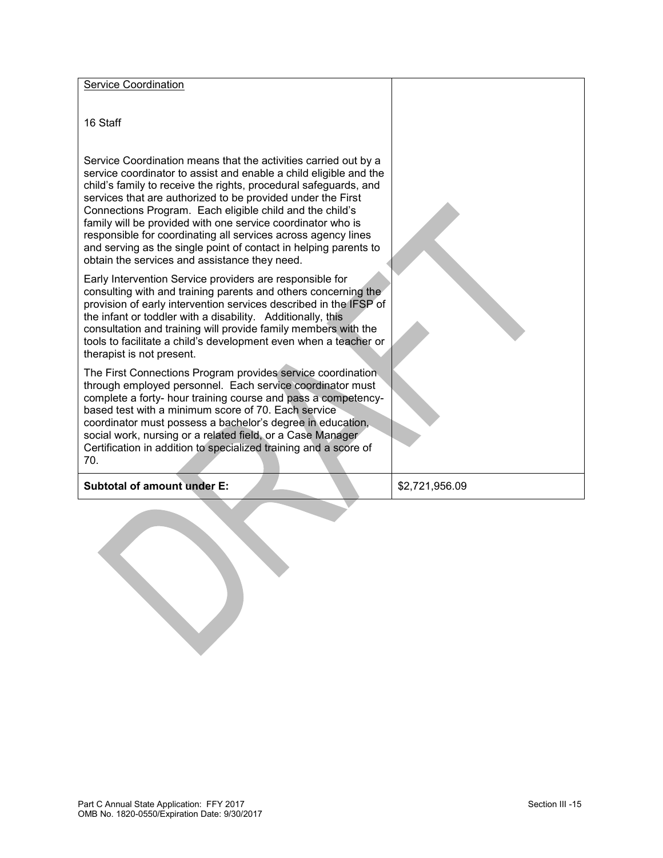| <b>Service Coordination</b>                                                                                                                                                                                                                                                                                                                                                                                                                                                                                                                                                              |                |
|------------------------------------------------------------------------------------------------------------------------------------------------------------------------------------------------------------------------------------------------------------------------------------------------------------------------------------------------------------------------------------------------------------------------------------------------------------------------------------------------------------------------------------------------------------------------------------------|----------------|
| 16 Staff                                                                                                                                                                                                                                                                                                                                                                                                                                                                                                                                                                                 |                |
| Service Coordination means that the activities carried out by a<br>service coordinator to assist and enable a child eligible and the<br>child's family to receive the rights, procedural safeguards, and<br>services that are authorized to be provided under the First<br>Connections Program. Each eligible child and the child's<br>family will be provided with one service coordinator who is<br>responsible for coordinating all services across agency lines<br>and serving as the single point of contact in helping parents to<br>obtain the services and assistance they need. |                |
| Early Intervention Service providers are responsible for<br>consulting with and training parents and others concerning the<br>provision of early intervention services described in the IFSP of<br>the infant or toddler with a disability. Additionally, this<br>consultation and training will provide family members with the<br>tools to facilitate a child's development even when a teacher or<br>therapist is not present.                                                                                                                                                        |                |
| The First Connections Program provides service coordination<br>through employed personnel. Each service coordinator must<br>complete a forty- hour training course and pass a competency-<br>based test with a minimum score of 70. Each service<br>coordinator must possess a bachelor's degree in education,<br>social work, nursing or a related field, or a Case Manager<br>Certification in addition to specialized training and a score of<br>70.                                                                                                                                  |                |
| <b>Subtotal of amount under E:</b>                                                                                                                                                                                                                                                                                                                                                                                                                                                                                                                                                       | \$2,721,956.09 |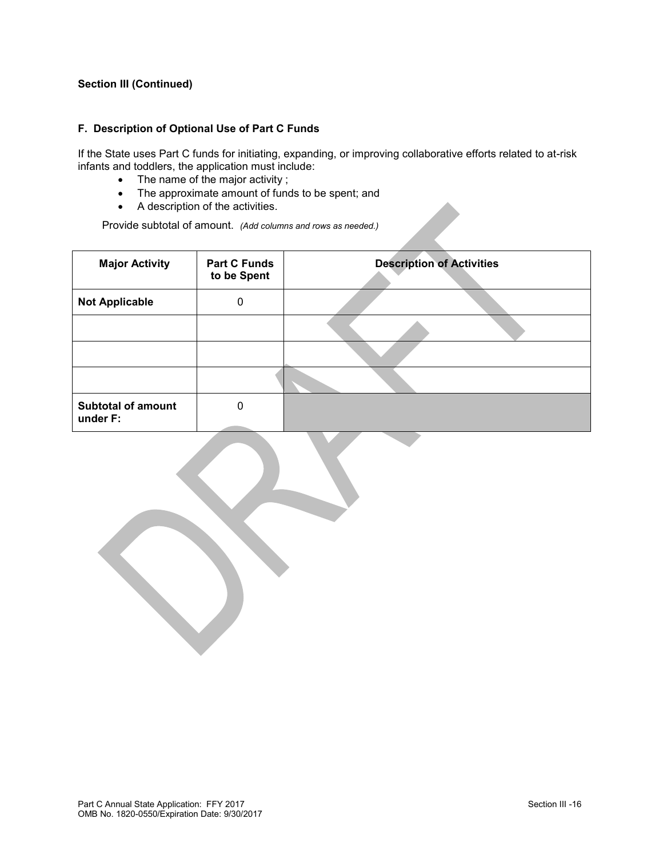#### **F. Description of Optional Use of Part C Funds**

If the State uses Part C funds for initiating, expanding, or improving collaborative efforts related to at-risk infants and toddlers, the application must include:

- The name of the major activity ;
- The approximate amount of funds to be spent; and
- A description of the activities.

Provide subtotal of amount. *(Add columns and rows as needed.)*

| <b>Major Activity</b>                 | <b>Part C Funds</b><br>to be Spent | <b>Description of Activities</b> |  |
|---------------------------------------|------------------------------------|----------------------------------|--|
| <b>Not Applicable</b>                 | 0                                  |                                  |  |
|                                       |                                    |                                  |  |
|                                       |                                    |                                  |  |
|                                       |                                    |                                  |  |
| <b>Subtotal of amount</b><br>under F: | 0                                  |                                  |  |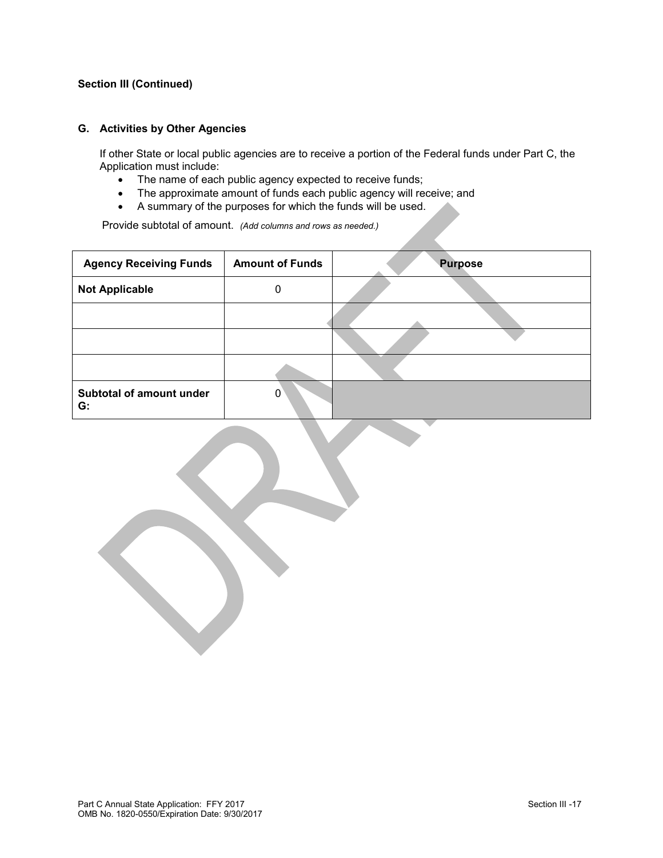#### **G. Activities by Other Agencies**

If other State or local public agencies are to receive a portion of the Federal funds under Part C, the Application must include:

- The name of each public agency expected to receive funds;
- The approximate amount of funds each public agency will receive; and
- A summary of the purposes for which the funds will be used.

Provide subtotal of amount. *(Add columns and rows as needed.)*

| <b>Agency Receiving Funds</b>  | <b>Amount of Funds</b> | <b>Purpose</b> |
|--------------------------------|------------------------|----------------|
| <b>Not Applicable</b>          | 0                      |                |
|                                |                        |                |
|                                |                        |                |
|                                |                        |                |
| Subtotal of amount under<br>G: | 0                      |                |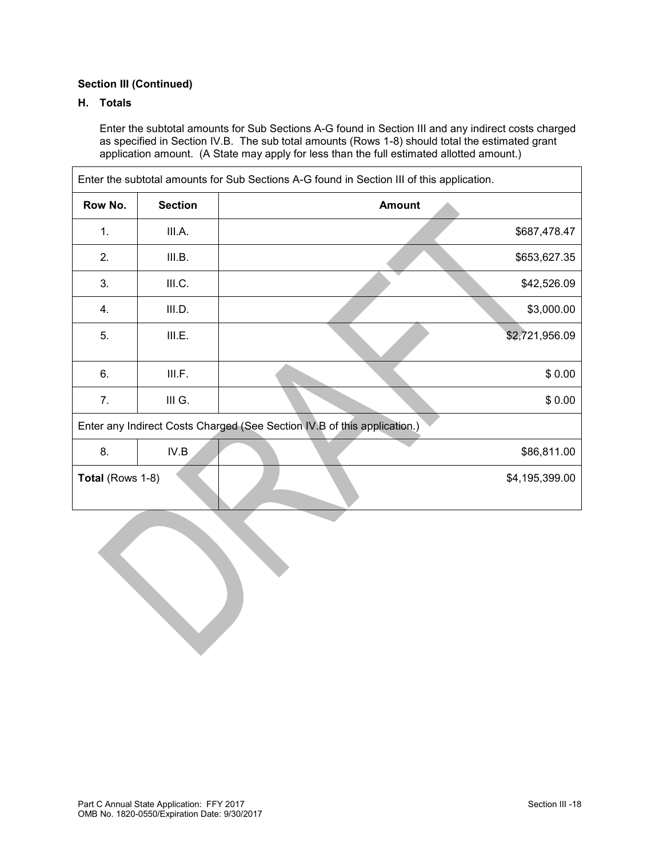# **H. Totals**

Enter the subtotal amounts for Sub Sections A-G found in Section III and any indirect costs charged as specified in Section IV.B. The sub total amounts (Rows 1-8) should total the estimated grant application amount. (A State may apply for less than the full estimated allotted amount.)

| Enter the subtotal amounts for Sub Sections A-G found in Section III of this application. |                |               |                |  |  |
|-------------------------------------------------------------------------------------------|----------------|---------------|----------------|--|--|
| Row No.                                                                                   | <b>Section</b> | <b>Amount</b> |                |  |  |
| 1.                                                                                        | III.A.         |               | \$687,478.47   |  |  |
| 2.                                                                                        | III.B.         |               | \$653,627.35   |  |  |
| 3.                                                                                        | III.C.         |               | \$42,526.09    |  |  |
| 4.                                                                                        | III.D.         |               | \$3,000.00     |  |  |
| 5.                                                                                        | III.E.         |               | \$2,721,956.09 |  |  |
| 6.                                                                                        | III.F.         |               | \$0.00         |  |  |
| 7.                                                                                        | III G.         |               | \$0.00         |  |  |
| Enter any Indirect Costs Charged (See Section IV.B of this application.)                  |                |               |                |  |  |
| 8.                                                                                        | IV.B           |               | \$86,811.00    |  |  |
| Total (Rows 1-8)<br>\$4,195,399.00                                                        |                |               |                |  |  |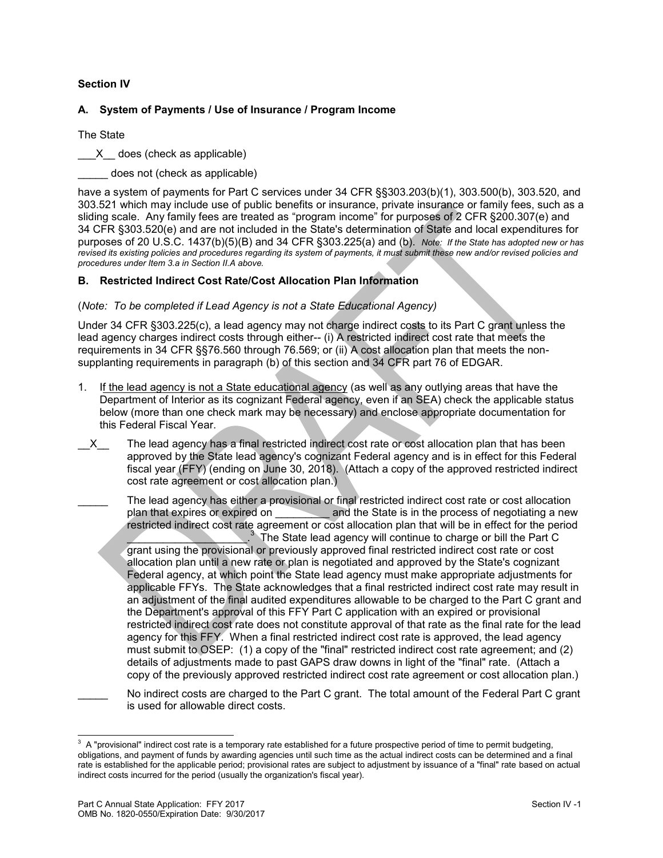### **Section IV**

### **A. System of Payments / Use of Insurance / Program Income**

The State

X does (check as applicable)

does not (check as applicable)

have a system of payments for Part C services under 34 CFR §§303.203(b)(1), 303.500(b), 303.520, and 303.521 which may include use of public benefits or insurance, private insurance or family fees, such as a sliding scale. Any family fees are treated as "program income" for purposes of 2 CFR §200.307(e) and 34 CFR §303.520(e) and are not included in the State's determination of State and local expenditures for purposes of 20 U.S.C. 1437(b)(5)(B) and 34 CFR §303.225(a) and (b). *Note: If the State has adopted new or has revised its existing policies and procedures regarding its system of payments, it must submit these new and/or revised policies and procedures under Item 3.a in Section II.A above.*

### **B. Restricted Indirect Cost Rate/Cost Allocation Plan Information**

#### (*Note: To be completed if Lead Agency is not a State Educational Agency)*

Under 34 CFR §303.225(c), a lead agency may not charge indirect costs to its Part C grant unless the lead agency charges indirect costs through either-- (i) A restricted indirect cost rate that meets the requirements in 34 CFR §§76.560 through 76.569; or (ii) A cost allocation plan that meets the nonsupplanting requirements in paragraph (b) of this section and 34 CFR part 76 of EDGAR.

- 1. If the lead agency is not a State educational agency (as well as any outlying areas that have the Department of Interior as its cognizant Federal agency, even if an SEA) check the applicable status below (more than one check mark may be necessary) and enclose appropriate documentation for this Federal Fiscal Year.
- X The lead agency has a final restricted indirect cost rate or cost allocation plan that has been approved by the State lead agency's cognizant Federal agency and is in effect for this Federal fiscal year (FFY) (ending on June 30, 2018). (Attach a copy of the approved restricted indirect cost rate agreement or cost allocation plan.)
- The lead agency has either a provisional or final restricted indirect cost rate or cost allocation plan that expires or expired on **and the State is in the process of negotiating a new** restricted indirect cost rate agreement or cost allocation plan that will be in effect for the period  $\mathcal{L}=\mathcal{L}$  $3\text{ The State lead agency will continue to charge or bill the Part C.}$ grant using the provisional or previously approved final restricted indirect cost rate or cost allocation plan until a new rate or plan is negotiated and approved by the State's cognizant Federal agency, at which point the State lead agency must make appropriate adjustments for applicable FFYs. The State acknowledges that a final restricted indirect cost rate may result in an adjustment of the final audited expenditures allowable to be charged to the Part C grant and the Department's approval of this FFY Part C application with an expired or provisional restricted indirect cost rate does not constitute approval of that rate as the final rate for the lead agency for this FFY. When a final restricted indirect cost rate is approved, the lead agency must submit to OSEP: (1) a copy of the "final" restricted indirect cost rate agreement; and (2) details of adjustments made to past GAPS draw downs in light of the "final" rate. (Attach a copy of the previously approved restricted indirect cost rate agreement or cost allocation plan.)
	- No indirect costs are charged to the Part C grant. The total amount of the Federal Part C grant is used for allowable direct costs.

<sup>&</sup>lt;sup>3</sup> A "provisional" indirect cost rate is a temporary rate established for a future prospective period of time to permit budgeting, obligations, and payment of funds by awarding agencies until such time as the actual indirect costs can be determined and a final rate is established for the applicable period; provisional rates are subject to adjustment by issuance of a "final" rate based on actual indirect costs incurred for the period (usually the organization's fiscal year).